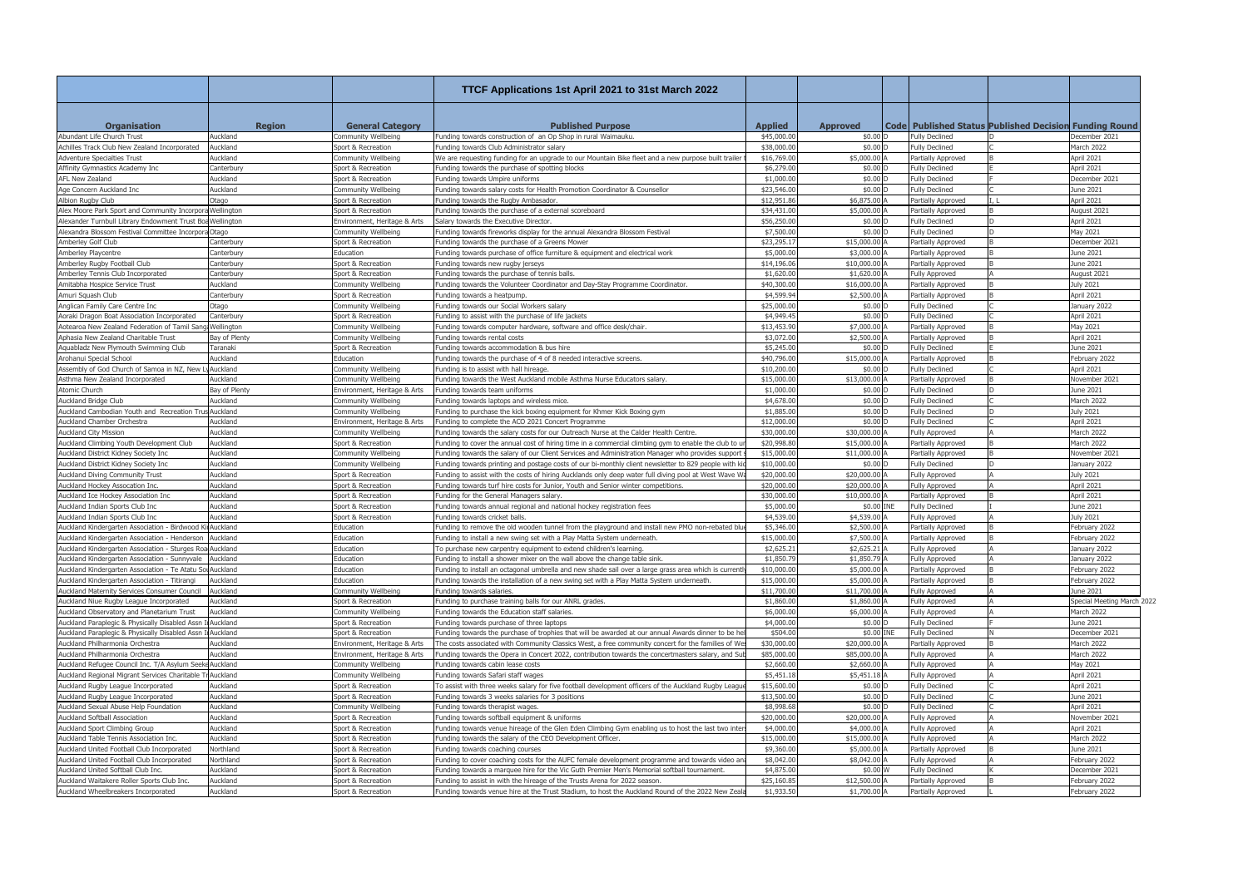|                                                           |                   |                              | TTCF Applications 1st April 2021 to 31st March 2022                                                   |                |                      |                       |                                                               |                            |
|-----------------------------------------------------------|-------------------|------------------------------|-------------------------------------------------------------------------------------------------------|----------------|----------------------|-----------------------|---------------------------------------------------------------|----------------------------|
|                                                           |                   |                              |                                                                                                       |                |                      |                       |                                                               |                            |
| <b>Organisation</b>                                       | <b>Region</b>     | <b>General Category</b>      | <b>Published Purpose</b>                                                                              | <b>Applied</b> | <b>Approved</b>      |                       | <b>Code Published Status Published Decision Funding Round</b> |                            |
| Abundant Life Church Trust                                | Auckland          | Community Wellbeing          | unding towards construction of an Op Shop in rural Waimauku                                           | \$45,000.0     | \$0.00 D             | <b>Fully Declined</b> |                                                               | December 2021              |
| Achilles Track Club New Zealand Incorporated              | Auckland          | Sport & Recreation           | unding towards Club Administrator salary                                                              | \$38,000.0     | \$0.00 D             | <b>Fully Declined</b> |                                                               | Jarch 2022                 |
| <b>Adventure Specialties Trust</b>                        | Auckland          | Community Wellbeing          | We are requesting funding for an upgrade to our Mountain Bike fleet and a new purpose built trailer   | \$16,769.00    | \$5,000.00 A         | Partially Approved    |                                                               | April 2021                 |
| Affinity Gymnastics Academy Inc                           | Canterbury        | Sport & Recreation           | Funding towards the purchase of spotting blocks                                                       | \$6,279.00     | \$0.00 D             | <b>Fully Declined</b> |                                                               | pril 2021                  |
| AFL New Zealand                                           | Auckland          | Sport & Recreation           | unding towards Umpire uniforms                                                                        | \$1,000.0      | \$0.00               | <b>Fully Declined</b> |                                                               | December 2021              |
| Age Concern Auckland Inc                                  | Auckland          | Community Wellbeing          | unding towards salary costs for Health Promotion Coordinator & Counsellor                             | \$23,546.0     | \$0.00 D             | <b>Fully Declined</b> |                                                               | June 2021                  |
| Albion Ruaby Club                                         | Otago             | Sport & Recreation           | Funding towards the Rugby Ambasador                                                                   | \$12,951.86    | \$6,875.00           | Partially Approved    |                                                               | April 2021                 |
| Alex Moore Park Sport and Community Incorpora Wellington  |                   | Sport & Recreation           | unding towards the purchase of a external scoreboard                                                  | \$34,431.0     | \$5,000.00           | Partially Approved    |                                                               | ugust 2021                 |
| Alexander Turnbull Library Endowment Trust Boa Wellington |                   | Environment, Heritage & Arts | Salary towards the Executive Director.                                                                | \$56,250.0     | \$0.00 D             | <b>Fully Declined</b> |                                                               | April 2021                 |
| Alexandra Blossom Festival Committee Incorpora Otago      |                   | Community Wellbeing          | unding towards fireworks display for the annual Alexandra Blossom Festival                            | \$7,500.0      | \$0.00 D             | <b>Fully Declined</b> |                                                               | May 2021                   |
| Amberley Golf Club                                        | Canterbury        | Sport & Recreation           | unding towards the purchase of a Greens Mower                                                         | \$23,295.1     | \$15,000.00          | Partially Approved    |                                                               | December 2021              |
| Amberley Playcentre                                       | Canterbury        | Education                    | unding towards purchase of office furniture & equipment and electrical work                           | \$5,000.0      | \$3,000.00           | Partially Approved    |                                                               | June 2021                  |
| Amberley Rugby Football Club                              | Canterbury        | Sport & Recreation           | unding towards new rugby jerseys                                                                      | \$14,196.0     | \$10,000.00          | Partially Approved    |                                                               | une 2021                   |
| Amberley Tennis Club Incorporated                         | Canterbury        | Sport & Recreation           | unding towards the purchase of tennis balls.                                                          | \$1,620.0      | \$1,620.00           | <b>Fully Approved</b> |                                                               | August 2021                |
| Amitabha Hospice Service Trust                            | Auckland          | Community Wellbeing          | unding towards the Volunteer Coordinator and Day-Stay Programme Coordinator                           | \$40,300.0     | \$16,000.00          | Partially Approved    |                                                               | July 2021                  |
| Amuri Squash Club                                         | Canterbury        | Sport & Recreation           | unding towards a heatpump.                                                                            | \$4,599.9      | \$2,500.00           | Partially Approved    |                                                               | April 2021                 |
| Anglican Family Care Centre Inc                           | Otago             | Community Wellbeing          | unding towards our Social Workers salary                                                              | \$25,000.0     | $$0.00$ D            | <b>Fully Declined</b> |                                                               | lanuary 2022               |
| Aoraki Dragon Boat Association Incorporated               | Canterbury        | Sport & Recreation           | unding to assist with the purchase of life jackets                                                    | \$4,949.4      | $$0.00$ D            | <b>Fully Declined</b> |                                                               | April 2021                 |
| Aotearoa New Zealand Federation of Tamil Sar              | <b>Nellington</b> | Community Wellbeing          | unding towards computer hardware, software and office desk/chair.                                     | \$13,453.9     | \$7,000.00           | Partially Approved    |                                                               | May 2021                   |
| Aphasia New Zealand Charitable Trust                      | Bay of Plenty     | Community Wellbeing          | Funding towards rental costs                                                                          | \$3,072.0      | \$2,500.00           | Partially Approved    |                                                               | April 2021                 |
| Aquabladz New Plymouth Swimming Club                      | Taranaki          | Sport & Recreation           | unding towards accommodation & bus hire                                                               | \$5,245.0      | \$0.00 D             | <b>Fully Declined</b> |                                                               | lune 2021                  |
| Arohanui Special School                                   | Auckland          | Education                    | Funding towards the purchase of 4 of 8 needed interactive screens.                                    | \$40,796.00    | \$15,000.00          | Partially Approved    |                                                               | February 2022              |
| Assembly of God Church of Samoa in NZ, New                | Auckland          | Community Wellbeing          | unding is to assist with hall hireage.                                                                | \$10,200.00    | \$0.00 D             | <b>Fully Declined</b> |                                                               | pril 2021                  |
| Asthma New Zealand Incorporated                           | Auckland          | Community Wellbeing          | unding towards the West Auckland mobile Asthma Nurse Educators salary                                 | \$15,000.0     | \$13,000.00          | Partially Approved    |                                                               | lovember 2021              |
| Atomic Church                                             | Bay of Plenty     | Environment, Heritage & Arts | Funding towards team uniforms                                                                         | \$1,000.0      | \$0.00 D             | <b>Fully Declined</b> |                                                               | June 2021                  |
| Auckland Bridge Club                                      | Auckland          | Community Wellbeing          | unding towards laptops and wireless mice.                                                             | \$4,678.0      | \$0.00 D             | <b>Fully Declined</b> |                                                               | March 2022                 |
| Auckland Cambodian Youth and Recreation Tru               | <b>Auckland</b>   | Community Wellbeing          | unding to purchase the kick boxing equipment for Khmer Kick Boxing gym-                               | \$1,885.0      | \$0.00               | <b>Fully Declined</b> |                                                               | July 2021                  |
| Auckland Chamber Orchestra                                | Auckland          | Environment, Heritage & Arts | unding to complete the ACO 2021 Concert Programme                                                     | \$12,000.0     | $$0.00$ D            | <b>Fully Declined</b> |                                                               | April 2021                 |
| <b>Auckland City Mission</b>                              | Auckland          | Community Wellbeing          | Junding towards the salary costs for our Outreach Nurse at the Calder Health Centre.                  | \$30,000.0     | \$30,000.00          | Fully Approved        |                                                               | March 2022                 |
| Auckland Climbing Youth Development Club                  | Auckland          | Sport & Recreation           | unding to cover the annual cost of hiring time in a commercial climbing gym to enable the club to     | \$20,998.8     | \$15,000.00          | Partially Approved    |                                                               | Jarch 2022                 |
| Auckland District Kidney Society Inc                      | Auckland          | Community Wellbeing          | Funding towards the salary of our Client Services and Administration Manager who provides support     | \$15,000.0     | \$11,000.00 A        | Partially Approved    |                                                               | November 2021              |
| Auckland District Kidney Society Inc                      | Auckland          | Community Wellbeing          | unding towards printing and postage costs of our bi-monthly client newsletter to 829 people with k-   | \$10,000.0     | \$0.00 D             | <b>Fully Declined</b> |                                                               | lanuary 2022               |
| <b>Auckland Diving Community Trust</b>                    | Auckland          | Sport & Recreation           | unding to assist with the costs of hiring Aucklands only deep water full diving pool at West Wave V-  | \$20,000.0     | \$20,000.00          | Fully Approved        |                                                               | July 2021                  |
| Auckland Hockey Assocation Inc.                           | Auckland          | Sport & Recreation           | Funding towards turf hire costs for Junior, Youth and Senior winter competitions.                     | \$20,000.0     | \$20,000.00          | <b>Fully Approved</b> |                                                               | April 2021                 |
| Auckland Ice Hockey Association Inc                       | Auckland          | Sport & Recreation           | unding for the General Managers salary                                                                | \$30,000.0     | \$10,000.00          | Partially Approved    |                                                               | April 2021                 |
| Auckland Indian Sports Club Inc                           | Auckland          | Sport & Recreation           | unding towards annual regional and national hockey registration fees                                  | \$5,000.0      | \$0.00 INE           | <b>Fully Declined</b> |                                                               | lune 2021                  |
| Auckland Indian Sports Club Inc                           | Auckland          | Sport & Recreation           | unding towards cricket balls                                                                          | \$4,539.0      | \$4,539.00           | <b>Fully Approved</b> |                                                               | uly 2021                   |
| Auckland Kindergarten Association - Birdwood KinAuckland  |                   | Education                    | unding to remove the old wooden tunnel from the playground and install new PMO non-rebated blu-       | \$5,346.0      | \$2,500.00           | Partially Approved    |                                                               | ebruary 2022               |
| Auckland Kindergarten Association - Henderson Auckland    |                   | Education                    | Funding to install a new swing set with a Play Matta System underneath                                | \$15,000.00    | \$7,500.00 A         | Partially Approved    |                                                               | February 2022              |
| Auckland Kindergarten Association - Sturges Roa Auckland  |                   | Education                    | To purchase new carpentry equipment to extend children's learning.                                    | \$2,625.21     | \$2,625.21 A         | <b>Fully Approved</b> |                                                               | January 2022               |
| Auckland Kindergarten Association - Sunnyvale Auckland    |                   | Education                    | unding to install a shower mixer on the wall above the change table sink.                             | \$1,850.79     | $$1,850.79$ $\mu$    | <b>Fully Approved</b> |                                                               | January 2022               |
| Auckland Kindergarten Association - Te Atatu Sou Auckland |                   | Education                    | Funding to install an octagonal umbrella and new shade sail over a large grass area which is currentl | \$10,000.00    | \$5,000.00 A         | Partially Approved    |                                                               | February 2022              |
| Auckland Kindergarten Association - Titirangi             | Auckland          | Education                    | unding towards the installation of a new swing set with a Play Matta System underneath                | \$15,000.0     | \$5,000.00 A         | Partially Approved    |                                                               | ebruary 2022               |
| Auckland Maternity Services Consumer Council              | Auckland          | Community Wellbeing          | Funding towards salaries.                                                                             | \$11,700.00    | \$11,700.00 /        | <b>Fully Approved</b> |                                                               | June 2021                  |
| Auckland Niue Rugby League Incorporated                   | Auckland          | Sport & Recreation           | Funding to purchase training balls for our ANRL grades.                                               | \$1,860.00     | \$1,860.00 A         | <b>Fully Approved</b> |                                                               | Special Meeting March 2022 |
| Auckland Observatory and Planetarium Trust                | Auckland          | Community Wellbeing          | Funding towards the Education staff salaries.                                                         | \$6,000.0      | \$6,000.00           | <b>Fully Approved</b> |                                                               | March 2022                 |
| Auckland Paraplegic & Physically Disabled Assn I Auckland |                   | Sport & Recreation           | Funding towards purchase of three laptops                                                             | \$4,000.0      | \$0.00 D             | <b>Fully Declined</b> |                                                               | June 2021                  |
| Auckland Paraplegic & Physically Disabled Assn I Auckland |                   | Sport & Recreation           | Funding towards the purchase of trophies that will be awarded at our annual Awards dinner to be he    | \$504.00       | \$0.00 INE           | <b>Fully Declined</b> |                                                               | December 2021              |
| Auckland Philharmonia Orchestra                           | Auckland          | Environment, Heritage & Arts | The costs associated with Community Classics West, a free community concert for the families of We    | \$30,000.00    | \$20,000.00 /        | Partially Approved    |                                                               | March 2022                 |
| Auckland Philharmonia Orchestra                           | Auckland          | Environment, Heritage & Arts | unding towards the Opera in Concert 2022, contribution towards the concertmasters salary, and Su-     | \$85,000.0     | \$85,000.00 A        | <b>Fully Approved</b> |                                                               | March 2022                 |
| Auckland Refugee Council Inc. T/A Asylum Seeke Auckland   |                   | Community Wellbeing          | Funding towards cabin lease costs                                                                     | \$2,660.00     | \$2,660.00 A         | <b>Fully Approved</b> |                                                               | May 2021                   |
| Auckland Regional Migrant Services Charitable Tr Auckland |                   | Community Wellbeing          | Funding towards Safari staff wages                                                                    | \$5,451.18     | \$5,451.18           | <b>Fully Approved</b> |                                                               | April 2021                 |
| Auckland Rugby League Incorporated                        | Auckland          | Sport & Recreation           | To assist with three weeks salary for five football development officers of the Auckland Rugby League | \$15,600.0     | \$0.00 D             | <b>Fully Declined</b> |                                                               | April 2021                 |
| Auckland Rugby League Incorporated                        | Auckland          | Sport & Recreation           | Funding towards 3 weeks salaries for 3 positions                                                      | \$13,500.0     | \$0.00 D             | <b>Fully Declined</b> |                                                               | June 2021                  |
| Auckland Sexual Abuse Help Foundation                     | Auckland          | Community Wellbeing          | Funding towards therapist wages.                                                                      | \$8,998.68     | \$0.00 D             | <b>Fully Declined</b> |                                                               | pril 2021                  |
| Auckland Softball Association                             | Auckland          | Sport & Recreation           | Funding towards softball equipment & uniforms                                                         | \$20,000.00    | \$20,000.00 A        | <b>Fully Approved</b> |                                                               | November 2021              |
| Auckland Sport Climbing Group                             | Auckland          | Sport & Recreation           | Funding towards venue hireage of the Glen Eden Climbing Gym enabling us to host the last two inte     | \$4,000.00     | \$4,000.00 A         | <b>Fully Approved</b> |                                                               | April 2021                 |
| Auckland Table Tennis Association Inc.                    | Auckland          | Sport & Recreation           | Funding towards the salary of the CEO Development Officer.                                            | \$15,000.0     | \$15,000.00 /        | Fully Approved        |                                                               | March 2022                 |
| Auckland United Football Club Incorporated                | Northland         | Sport & Recreation           | Funding towards coaching courses                                                                      | \$9,360.00     | \$5,000.00 A         | Partially Approved    |                                                               | June 2021                  |
| Auckland United Football Club Incorporated                | Northland         | Sport & Recreation           | Funding to cover coaching costs for the AUFC female development programme and towards video an        | \$8,042.00     | \$8,042.00 A         | <b>Fully Approved</b> |                                                               | February 2022              |
| Auckland United Softball Club Inc.                        | Auckland          | Sport & Recreation           | Funding towards a marquee hire for the Vic Guth Premier Men's Memorial softball tournament.           | \$4,875.00     | \$0.00 W             | <b>Fully Declined</b> |                                                               | December 2021              |
| Auckland Waitakere Roller Sports Club Inc.                | Auckland          | Sport & Recreation           | Funding to assist in with the hireage of the Trusts Arena for 2022 season.                            | \$25,160.85    | \$12,500.00 A        | Partially Approved    |                                                               | February 2022              |
| Auckland Wheelbreakers Incorporated                       | Auckland          | Sport & Recreation           | Funding towards venue hire at the Trust Stadium, to host the Auckland Round of the 2022 New Zeak      | \$1,933.50     | $$1,700.00$ $\angle$ | Partially Approved    |                                                               | February 2022              |
|                                                           |                   |                              |                                                                                                       |                |                      |                       |                                                               |                            |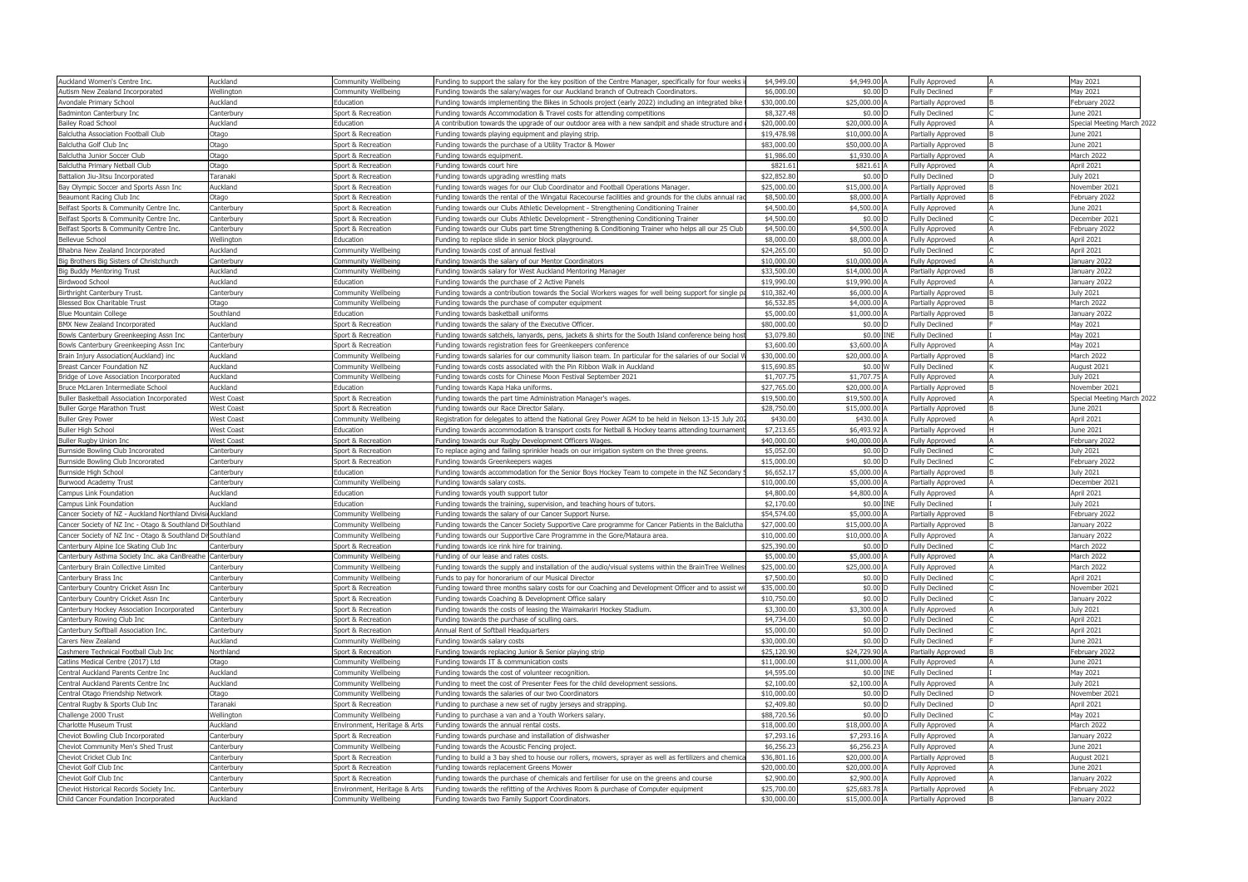| Auckland Women's Centre Inc.                              | Auckland          | Community Wellbeing          | Funding to support the salary for the key position of the Centre Manager, specifically for four weeks i | \$4,949.00  | \$4,949.00 A  | <b>Fully Approved</b> | May 2021                   |  |
|-----------------------------------------------------------|-------------------|------------------------------|---------------------------------------------------------------------------------------------------------|-------------|---------------|-----------------------|----------------------------|--|
| Autism New Zealand Incorporated                           | Wellington        | Community Wellbeing          | Funding towards the salary/wages for our Auckland branch of Outreach Coordinators.                      | \$6,000.0   | \$0.00 D      | <b>Fully Declined</b> | May 2021                   |  |
| Avondale Primary School                                   | Auckland          | Education                    | Funding towards implementing the Bikes in Schools project (early 2022) including an integrated bike     | \$30,000.0  | \$25,000.00 / | Partially Approved    | February 2022              |  |
| Badminton Canterbury Inc                                  | Canterbury        | Sport & Recreation           | Funding towards Accommodation & Travel costs for attending competitions                                 | \$8,327.4   | \$0.00 D      | <b>Fully Declined</b> | June 2021                  |  |
|                                                           | Auckland          | Education                    |                                                                                                         | \$20,000.0  | \$20,000.00 A | <b>Fully Approved</b> |                            |  |
| <b>Bailey Road School</b>                                 |                   |                              | A contribution towards the upgrade of our outdoor area with a new sandpit and shade structure and       |             |               |                       | Special Meeting March 2022 |  |
| Balclutha Association Football Club                       | Otago             | Sport & Recreation           | Funding towards playing equipment and playing strip.                                                    | \$19,478.9  | \$10,000.00   | Partially Approved    | June 2021                  |  |
| Balclutha Golf Club Inc                                   | Otago             | Sport & Recreation           | Funding towards the purchase of a Utility Tractor & Mower                                               | \$83,000.0  | \$50,000.00 A | Partially Approved    | June 2021                  |  |
| Balclutha Junior Soccer Club                              | Otago             | Sport & Recreation           | Funding towards equipment.                                                                              | \$1,986.0   | \$1,930.00 A  | Partially Approved    | March 2022                 |  |
| Balclutha Primary Netball Club                            | Otago             | Sport & Recreation           | Funding towards court hire                                                                              | \$821.6     | \$821.61      | <b>Fully Approved</b> | April 2021                 |  |
| Battalion Jiu-Jitsu Incorporated                          | Taranaki          | Sport & Recreation           | Funding towards upgrading wrestling mats                                                                | \$22,852.8  | \$0.00 D      | <b>Fully Declined</b> | July 2021                  |  |
| Bay Olympic Soccer and Sports Assn Inc                    | Auckland          | Sport & Recreation           | Funding towards wages for our Club Coordinator and Football Operations Manager                          | \$25,000.0  | \$15,000.00 A | Partially Approved    | November 2021              |  |
| Beaumont Racing Club Inc                                  | Otago             | Sport & Recreation           | Funding towards the rental of the Wingatui Racecourse facilities and grounds for the clubs annual ra    | \$8,500.0   | \$8,000.00 A  | Partially Approved    | February 2022              |  |
| Belfast Sports & Community Centre Inc.                    | Canterbury        | Sport & Recreation           | Funding towards our Clubs Athletic Development - Strengthening Conditioning Trainer                     | \$4,500.0   | \$4,500.00 A  | <b>Fully Approved</b> | June 2021                  |  |
| Belfast Sports & Community Centre Inc.                    | Canterbury        | Sport & Recreation           | Funding towards our Clubs Athletic Development - Strengthening Conditioning Trainer                     | \$4,500.0   | $$0.00$ D     | <b>Fully Declined</b> | December 2021              |  |
| Belfast Sports & Community Centre Inc.                    | Canterbury        | Sport & Recreation           | Funding towards our Clubs part time Strengthening & Conditioning Trainer who helps all our 25 Club      | \$4,500.0   | \$4,500.00 A  | <b>Fully Approved</b> | February 2022              |  |
| <b>Bellevue School</b>                                    | Wellington        | Education                    | Funding to replace slide in senior block playground.                                                    | \$8,000.0   | \$8,000.00 A  | <b>Fully Approved</b> | April 2021                 |  |
| Bhabna New Zealand Incorporated                           | Auckland          | Community Wellbeing          | Funding towards cost of annual festival                                                                 | \$24,265.0  | \$0.00 D      | <b>Fully Declined</b> | April 2021                 |  |
| Big Brothers Big Sisters of Christchurch                  | Canterbury        | Community Wellbeing          | Funding towards the salary of our Mentor Coordinators                                                   | \$10,000.0  | \$10,000.00 A | Fully Approved        | January 2022               |  |
| <b>Big Buddy Mentoring Trust</b>                          | Auckland          | Community Wellbeing          | Funding towards salary for West Auckland Mentoring Manager                                              | \$33,500.0  | \$14,000.00 A | Partially Approved    | January 2022               |  |
|                                                           | Auckland          | Education                    |                                                                                                         | \$19,990.0  | \$19,990.00   |                       | January 2022               |  |
| Birdwood School                                           |                   |                              | Funding towards the purchase of 2 Active Panels                                                         |             |               | Fully Approved        |                            |  |
| Birthright Canterbury Trust.                              | Canterbury        | Community Wellbeing          | Funding towards a contribution towards the Social Workers wages for well being support for single pa    | \$10,382.4  | \$6,000.00 A  | Partially Approved    | <b>July 2021</b>           |  |
| Blessed Box Charitable Trust                              | Otago             | Community Wellbeing          | Funding towards the purchase of computer equipment                                                      | \$6,532.8   | \$4,000.00 A  | Partially Approved    | March 2022                 |  |
| <b>Blue Mountain College</b>                              | Southland         | Education                    | Funding towards basketball uniforms                                                                     | \$5,000.0   | \$1,000.00 A  | Partially Approved    | January 2022               |  |
| BMX New Zealand Incorporated                              | Auckland          | Sport & Recreation           | Funding towards the salary of the Executive Officer.                                                    | \$80,000.0  | \$0.00 D      | <b>Fully Declined</b> | May 2021                   |  |
| Bowls Canterbury Greenkeeping Assn Inc                    | Canterbury        | Sport & Recreation           | Funding towards satchels, lanyards, pens, jackets & shirts for the South Island conference being host   | \$3,079.8   | \$0.00 INE    | <b>Fully Declined</b> | May 2021                   |  |
| Bowls Canterbury Greenkeeping Assn Inc                    | Canterbury        | Sport & Recreation           | Funding towards registration fees for Greenkeepers conference                                           | \$3,600.0   | \$3,600.00 A  | <b>Fully Approved</b> | May 2021                   |  |
| Brain Injury Association(Auckland) inc                    | Auckland          | Community Wellbeing          | Funding towards salaries for our community liaison team. In particular for the salaries of our Social \ | \$30,000.0  | \$20,000.00 A | Partially Approved    | March 2022                 |  |
| Breast Cancer Foundation NZ                               | Auckland          | Community Wellbeing          | Funding towards costs associated with the Pin Ribbon Walk in Auckland                                   | \$15,690.8  | \$0.00 W      | <b>Fully Declined</b> | August 2021                |  |
| Bridge of Love Association Incorporated                   | Auckland          | Community Wellbeing          | Funding towards costs for Chinese Moon Festival September 2021                                          | \$1,707.7   | \$1,707.75 A  | <b>Fully Approved</b> | July 2021                  |  |
| Bruce McLaren Intermediate School                         | Auckland          | Education                    | Funding towards Kapa Haka uniforms.                                                                     | \$27,765.0  | \$20,000.00 A | Partially Approved    | November 2021              |  |
| Buller Basketball Association Incorporated                | <b>West Coast</b> | Sport & Recreation           | Funding towards the part time Administration Manager's wages.                                           | \$19,500.0  | \$19,500.00 A | <b>Fully Approved</b> | Special Meeting March 2022 |  |
| <b>Buller Gorge Marathon Trust</b>                        | <b>West Coast</b> | Sport & Recreation           | Funding towards our Race Director Salary.                                                               | \$28,750.0  | \$15,000.00 A | Partially Approved    | June 2021                  |  |
| <b>Buller Grey Power</b>                                  | <b>West Coast</b> | Community Wellbeing          | Registration for delegates to attend the National Grey Power AGM to be held in Nelson 13-15 July 20.    | \$430.0     | \$430.00 A    | <b>Fully Approved</b> | April 2021                 |  |
|                                                           | <b>West Coast</b> | Education                    |                                                                                                         | \$7,213.6   | \$6,493.92    |                       | June 2021                  |  |
| <b>Buller High School</b>                                 |                   |                              | Funding towards accommodation & transport costs for Netball & Hockey teams attending tournament         |             | \$40,000.00 A | Partially Approved    |                            |  |
| Buller Rugby Union Inc                                    | <b>West Coast</b> | Sport & Recreation           | Funding towards our Rugby Development Officers Wages.                                                   | \$40,000.0  |               | <b>Fully Approved</b> | February 2022              |  |
| Burnside Bowling Club Incororated                         | Canterbury        | Sport & Recreation           | To replace aging and failing sprinkler heads on our irrigation system on the three greens.              | \$5,052.0   | \$0.00 D      | <b>Fully Declined</b> | <b>July 2021</b>           |  |
| Burnside Bowling Club Incororated                         | Canterbury        | Sport & Recreation           | Funding towards Greenkeepers wages                                                                      | \$15,000.0  | \$0.00 D      | <b>Fully Declined</b> | February 2022              |  |
| Burnside High School                                      | Canterbury        | Education                    | Funding towards accommodation for the Senior Boys Hockey Team to compete in the NZ Secondary            | \$6,652.1   | \$5,000.00 A  | Partially Approved    | <b>July 2021</b>           |  |
| <b>Burwood Academy Trust</b>                              | Canterbury        | Community Wellbeing          | Funding towards salary costs.                                                                           | $$10,000$ . | \$5,000.00    | Partially Approved    | December 2021              |  |
| Campus Link Foundation                                    | Auckland          | Education                    | Funding towards youth support tutor                                                                     | \$4,800.0   | \$4,800.00 A  | <b>Fully Approved</b> | April 2021                 |  |
| Campus Link Foundation                                    | Auckland          | Education                    | Funding towards the training, supervision, and teaching hours of tutors.                                | \$2,170.00  | \$0.00 INE    | <b>Fully Declined</b> | July 2021                  |  |
| Cancer Society of NZ - Auckland Northland Divisi Auckland |                   | Community Wellbeing          | Funding towards the salary of our Cancer Support Nurse.                                                 | \$54,574.0  | \$5,000.00 A  | Partially Approved    | February 2022              |  |
| Cancer Society of NZ Inc - Otago & Southland D            | i Southland       | Community Wellbeing          | Funding towards the Cancer Society Supportive Care programme for Cancer Patients in the Balclutha       | \$27,000.0  | \$15,000.00 A | Partially Approved    | January 2022               |  |
| Cancer Society of NZ Inc - Otago & Southland Di Southland |                   | Community Wellbeing          | Funding towards our Supportive Care Programme in the Gore/Mataura area.                                 | \$10,000.0  | \$10,000.00 A | Fully Approved        | January 2022               |  |
| Canterbury Alpine Ice Skating Club Inc                    | Canterbury        | Sport & Recreation           | Funding towards ice rink hire for training.                                                             | \$25,390.00 | \$0.00 D      | <b>Fully Declined</b> | March 2022                 |  |
| Canterbury Asthma Society Inc. aka CanBreathe Canterbury  |                   | Community Wellbeing          | Funding of our lease and rates costs.                                                                   | \$5,000.0   | \$5,000.00 A  | <b>Fully Approved</b> | March 2022                 |  |
| Canterbury Brain Collective Limited                       | Canterbury        | Community Wellbeing          | Funding towards the supply and installation of the audio/visual systems within the BrainTree Wellnes    | \$25,000.0  | \$25,000.00 A | <b>Fully Approved</b> | March 2022                 |  |
| Canterbury Brass Inc                                      | Canterbury        | Community Wellbeing          | Funds to pay for honorarium of our Musical Director                                                     | \$7,500.0   | \$0.00 D      | <b>Fully Declined</b> | April 2021                 |  |
| Canterbury Country Cricket Assn Inc                       | Canterbury        | Sport & Recreation           | Funding toward three months salary costs for our Coaching and Development Officer and to assist wi      | \$35,000.0  | \$0.00 D      | <b>Fully Declined</b> | November 2021              |  |
| Canterbury Country Cricket Assn Inc                       | Canterbury        | Sport & Recreation           | Funding towards Coaching & Development Office salary                                                    | \$10,750.0  | \$0.00 D      | <b>Fully Declined</b> | January 2022               |  |
| Canterbury Hockey Association Incorporated                | Canterbury        |                              | Funding towards the costs of leasing the Waimakariri Hockey Stadium.                                    | \$3,300.0   | \$3,300.00 A  | <b>Fully Approved</b> | July 2021                  |  |
|                                                           |                   | Sport & Recreation           |                                                                                                         |             | \$0.00 D      |                       | April 2021                 |  |
| Canterbury Rowing Club Inc                                | Canterbury        | Sport & Recreation           | Funding towards the purchase of sculling oars.                                                          | \$4,734.00  |               | <b>Fully Declined</b> |                            |  |
| Canterbury Softball Association Inc.                      | Canterbury        | Sport & Recreation           | Annual Rent of Softball Headquarters                                                                    | \$5,000.0   | \$0.00 D      | <b>Fully Declined</b> | April 2021                 |  |
| Carers New Zealand                                        | Auckland          | Community Wellbeing          | Funding towards salary costs                                                                            | \$30,000.0  | \$0.00 D      | <b>Fully Declined</b> | June 2021                  |  |
| Cashmere Technical Football Club Inc                      | Northland         | Sport & Recreation           | Funding towards replacing Junior & Senior playing strip                                                 | \$25,120.9  | \$24,729.90 A | Partially Approved    | February 2022              |  |
| Catlins Medical Centre (2017) Ltd                         | Otago             | Community Wellbeing          | Funding towards IT & communication costs                                                                | \$11,000.0  | \$11,000.00 A | <b>Fully Approved</b> | June 2021                  |  |
| Central Auckland Parents Centre Inc                       | Auckland          | Community Wellbeing          | Funding towards the cost of volunteer recognition.                                                      | \$4,595.0   | \$0.00 INE    | <b>Fully Declined</b> | May 2021                   |  |
| Central Auckland Parents Centre Inc                       | Auckland          | Community Wellbeing          | Funding to meet the cost of Presenter Fees for the child development sessions.                          | \$2,100.0   | \$2,100.00 A  | <b>Fully Approved</b> | July 2021                  |  |
| Central Otago Friendship Network                          | Otago             | Community Wellbeing          | Funding towards the salaries of our two Coordinators                                                    | \$10,000.0  | \$0.00 D      | <b>Fully Declined</b> | November 2021              |  |
| Central Rugby & Sports Club Inc                           | Taranaki          | Sport & Recreation           | Funding to purchase a new set of rugby jerseys and strapping.                                           | \$2,409.80  | \$0.00 D      | <b>Fully Declined</b> | April 2021                 |  |
| Challenge 2000 Trust                                      | Wellington        | Community Wellbeing          | Funding to purchase a van and a Youth Workers salary.                                                   | \$88,720.5  | \$0.00 D      | <b>Fully Declined</b> | May 2021                   |  |
| Charlotte Museum Trust                                    | Auckland          | Environment, Heritage & Arts | Funding towards the annual rental costs.                                                                | \$18,000.00 | \$18,000.00 A | <b>Fully Approved</b> | March 2022                 |  |
| Cheviot Bowling Club Incorporated                         | Canterbury        | Sport & Recreation           | Funding towards purchase and installation of dishwasher                                                 | \$7,293.16  | \$7,293.16 A  | <b>Fully Approved</b> | January 2022               |  |
| Cheviot Community Men's Shed Trust                        | Canterbury        | Community Wellbeing          | Funding towards the Acoustic Fencing project.                                                           | \$6,256.2   | \$6,256.23    | <b>Fully Approved</b> | June 2021                  |  |
| Cheviot Cricket Club Inc                                  | Canterbury        | Sport & Recreation           | Funding to build a 3 bay shed to house our rollers, mowers, sprayer as well as fertilizers and chemic   | \$36,801.1  | \$20,000.00 A | Partially Approved    | August 2021                |  |
| Cheviot Golf Club Inc                                     | Canterbury        | Sport & Recreation           | Funding towards replacement Greens Mower                                                                | \$20,000.00 | \$20,000.00 A | <b>Fully Approved</b> | June 2021                  |  |
| Cheviot Golf Club Inc                                     | Canterbury        | Sport & Recreation           | Funding towards the purchase of chemicals and fertiliser for use on the greens and course               | \$2,900.0   | \$2,900.00 A  | <b>Fully Approved</b> | January 2022               |  |
| Cheviot Historical Records Society Inc.                   | Canterbury        | Environment, Heritage & Arts | Funding towards the refitting of the Archives Room & purchase of Computer equipment                     | \$25,700.0  | \$25,683.78 A | Partially Approved    | February 2022              |  |
| Child Cancer Foundation Incorporated                      |                   |                              |                                                                                                         |             |               |                       |                            |  |
|                                                           | Auckland          | <b>Community Wellbeing</b>   | Funding towards two Family Support Coordinators.                                                        | \$30,000.00 | \$15,000.00 A | Partially Approved    | January 2022               |  |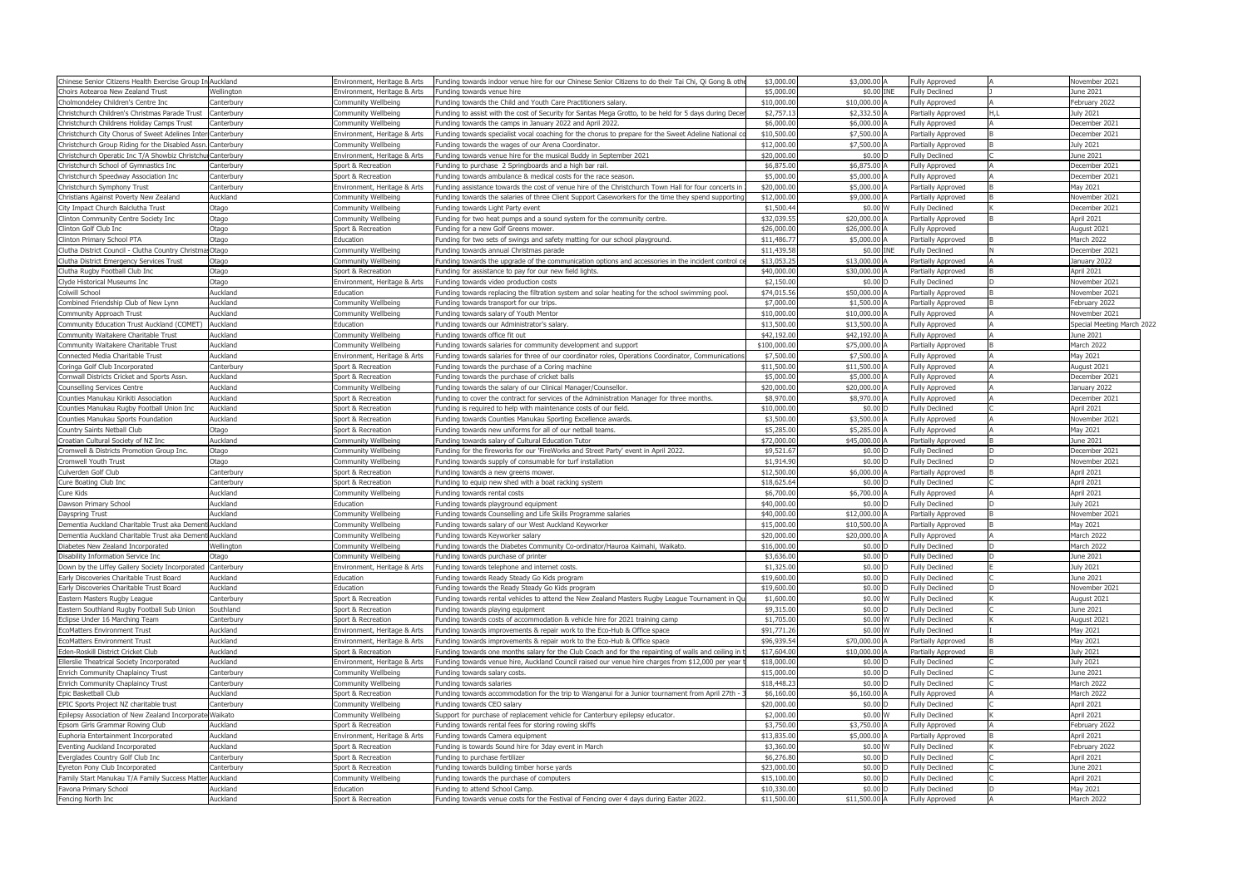| Chinese Senior Citizens Health Exercise Group In Auckland |            | Environment, Heritage & Arts | Funding towards indoor venue hire for our Chinese Senior Citizens to do their Tai Chi, Qi Gong & other | \$3,000.00  | \$3,000.00 A  | Fully Approved            | November 2021              |
|-----------------------------------------------------------|------------|------------------------------|--------------------------------------------------------------------------------------------------------|-------------|---------------|---------------------------|----------------------------|
| Choirs Aotearoa New Zealand Trust                         | Wellington | Environment, Heritage & Arts | Funding towards venue hire                                                                             | \$5,000.00  | \$0.00 INE    | <b>Fully Declined</b>     | June 2021                  |
| Cholmondeley Children's Centre Inc                        | Canterbury | <b>Community Wellbeing</b>   | Funding towards the Child and Youth Care Practitioners salary.                                         | \$10,000.00 | \$10,000.00   | <b>Fully Approved</b>     | February 2022              |
| Christchurch Children's Christmas Parade Trust            | Canterbury | Community Wellbeing          | Funding to assist with the cost of Security for Santas Mega Grotto, to be held for 5 days during Decer | \$2,757.1   | \$2,332.50 A  | Partially Approved        | July 2021                  |
| Christchurch Childrens Holiday Camps Trust                | Canterbury | <b>Community Wellbeing</b>   | Funding towards the camps in January 2022 and April 2022.                                              | \$6,000.0   | \$6,000.00    | <b>Fully Approved</b>     | December 2021              |
| Christchurch City Chorus of Sweet Adelines Inter          | Canterbury | Environment, Heritage & Arts | Funding towards specialist vocal coaching for the chorus to prepare for the Sweet Adeline National co  | \$10,500.00 | \$7,500.00    | Partially Approved        | December 2021              |
| Christchurch Group Riding for the Disabled Assi           | Canterbury | Community Wellbeing          | Funding towards the wages of our Arena Coordinator                                                     | \$12,000.0  | \$7,500.00 A  | Partially Approved        | July 2021                  |
| Christchurch Operatic Inc T/A Showbiz Christchu           | Canterbury | Environment, Heritage & Arts | Funding towards venue hire for the musical Buddy in September 2021                                     | \$20,000.0  | \$0.00 D      | <b>Fully Declined</b>     | June 2021                  |
| Christchurch School of Gymnastics Inc                     | Canterbury | Sport & Recreation           | Funding to purchase 2 Springboards and a high bar rail.                                                | \$6,875.0   | \$6,875.00 A  | <b>Fully Approved</b>     | December 2021              |
| Christchurch Speedway Association Inc                     | Canterbury | Sport & Recreation           | Funding towards ambulance & medical costs for the race season.                                         | \$5,000.00  | \$5,000.00 A  | <b>Fully Approved</b>     | December 2021              |
| Christchurch Symphony Trust                               | Canterbury | Environment, Heritage & Arts | Funding assistance towards the cost of venue hire of the Christchurch Town Hall for four concerts in   | \$20,000.0  | \$5,000.00    | Partially Approved        | May 2021                   |
| Christians Against Poverty New Zealand                    | Auckland   | <b>Community Wellbeing</b>   | Funding towards the salaries of three Client Support Caseworkers for the time they spend supporting    | \$12,000.0  | \$9,000.00    | Partially Approved        | November 2021              |
| City Impact Church Balclutha Trust                        | Otago      | Community Wellbeing          | Funding towards Light Party event                                                                      | \$1,500.44  | \$0.00 W      | <b>Fully Declined</b>     | December 2021              |
| Clinton Community Centre Society Inc                      | Otago      | Community Wellbeing          | Funding for two heat pumps and a sound system for the community centre.                                | \$32,039.5  | \$20,000.00   | Partially Approved        | April 2021                 |
| Clinton Golf Club Inc                                     | Otago      | Sport & Recreation           | Funding for a new Golf Greens mower.                                                                   | \$26,000.00 | \$26,000.00 A | <b>Fully Approved</b>     | August 2021                |
| Clinton Primary School PTA                                | Otago      | Education                    | Funding for two sets of swings and safety matting for our school playground.                           | \$11,486.7  | \$5,000.00 A  | Partially Approved        | March 2022                 |
| Clutha District Council - Clutha Country Christma Otago   |            | Community Wellbeing          | Funding towards annual Christmas parade                                                                | \$11,439.58 | \$0.00 INE    | <b>Fully Declined</b>     | December 2021              |
| Clutha District Emergency Services Trust                  | Otago      | <b>Community Wellbeing</b>   | Funding towards the upgrade of the communication options and accessories in the incident control ce    | \$13,053.25 | \$13,000.00   | Partially Approved        | January 2022               |
| Clutha Rugby Football Club Inc                            | Otago      | Sport & Recreation           | Funding for assistance to pay for our new field lights.                                                | \$40,000.00 | \$30,000.00 A | Partially Approved        | April 2021                 |
| Clyde Historical Museums Inc                              | Otago      | Environment, Heritage & Arts | Funding towards video production costs                                                                 | \$2,150.0   | \$0.00 D      | <b>Fully Declined</b>     | November 2021              |
| Colwill School                                            | Auckland   | Education                    | Funding towards replacing the filtration system and solar heating for the school swimming pool.        | \$74,015.56 | \$50,000.00 A | <b>Partially Approved</b> | November 2021              |
| Combined Friendship Club of New Lynn                      | Auckland   |                              |                                                                                                        | \$7,000.00  | \$1,500.00 A  |                           | February 2022              |
|                                                           | Auckland   | Community Wellbeing          | Funding towards transport for our trips.                                                               |             | \$10,000.00   | Partially Approved        |                            |
| Community Approach Trust                                  |            | <b>Community Wellbeing</b>   | Funding towards salary of Youth Mentor                                                                 | \$10,000.0  |               | Fully Approved            | November 2021              |
| Community Education Trust Auckland (COMET)                | Auckland   | Education                    | Funding towards our Administrator's salary.                                                            | \$13,500.0  | \$13,500.00 A | <b>Fully Approved</b>     | Special Meeting March 2022 |
| Community Waitakere Charitable Trust                      | Auckland   | <b>Community Wellbeing</b>   | Funding towards office fit out                                                                         | \$42,192.00 | \$42,192.00   | <b>Fully Approved</b>     | June 2021                  |
| Community Waitakere Charitable Trust                      | Auckland   | Community Wellbeing          | Funding towards salaries for community development and support                                         | \$100,000.0 | \$75,000.00   | Partially Approved        | March 2022                 |
| Connected Media Charitable Trust                          | Auckland   | Environment, Heritage & Arts | Funding towards salaries for three of our coordinator roles, Operations Coordinator, Communications    | \$7,500.0   | \$7,500.00 A  | <b>Fully Approved</b>     | May 2021                   |
| Coringa Golf Club Incorporated                            | Canterbury | Sport & Recreation           | Funding towards the purchase of a Coring machine                                                       | \$11,500.0  | \$11,500.00 A | <b>Fully Approved</b>     | August 2021                |
| Cornwall Districts Cricket and Sports Assn                | Auckland   | Sport & Recreation           | Funding towards the purchase of cricket balls                                                          | \$5,000.0   | \$5,000.00    | Fully Approved            | December 2021              |
| <b>Counselling Services Centre</b>                        | Auckland   | Community Wellbeing          | Funding towards the salary of our Clinical Manager/Counsellor.                                         | \$20,000.0  | \$20,000.00   | <b>Fully Approved</b>     | January 2022               |
| Counties Manukau Kirikiti Association                     | Auckland   | Sport & Recreation           | Funding to cover the contract for services of the Administration Manager for three months.             | \$8,970.0   | \$8,970.00 /  | <b>Fully Approved</b>     | December 2021              |
| Counties Manukau Rugby Football Union Inc                 | Auckland   | Sport & Recreation           | Funding is required to help with maintenance costs of our field.                                       | \$10,000.00 | \$0.00 D      | <b>Fully Declined</b>     | April 2021                 |
| Counties Manukau Sports Foundation                        | Auckland   | Sport & Recreation           | Funding towards Counties Manukau Sporting Excellence awards.                                           | \$3,500.0   | \$3,500.00    | <b>Fully Approved</b>     | November 2021              |
| Country Saints Netball Club                               | Otago      | Sport & Recreation           | Funding towards new uniforms for all of our netball teams.                                             | \$5,285.0   | \$5,285.00    | <b>Fully Approved</b>     | May 2021                   |
| Croatian Cultural Society of NZ Inc                       | Auckland   | Community Wellbeing          | Funding towards salary of Cultural Education Tutor                                                     | \$72,000.00 | \$45,000.00 A | Partially Approved        | June 2021                  |
| Cromwell & Districts Promotion Group Inc.                 | Otago      | <b>Community Wellbeing</b>   | Funding for the fireworks for our 'FireWorks and Street Party' event in April 2022.                    | \$9,521.67  | \$0.00 D      | <b>Fully Declined</b>     | December 2021              |
| Cromwell Youth Trust                                      | Otago      | <b>Community Wellbeing</b>   | Funding towards supply of consumable for turf installation                                             | \$1,914.90  | \$0.00        | <b>Fully Declined</b>     | November 2021              |
| Culverden Golf Club                                       | Canterbury | Sport & Recreation           | Funding towards a new greens mower.                                                                    | \$12,500.00 | \$6,000.00 A  | Partially Approved        | April 2021                 |
| Cure Boating Club Inc                                     | Canterbury | Sport & Recreation           | Funding to equip new shed with a boat racking system                                                   | \$18,625.64 | \$0.00 D      | <b>Fully Declined</b>     | April 2021                 |
| Cure Kids                                                 | Auckland   | Community Wellbeing          | Funding towards rental costs                                                                           | \$6,700.00  | \$6,700.00 A  | <b>Fully Approved</b>     | April 2021                 |
| Dawson Primary School                                     | Auckland   | Education                    | Funding towards playground equipment                                                                   | \$40,000.00 | \$0.00 D      | <b>Fully Declined</b>     | <b>July 2021</b>           |
| Dayspring Trust                                           | Auckland   | Community Wellbeing          | Funding towards Counselling and Life Skills Programme salaries                                         | \$40,000.0  | \$12,000.00   | Partially Approved        | November 2021              |
| Dementia Auckland Charitable Trust aka Demen              | Auckland   | Community Wellbeing          | Funding towards salary of our West Auckland Keyworker                                                  | \$15,000.0  | \$10,500.00 A | Partially Approved        | May 2021                   |
| Dementia Auckland Charitable Trust aka Dement Auckland    |            | <b>Community Wellbeing</b>   | Funding towards Keyworker salary                                                                       | \$20,000.00 | \$20,000.00 A | <b>Fully Approved</b>     | March 2022                 |
| Diabetes New Zealand Incorporated                         | Wellington | <b>Community Wellbeing</b>   | Funding towards the Diabetes Community Co-ordinator/Hauroa Kaimahi, Waikato.                           | \$16,000.00 | \$0.00 D      | <b>Fully Declined</b>     | March 2022                 |
| Disability Information Service Inc                        | Otago      | Community Wellbeing          | Funding towards purchase of printer                                                                    | \$3,636.00  | $$0.00$ D     | <b>Fully Declined</b>     | June 2021                  |
| Down by the Liffey Gallery Society Incorporated           | Canterbury | Environment, Heritage & Arts | Funding towards telephone and internet costs.                                                          | \$1,325.00  | \$0.00 D      | <b>Fully Declined</b>     | July 2021                  |
| Early Discoveries Charitable Trust Board                  | Auckland   | Education                    | Funding towards Ready Steady Go Kids program                                                           | \$19,600.00 | $$0.00$ D     | <b>Fully Declined</b>     | June 2021                  |
| Early Discoveries Charitable Trust Board                  | Auckland   | Education                    | Funding towards the Ready Steady Go Kids program                                                       | \$19,600.0  | \$0.00 D      | <b>Fully Declined</b>     | November 2021              |
| Eastern Masters Rugby League                              | Canterbury | Sport & Recreation           | Funding towards rental vehicles to attend the New Zealand Masters Rugby League Tournament in Qu        | \$1,600.00  | \$0.00 W      | <b>Fully Declined</b>     | August 2021                |
| Eastern Southland Rugby Football Sub Union                | Southland  | Sport & Recreation           | Funding towards playing equipment                                                                      | \$9,315.00  | \$0.00 D      | <b>Fully Declined</b>     | June 2021                  |
| Eclipse Under 16 Marching Team                            | Canterbury | Sport & Recreation           | Funding towards costs of accommodation & vehicle hire for 2021 training camp                           | \$1,705.00  | \$0.00 W      | <b>Fully Declined</b>     | August 2021                |
| <b>EcoMatters Environment Trust</b>                       | Auckland   | Environment, Heritage & Arts | Funding towards improvements & repair work to the Eco-Hub & Office space                               | \$91,771.26 | \$0.00 W      | <b>Fully Declined</b>     | May 2021                   |
| <b>EcoMatters Environment Trust</b>                       | Auckland   | Environment, Heritage & Arts | Funding towards improvements & repair work to the Eco-Hub & Office space                               | \$96,939.54 | \$70,000.00 A | Partially Approved        | May 2021                   |
| Eden-Roskill District Cricket Club                        | Auckland   | Sport & Recreation           | Funding towards one months salary for the Club Coach and for the repainting of walls and ceiling in t  | \$17,604.00 | \$10,000.00 A | Partially Approved        | <b>July 2021</b>           |
| Ellerslie Theatrical Society Incorporated                 | Auckland   | Environment, Heritage & Arts | Funding towards venue hire, Auckland Council raised our venue hire charges from \$12,000 per year      | \$18,000.00 | \$0.00 D      | <b>Fully Declined</b>     | <b>July 2021</b>           |
| Enrich Community Chaplaincy Trust                         | Canterbury | <b>Community Wellbeing</b>   | Funding towards salary costs.                                                                          | \$15,000.00 | $$0.00$ D     | <b>Fully Declined</b>     | June 2021                  |
| Enrich Community Chaplaincy Trust                         | Canterbury | <b>Community Wellbeing</b>   | Funding towards salaries                                                                               | \$18,448.23 | $$0.00$ D     | <b>Fully Declined</b>     | March 2022                 |
| Epic Basketball Club                                      | Auckland   | Sport & Recreation           | Funding towards accommodation for the trip to Wanganui for a Junior tournament from April 27th         | \$6,160.00  | \$6,160.00    | Fully Approved            | March 2022                 |
| EPIC Sports Project NZ charitable trust                   | Canterbury | Community Wellbeing          | Funding towards CEO salary                                                                             | \$20,000.00 | \$0.00 D      | <b>Fully Declined</b>     | April 2021                 |
| Epilepsy Association of New Zealand Incorporate           | Waikato    | Community Wellbeing          | Support for purchase of replacement vehicle for Canterbury epilepsy educator.                          | \$2,000.00  | \$0.00 W      | <b>Fully Declined</b>     | April 2021                 |
| Epsom Girls Grammar Rowing Club                           | Auckland   | Sport & Recreation           | Funding towards rental fees for storing rowing skiffs                                                  | \$3,750.00  | \$3,750.00 A  | <b>Fully Approved</b>     | February 2022              |
| Euphoria Entertainment Incorporated                       | Auckland   | Environment, Heritage & Arts | Funding towards Camera equipment                                                                       | \$13,835.00 | \$5,000.00 A  | Partially Approved        | April 2021                 |
| Eventing Auckland Incorporated                            | Auckland   | Sport & Recreation           | Funding is towards Sound hire for 3day event in March                                                  | \$3,360.00  | \$0.00 W      | <b>Fully Declined</b>     | February 2022              |
| Everglades Country Golf Club Inc                          | Canterbury | Sport & Recreation           | Funding to purchase fertilizer                                                                         | \$6,276.80  | \$0.00 D      | <b>Fully Declined</b>     | April 2021                 |
| Eyreton Pony Club Incorporated                            | Canterbury | Sport & Recreation           | Funding towards building timber horse yards                                                            | \$23,000.00 | \$0.00 D      | <b>Fully Declined</b>     | June 2021                  |
| Family Start Manukau T/A Family Success Matte             | Auckland   | Community Wellbeing          | Funding towards the purchase of computers                                                              | \$15,100.00 | \$0.00 D      | <b>Fully Declined</b>     | April 2021                 |
| Favona Primary School                                     | Auckland   | Education                    | Funding to attend School Camp.                                                                         | \$10,330.00 | \$0.00 D      | <b>Fully Declined</b>     | May 2021                   |
| Fencing North Inc                                         | Auckland   | Sport & Recreation           | Funding towards venue costs for the Festival of Fencing over 4 days during Easter 2022.                | \$11,500.00 | \$11,500.00 A | <b>Fully Approved</b>     | March 2022                 |
|                                                           |            |                              |                                                                                                        |             |               |                           |                            |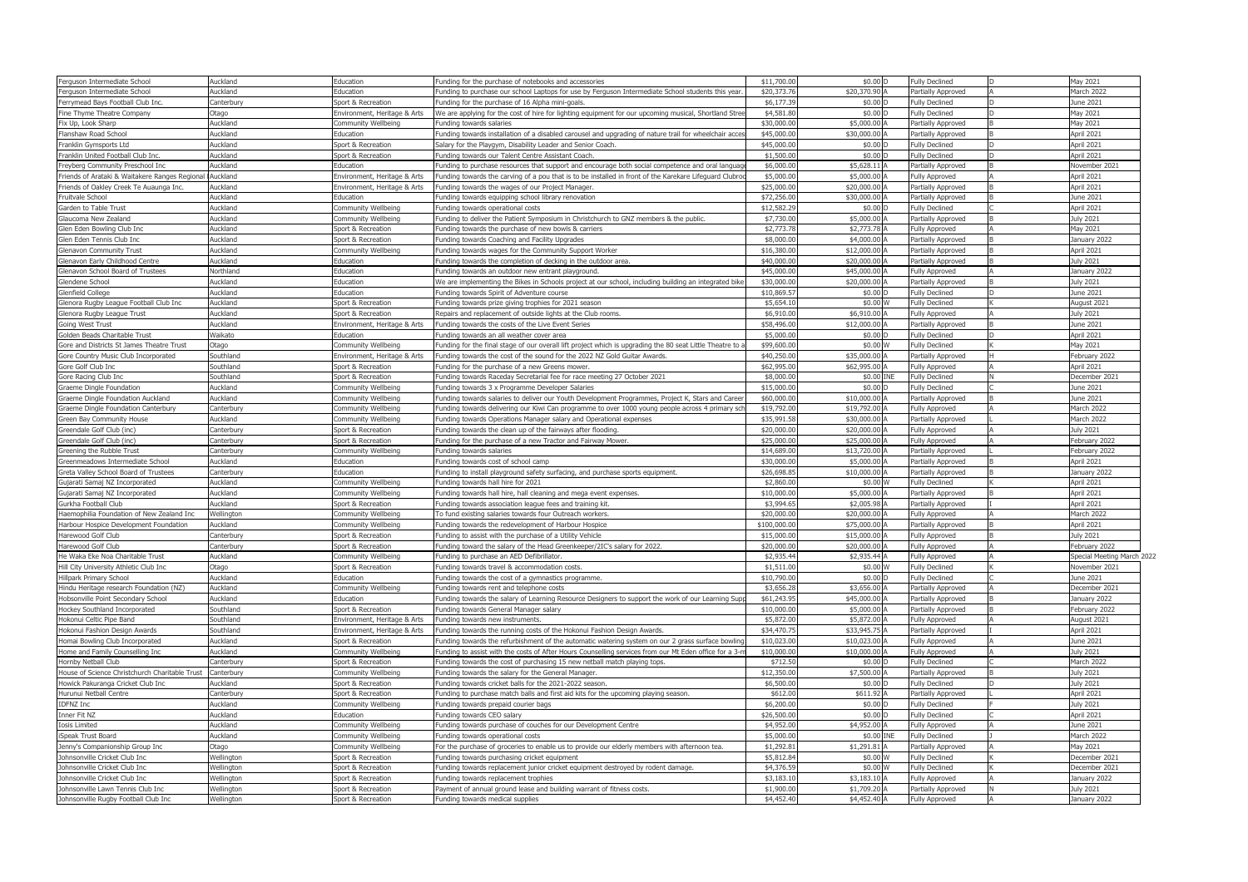| Ferguson Intermediate School                                     | Auckland                   | Education                                 | Funding for the purchase of notebooks and accessories                                                                                         | \$11,700.00              | \$0.00 D                       | <b>Fully Declined</b>                       | May 2021                       |
|------------------------------------------------------------------|----------------------------|-------------------------------------------|-----------------------------------------------------------------------------------------------------------------------------------------------|--------------------------|--------------------------------|---------------------------------------------|--------------------------------|
| Ferguson Intermediate School                                     | Auckland                   | Education                                 | Funding to purchase our school Laptops for use by Ferguson Intermediate School students this year                                             | \$20,373.7               | \$20,370.90 A                  | Partially Approved                          | March 2022                     |
| Ferrymead Bays Football Club Inc.                                | Canterbury                 | Sport & Recreation                        | Funding for the purchase of 16 Alpha mini-goals                                                                                               | \$6,177.39               | \$0.00 D                       | <b>Fully Declined</b>                       | June 2021                      |
| Fine Thyme Theatre Company                                       | )tago                      | Environment, Heritage & Arts              | We are applying for the cost of hire for lighting equipment for our upcoming musical, Shortland Stree                                         | \$4,581.8                | \$0.00 D                       | <b>Fully Declined</b>                       | May 2021                       |
| Fix Up, Look Sharp                                               | Auckland                   | Community Wellbeing                       | Funding towards salaries                                                                                                                      | \$30,000.0               | \$5,000.00 A                   | Partially Approved                          | May 2021                       |
| Flanshaw Road School                                             | Auckland                   | Education                                 | Funding towards installation of a disabled carousel and upgrading of nature trail for wheelchair acces                                        | \$45,000.0               | \$30,000.00                    | Partially Approved                          | April 2021                     |
| Franklin Gymsports Ltd                                           | <b>uckland</b>             | Sport & Recreation                        | Salary for the Playgym, Disability Leader and Senior Coach.                                                                                   | \$45,000.0               | \$0.00 D                       | <b>Fully Declined</b>                       | April 2021                     |
| Franklin United Football Club Inc.                               | Auckland                   | Sport & Recreation                        | Funding towards our Talent Centre Assistant Coach                                                                                             | \$1,500.0                | \$0.00 D                       | <b>Fully Declined</b>                       | April 2021                     |
| Freyberg Community Preschool Inc                                 | Auckland                   | Education                                 | Funding to purchase resources that support and encourage both social competence and oral languag                                              | \$6,000.0                | \$5,628.11                     | Partially Approved                          | November 2021                  |
| Friends of Arataki & Waitakere Ranges Regional Auckland          |                            | Environment, Heritage & Arts              | Funding towards the carving of a pou that is to be installed in front of the Karekare Lifeguard Clubroo                                       | \$5,000.0                | \$5,000.00 A                   | Fully Approved                              | April 2021                     |
| Friends of Oakley Creek Te Auaunga Inc.                          | Auckland                   | Environment, Heritage & Arts              | Funding towards the wages of our Project Manager.                                                                                             | \$25,000.0               | \$20,000.00                    | Partially Approved                          | April 2021                     |
| Fruitvale School                                                 | Auckland                   | Education                                 | Funding towards equipping school library renovation                                                                                           | \$72,256.0               | \$30,000.00                    | Partially Approved                          | June 2021                      |
| Garden to Table Trust                                            | Auckland                   | Community Wellbeing                       | Funding towards operational costs                                                                                                             | \$12,582.2               | \$0.00 D                       | <b>Fully Declined</b>                       | April 2021                     |
| Glaucoma New Zealand                                             | Auckland                   | Community Wellbeing                       | Funding to deliver the Patient Symposium in Christchurch to GNZ members & the public                                                          | \$7,730.0                | \$5,000.00                     | Partially Approved                          | <b>July 2021</b>               |
| Glen Eden Bowling Club Inc                                       | Auckland                   | Sport & Recreation                        | Funding towards the purchase of new bowls & carriers                                                                                          | \$2,773.78               | \$2,773.78 A                   | Fully Approved                              | May 2021                       |
| Glen Eden Tennis Club Inc                                        | Auckland                   | Sport & Recreation                        | Funding towards Coaching and Facility Upgrades                                                                                                | \$8,000.0                | \$4,000.00 A                   | Partially Approved                          | January 2022                   |
| <b>Glenavon Community Trust</b>                                  | Auckland                   | Community Wellbeing                       | Funding towards wages for the Community Support Worker                                                                                        | \$16,380.0               | \$12,000.00                    | Partially Approved                          | April 2021                     |
| Glenavon Early Childhood Centre                                  | Auckland                   | Education                                 | Funding towards the completion of decking in the outdoor area.                                                                                | \$40,000.0               | \$20,000.00 A                  | Partially Approved                          | <b>July 2021</b>               |
| Glenavon School Board of Trustees                                | <b>Northland</b>           | Education                                 | Funding towards an outdoor new entrant playground.                                                                                            | \$45,000.0               | \$45,000.00 A                  | <b>Fully Approved</b>                       | January 2022                   |
| Glendene School                                                  | <b>uckland</b>             | Education                                 | We are implementing the Bikes in Schools project at our school, including building an integrated bike                                         | \$30,000.0               | \$20,000.00                    | Partially Approved                          | July 2021                      |
| Glenfield College                                                | Auckland                   | Education                                 | Funding towards Spirit of Adventure course                                                                                                    | \$10,869.5               | \$0.00 D                       | <b>Fully Declined</b>                       | June 2021                      |
| Glenora Rugby League Football Club Inc                           | Auckland                   | Sport & Recreation                        | Funding towards prize giving trophies for 2021 season                                                                                         | \$5,654.1                | \$0.00 W                       | <b>Fully Declined</b>                       | August 2021                    |
| Glenora Rugby League Trust                                       | <b>uckland</b>             | Sport & Recreation                        | Repairs and replacement of outside lights at the Club rooms.                                                                                  | \$6,910.0                | \$6,910.00                     | Fully Approved                              | July 2021                      |
| Going West Trust                                                 | Auckland                   | Environment, Heritage & Arts              | Funding towards the costs of the Live Event Series                                                                                            | \$58,496.0               | \$12,000.00 A                  | Partially Approved                          | June 2021                      |
| Golden Beads Charitable Trust                                    | <b>Naikato</b>             | Education                                 | Funding towards an all weather cover area                                                                                                     | \$5,000.0                | \$0.00 D                       | <b>Fully Declined</b>                       | April 2021                     |
| Gore and Districts St James Theatre Trust                        | )tago                      | Community Wellbeing                       | Funding for the final stage of our overall lift project which is upgrading the 80 seat Little Theatre to a                                    | \$99,600.0               | \$0.00 W                       | <b>Fully Declined</b>                       | May 2021                       |
| Gore Country Music Club Incorporated                             | Southland                  | Environment, Heritage & Arts              | Funding towards the cost of the sound for the 2022 NZ Gold Guitar Awards.                                                                     | \$40,250.0               | \$35,000.00 A                  | Partially Approved                          | February 2022                  |
| Gore Golf Club Inc                                               | Southland                  | Sport & Recreation                        | Funding for the purchase of a new Greens mower.                                                                                               | \$62,995.0               | \$62,995.00 A                  | <b>Fully Approved</b>                       | April 2021                     |
| Gore Racing Club Inc                                             | Southland                  | Sport & Recreation                        | Funding towards Raceday Secretarial fee for race meeting 27 October 2021                                                                      | \$8,000.0                | \$0.00 INE                     | <b>Fully Declined</b>                       | December 2021                  |
| Graeme Dingle Foundation                                         | Auckland                   | Community Wellbeing                       | Funding towards 3 x Programme Developer Salaries                                                                                              | \$15,000.0               | \$0.00 D                       | <b>Fully Declined</b>                       | June 2021                      |
| Graeme Dingle Foundation Auckland                                | Auckland                   | Community Wellbeing                       | Funding towards salaries to deliver our Youth Development Programmes, Project K, Stars and Career                                             | \$60,000.0               | \$10,000.00                    | Partially Approved                          | June 2021                      |
| Graeme Dingle Foundation Canterbury                              | Canterbury                 | Community Wellbeing                       | Funding towards delivering our Kiwi Can programme to over 1000 young people across 4 primary sch                                              | \$19,792.0               | \$19,792.00 A                  | Fully Approved                              | March 2022                     |
| Green Bay Community House                                        | Auckland                   | Community Wellbeing                       | Funding towards Operations Manager salary and Operational expenses                                                                            | \$35,991.5               | \$30,000.00                    | Partially Approved                          | March 2022                     |
| Greendale Golf Club (inc)                                        | Canterbury                 | Sport & Recreation                        | Funding towards the clean up of the fairways after flooding                                                                                   | \$20,000.0               | \$20,000.00                    | <b>Fully Approved</b>                       | July 2021                      |
| Greendale Golf Club (inc)                                        | Canterbury<br>Canterbury   | Sport & Recreation                        | Funding for the purchase of a new Tractor and Fairway Mower.<br>Funding towards salaries                                                      | \$25,000.0<br>\$14,689.0 | \$25,000.00 A<br>\$13,720.00 A | <b>Fully Approved</b><br>Partially Approved | February 2022<br>February 2022 |
| Greening the Rubble Trust<br>Greenmeadows Intermediate School    | Auckland                   | Community Wellbeing<br>Education          | Funding towards cost of school camp                                                                                                           | \$30,000.0               | \$5,000.00                     | Partially Approved                          | April 2021                     |
| Greta Valley School Board of Trustees                            | Canterbury                 | Education                                 | Funding to install playground safety surfacing, and purchase sports equipment.                                                                | \$26,698.8               | \$10,000.00 A                  | Partially Approved                          | January 2022                   |
| Gujarati Samaj NZ Incorporated                                   | Auckland                   | Community Wellbeing                       | Funding towards hall hire for 2021                                                                                                            | \$2,860.0                | \$0.00 W                       | <b>Fully Declined</b>                       | April 2021                     |
| Gujarati Samaj NZ Incorporated                                   | Auckland                   | Community Wellbeing                       | Funding towards hall hire, hall cleaning and mega event expenses.                                                                             | $$10,000$ .              | \$5,000.00                     | Partially Approved                          | April 2021                     |
| Gurkha Football Club                                             | Auckland                   | Sport & Recreation                        | Funding towards association league fees and training kit.                                                                                     | \$3,994.6                | \$2,005.98 A                   | Partially Approved                          | April 2021                     |
| laemophilia Foundation of New Zealand Inc                        | Vellington                 | Community Wellbeing                       | To fund existing salaries towards four Outreach workers.                                                                                      | \$20,000.0               | \$20,000.00                    | Fully Approved                              | March 2022                     |
| Harbour Hospice Development Foundation                           | Auckland                   | Community Wellbeing                       | Funding towards the redevelopment of Harbour Hospice                                                                                          | \$100,000.               | \$75,000.00 A                  | Partially Approved                          | April 2021                     |
| Harewood Golf Club                                               | Canterbury                 | Sport & Recreation                        | Funding to assist with the purchase of a Utility Vehicle                                                                                      | \$15,000.0               | \$15,000.00 A                  | Fully Approved                              | <b>July 2021</b>               |
| Harewood Golf Club                                               | Canterbury                 | Sport & Recreation                        | Funding toward the salary of the Head Greenkeeper/2IC's salary for 2022.                                                                      | \$20,000.00              | \$20,000.00 A                  | Fully Approved                              | February 2022                  |
| He Waka Eke Noa Charitable Trust                                 | Auckland                   | Community Wellbeing                       | Funding to purchase an AED Defibrillator.                                                                                                     | \$2,935.44               | \$2,935.44 A                   | <b>Fully Approved</b>                       | Special Meeting March 2022     |
| Hill City University Athletic Club Inc                           | Otago                      | Sport & Recreation                        | Funding towards travel & accommodation costs.                                                                                                 | \$1,511.00               | \$0.00 W                       | <b>Fully Declined</b>                       | November 2021                  |
| Hillpark Primary School                                          | Auckland                   | Education                                 | Funding towards the cost of a gymnastics programme.                                                                                           | \$10,790.0               | \$0.00 D                       | <b>Fully Declined</b>                       | June 2021                      |
| Hindu Heritage research Foundation (NZ)                          | Auckland                   | Community Wellbeing                       | Funding towards rent and telephone costs                                                                                                      | \$3,656.2                | \$3,656.00 A                   | Partially Approved                          | December 2021                  |
| Hobsonville Point Secondary School                               | Auckland                   | Education                                 | Funding towards the salary of Learning Resource Designers to support the work of our Learning Supp                                            | \$61,243.95              | \$45,000.00                    | Partially Approved                          | January 2022                   |
| Hockey Southland Incorporated                                    | Southland                  | Sport & Recreation                        | Funding towards General Manager salary                                                                                                        | \$10,000.0               | \$5,000.00 A                   | Partially Approved                          | February 2022                  |
| Hokonui Celtic Pipe Band                                         | Southland                  | Environment, Heritage & Arts              | Funding towards new instruments.                                                                                                              | \$5,872.0                | \$5,872.00 A                   | Fully Approved                              | August 2021                    |
| Hokonui Fashion Design Awards                                    | Southland                  | Environment, Heritage & Arts              | Funding towards the running costs of the Hokonui Fashion Design Awards.                                                                       | \$34,470.75              | \$33,945.75 A                  | Partially Approved                          | April 2021                     |
| Homai Bowling Club Incorporated                                  | Auckland                   | Sport & Recreation                        | Funding towards the refurbishment of the automatic watering system on our 2 grass surface bowling                                             | \$10,023.0               | \$10,023.00 A                  | <b>Fully Approved</b>                       | June 2021                      |
| Home and Family Counselling Inc                                  | Auckland                   | Community Wellbeing                       | Funding to assist with the costs of After Hours Counselling services from our Mt Eden office for a 3-n                                        | \$10,000.0               | \$10,000.00 A                  | <b>Fully Approved</b>                       | <b>July 2021</b>               |
| Hornby Netball Club                                              | Canterbury                 | Sport & Recreation                        | Funding towards the cost of purchasing 15 new netball match playing tops.                                                                     | \$712.50                 | $$0.00$ D                      | <b>Fully Declined</b>                       | March 2022                     |
| House of Science Christchurch Charitable Trust                   | Canterbury                 | Community Wellbeing                       | Funding towards the salary for the General Manager.                                                                                           | \$12,350.0               | \$7,500.00 A                   | Partially Approved                          | <b>July 2021</b>               |
| Howick Pakuranga Cricket Club Inc                                | Auckland                   | Sport & Recreation                        | Funding towards cricket balls for the 2021-2022 season.                                                                                       | \$6,500.0                | \$0.00 D                       | <b>Fully Declined</b>                       | <b>July 2021</b>               |
| Hurunui Netball Centre                                           | Canterbury                 | Sport & Recreation                        | Funding to purchase match balls and first aid kits for the upcoming playing season.                                                           | \$612.0                  | \$611.92 A                     | Partially Approved                          | April 2021                     |
| IDFNZ Inc                                                        | Auckland                   | Community Wellbeing                       | Funding towards prepaid courier bags                                                                                                          | \$6,200.00               | \$0.00 D                       | <b>Fully Declined</b>                       | <b>July 2021</b>               |
| nner Fit NZ                                                      | Auckland                   | Education                                 | Funding towards CEO salary                                                                                                                    | \$26,500.0               | \$0.00 D                       | <b>Fully Declined</b>                       | April 2021                     |
| Iosis Limited                                                    | Auckland                   | Community Wellbeing                       | Funding towards purchase of couches for our Development Centre                                                                                | \$4,952.00               | \$4,952.00 A                   | <b>Fully Approved</b>                       | June 2021                      |
| iSpeak Trust Board                                               | Auckland                   | Community Wellbeing                       | Funding towards operational costs                                                                                                             | \$5,000.00<br>\$1,292.8  | \$0.00 INE                     | <b>Fully Declined</b>                       | <b>March 2022</b><br>May 2021  |
| Jenny's Companionship Group Inc<br>Johnsonville Cricket Club Inc | )tago<br><b>Nellington</b> | Community Wellbeing<br>Sport & Recreation | For the purchase of groceries to enable us to provide our elderly members with afternoon tea.<br>Funding towards purchasing cricket equipment | \$5,812.8                | \$1,291.81<br>\$0.00 W         | Partially Approved<br><b>Fully Declined</b> | December 2021                  |
| Johnsonville Cricket Club Inc                                    | <b>Nellington</b>          | Sport & Recreation                        | Funding towards replacement junior cricket equipment destroyed by rodent damage.                                                              | \$4,376.59               | \$0.00 W                       | <b>Fully Declined</b>                       | December 2021                  |
| Johnsonville Cricket Club Inc                                    | Wellington                 | Sport & Recreation                        | Funding towards replacement trophies                                                                                                          | \$3,183.1                | \$3,183.10 A                   | Fully Approved                              | January 2022                   |
| Johnsonville Lawn Tennis Club Inc                                | <b>Nellington</b>          | Sport & Recreation                        | Payment of annual ground lease and building warrant of fitness costs.                                                                         | \$1,900.0                | \$1,709.20 A                   | Partially Approved                          | <b>July 2021</b>               |
| Johnsonville Rugby Football Club Inc                             | Wellington                 | Sport & Recreation                        | Funding towards medical supplies                                                                                                              | \$4,452.40               | \$4,452.40 A                   | Fully Approved                              | January 2022                   |
|                                                                  |                            |                                           |                                                                                                                                               |                          |                                |                                             |                                |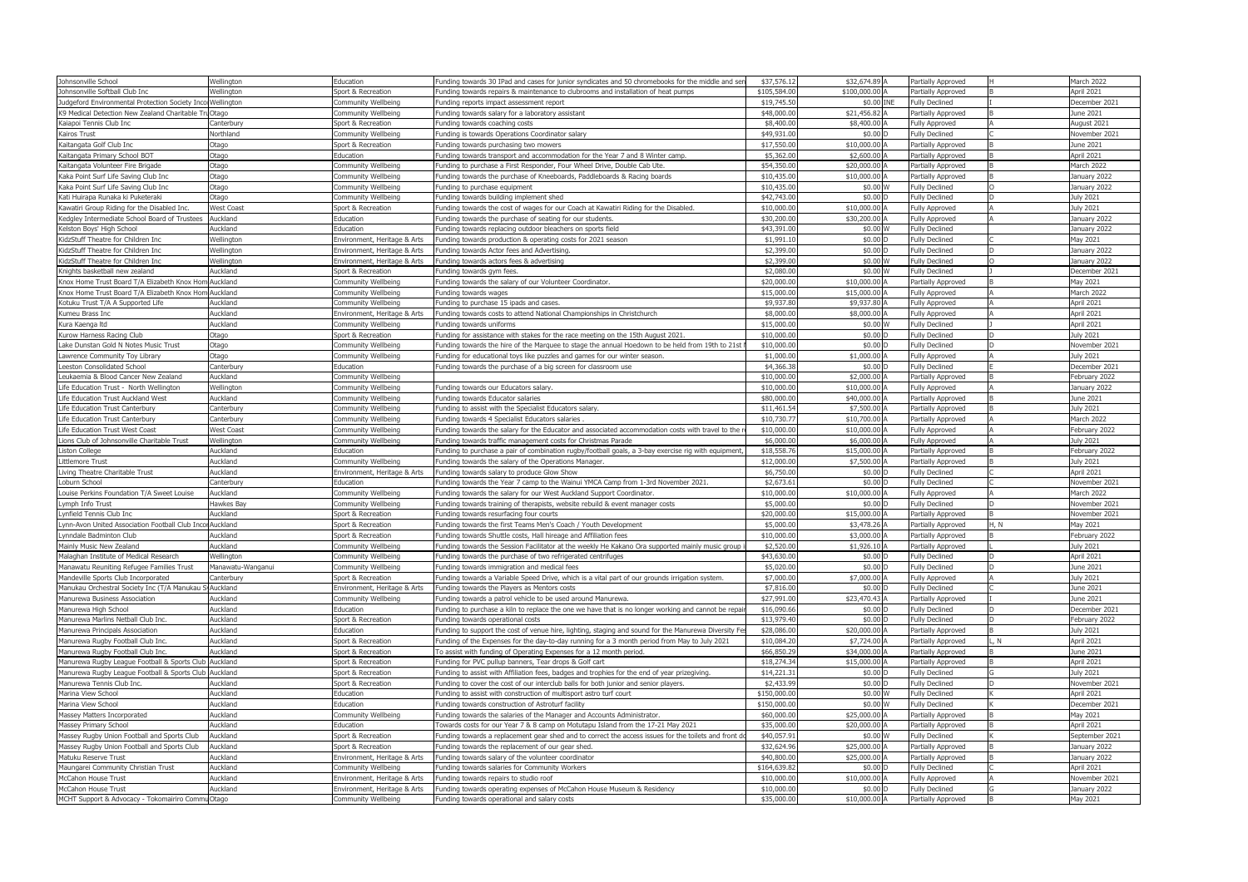| Johnsonville School                                        | Wellington               | Education                    | Funding towards 30 IPad and cases for junior syndicates and 50 chromebooks for the middle and ser    | \$37,576.12  | \$32,674.89 A      | Partially Approved                             |      | March 2022       |
|------------------------------------------------------------|--------------------------|------------------------------|------------------------------------------------------------------------------------------------------|--------------|--------------------|------------------------------------------------|------|------------------|
| Johnsonville Softball Club Inc                             | Wellington               | Sport & Recreation           | Funding towards repairs & maintenance to clubrooms and installation of heat pumps                    | \$105,584.00 | \$100,000.00 A     | Partially Approved                             |      | April 2021       |
| Judgeford Environmental Protection Society Inco Wellington |                          | Community Wellbeing          | Funding reports impact assessment report                                                             | \$19,745.50  | \$0.00 INE         | <b>Fully Declined</b>                          |      | December 2021    |
| K9 Medical Detection New Zealand Charitable Tru Otago      |                          | Community Wellbeing          | Funding towards salary for a laboratory assistant                                                    | \$48,000.00  | \$21,456.82 A      | Partially Approved                             |      | June 2021        |
| Kaiapoi Tennis Club Inc                                    | Canterbury               | Sport & Recreation           | Funding towards coaching costs                                                                       | \$8,400.0    | \$8,400.00         | <b>Fully Approved</b>                          |      | August 2021      |
| Kairos Trust                                               | Northland                | Community Wellbeing          | Funding is towards Operations Coordinator salary                                                     | \$49,931.00  | \$0.00             | <b>Fully Declined</b>                          |      | November 2021    |
| Kaitangata Golf Club Inc                                   | Otago                    | Sport & Recreation           | Funding towards purchasing two mowers                                                                | \$17,550.00  | $$10,000.00$ $\mu$ | Partially Approved                             |      | June 2021        |
| Kaitangata Primary School BOT                              | Otago                    | Education                    | Funding towards transport and accommodation for the Year 7 and 8 Winter camp.                        | \$5,362.0    | \$2,600.00         | Partially Approved                             |      | April 2021       |
| Kaitangata Volunteer Fire Brigade                          | Otago                    | Community Wellbeing          | Funding to purchase a First Responder, Four Wheel Drive, Double Cab Ute.                             | \$54,350.00  | \$20,000.00        | Partially Approved                             |      | March 2022       |
| Kaka Point Surf Life Saving Club Inc                       | Otago                    | Community Wellbeing          | Funding towards the purchase of Kneeboards, Paddleboards & Racing boards                             | \$10,435.0   | \$10,000.00 A      | Partially Approved                             |      | January 2022     |
| Kaka Point Surf Life Saving Club Inc                       | Otago                    | Community Wellbeing          | Funding to purchase equipment                                                                        | \$10,435.00  | \$0.00 W           | <b>Fully Declined</b>                          |      | January 2022     |
| Kati Huirapa Runaka ki Puketeraki                          | Otago                    | Community Wellbeing          | Funding towards building implement shed                                                              | \$42,743.00  | $$0.00$ D          | <b>Fully Declined</b>                          |      | <b>July 2021</b> |
| Kawatiri Group Riding for the Disabled Inc.                | West Coast               | Sport & Recreation           | Funding towards the cost of wages for our Coach at Kawatiri Riding for the Disabled.                 | \$10,000.0   | \$10,000.00 A      | <b>Fully Approved</b>                          |      | July 2021        |
| Kedgley Intermediate School Board of Trustees              | Auckland                 | Education                    | Funding towards the purchase of seating for our students.                                            | \$30,200.0   | \$30,200.00 A      | <b>Fully Approved</b>                          |      | January 2022     |
| Kelston Boys' High School                                  | Auckland                 | Education                    | Funding towards replacing outdoor bleachers on sports field                                          | \$43,391.00  | \$0.00 W           | <b>Fully Declined</b>                          |      | January 2022     |
|                                                            |                          |                              |                                                                                                      | \$1,991.1    | $$0.00$ D          |                                                |      | May 2021         |
| KidzStuff Theatre for Children Inc                         | Wellington<br>Wellington | Environment, Heritage & Arts | Funding towards production & operating costs for 2021 season                                         | \$2,399.00   | \$0.00 D           | <b>Fully Declined</b><br><b>Fully Declined</b> |      |                  |
| KidzStuff Theatre for Children Inc                         |                          | Environment, Heritage & Arts | Funding towards Actor fees and Advertising.                                                          | \$2,399.0    |                    |                                                |      | January 2022     |
| KidzStuff Theatre for Children Inc                         | Wellington               | Environment, Heritage & Arts | Funding towards actors fees & advertising                                                            |              | \$0.00 W           | <b>Fully Declined</b>                          |      | January 2022     |
| Knights basketball new zealand                             | Auckland                 | Sport & Recreation           | Funding towards gym fees.                                                                            | \$2,080.0    | \$0.00 W           | <b>Fully Declined</b>                          |      | December 2021    |
| Knox Home Trust Board T/A Elizabeth Knox Hom Auckland      |                          | Community Wellbeing          | Funding towards the salary of our Volunteer Coordinator.                                             | \$20,000.00  | \$10,000.00        | Partially Approved                             |      | May 2021         |
| Knox Home Trust Board T/A Elizabeth Knox Hom Auckland      |                          | Community Wellbeing          | Funding towards wages                                                                                | \$15,000.0   | \$15,000.00 A      | <b>Fully Approved</b>                          |      | March 2022       |
| Kotuku Trust T/A A Supported Life                          | Auckland                 | Community Wellbeing          | Funding to purchase 15 ipads and cases.                                                              | \$9,937.8    | \$9,937.80         | <b>Fully Approved</b>                          |      | April 2021       |
| Kumeu Brass Inc                                            | Auckland                 | Environment, Heritage & Arts | Funding towards costs to attend National Championships in Christchurch                               | \$8,000.00   | \$8,000.00 A       | <b>Fully Approved</b>                          |      | April 2021       |
| Kura Kaenga Itd                                            | Auckland                 | Community Wellbeing          | Funding towards uniforms                                                                             | \$15,000.0   | \$0.00 W           | <b>Fully Declined</b>                          |      | April 2021       |
| Kurow Harness Racing Club                                  | Otago                    | Sport & Recreation           | Funding for assistance with stakes for the race meeting on the 15th August 2021.                     | \$10,000.0   | \$0.00 D           | <b>Fully Declined</b>                          |      | July 2021        |
| Lake Dunstan Gold N Notes Music Trust                      | Otago                    | Community Wellbeing          | Funding towards the hire of the Marquee to stage the annual Hoedown to be held from 19th to 21st     | \$10,000.00  | $$0.00$ D          | <b>Fully Declined</b>                          |      | November 2021    |
| Lawrence Community Toy Library                             | Otago                    | Community Wellbeing          | Funding for educational toys like puzzles and games for our winter season                            | \$1,000.0    | \$1,000.00         | <b>Fully Approved</b>                          |      | <b>July 2021</b> |
| Leeston Consolidated School                                | Canterbury               | Education                    | Funding towards the purchase of a big screen for classroom use                                       | \$4,366.3    | \$0.00 D           | <b>Fully Declined</b>                          |      | December 2021    |
| Leukaemia & Blood Cancer New Zealand                       | Auckland                 | Community Wellbeing          |                                                                                                      | \$10,000.00  | \$2,000.00 A       | Partially Approved                             |      | February 2022    |
| Life Education Trust - North Wellington                    | Wellington               | Community Wellbeing          | Funding towards our Educators salary.                                                                | \$10,000.0   | \$10,000.00        | <b>Fully Approved</b>                          |      | January 2022     |
| Life Education Trust Auckland West                         | Auckland                 | Community Wellbeing          | Funding towards Educator salaries                                                                    | \$80,000.00  | \$40,000.00        | Partially Approved                             |      | June 2021        |
| Life Education Trust Canterbury                            | Canterbury               | Community Wellbeing          | Funding to assist with the Specialist Educators salary.                                              | \$11,461.54  | \$7,500.00 A       | Partially Approved                             |      | <b>July 2021</b> |
| Life Education Trust Canterbury                            | Canterbury               | Community Wellbeing          | Funding towards 4 Specialist Educators salaries                                                      | \$10,730.7   | \$10,700.00        | Partially Approved                             |      | March 2022       |
| Life Education Trust West Coast                            | <b>West Coast</b>        | Community Wellbeing          | Funding towards the salary for the Educator and associated accommodation costs with travel to the    | \$10,000.00  | \$10,000.00 A      | <b>Fully Approved</b>                          |      | February 2022    |
| Lions Club of Johnsonville Charitable Trust                | Wellington               | Community Wellbeing          | Funding towards traffic management costs for Christmas Parade                                        | \$6,000.0    | \$6,000.00         | <b>Fully Approved</b>                          |      | July 2021        |
| Liston College                                             | Auckland                 | Education                    | Funding to purchase a pair of combination rugby/football goals, a 3-bay exercise rig with equipment  | \$18,558.7   | \$15,000.00        | Partially Approved                             |      | February 2022    |
| Littlemore Trust                                           | Auckland                 | Community Wellbeing          | Funding towards the salary of the Operations Manager.                                                | \$12,000.0   | \$7,500.00 A       | Partially Approved                             |      | <b>July 2021</b> |
| Living Theatre Charitable Trust                            | Auckland                 | Environment, Heritage & Arts | Funding towards salary to produce Glow Show                                                          | \$6,750.00   | \$0.00 D           | <b>Fully Declined</b>                          |      | April 2021       |
| Loburn School                                              | Canterbury               | Education                    | Funding towards the Year 7 camp to the Wainui YMCA Camp from 1-3rd November 2021.                    | \$2,673.6    | $$0.00$ $\square$  | <b>Fully Declined</b>                          |      | November 2021    |
| Louise Perkins Foundation T/A Sweet Louise                 | Auckland                 | Community Wellbeing          | Funding towards the salary for our West Auckland Support Coordinator.                                | \$10,000.0   | \$10,000.00 A      | <b>Fully Approved</b>                          |      | March 2022       |
| Lymph Info Trust                                           | Hawkes Bay               | Community Wellbeing          | Funding towards training of therapists, website rebuild & event manager costs                        | \$5,000.0    | $$0.00$ D          | <b>Fully Declined</b>                          |      | November 2021    |
| Lynfield Tennis Club Inc                                   | Auckland                 | Sport & Recreation           | Funding towards resurfacing four courts                                                              | \$20,000.00  | \$15,000.00        | Partially Approved                             |      | November 2021    |
| Lynn-Avon United Association Football Club Incol Auckland  |                          | Sport & Recreation           | Funding towards the first Teams Men's Coach / Youth Development                                      | \$5,000.0    | \$3,478.26 A       | Partially Approved                             | H, N | May 2021         |
| Lynndale Badminton Club                                    | Auckland                 | Sport & Recreation           | Funding towards Shuttle costs, Hall hireage and Affiliation fees                                     | \$10,000.0   | \$3,000.00 A       | Partially Approved                             |      | February 2022    |
| Mainly Music New Zealand                                   | Auckland                 | Community Wellbeing          | unding towards the Session Facilitator at the weekly He Kakano Ora supported mainly music group i-   | \$2,520.00   | \$1,926.10 A       | Partially Approved                             |      | <b>July 2021</b> |
| Malaghan Institute of Medical Research                     | Wellington               | Community Wellbeing          | Funding towards the purchase of two refrigerated centrifuges                                         | \$43,630.00  | \$0.00 D           | <b>Fully Declined</b>                          |      | April 2021       |
| Manawatu Reuniting Refugee Families Trust                  | Manawatu-Wanganui        | Community Wellbeing          | Funding towards immigration and medical fees                                                         | \$5,020.00   | \$0.00 D           | <b>Fully Declined</b>                          |      | June 2021        |
| Mandeville Sports Club Incorporated                        | Canterbury               | Sport & Recreation           | Funding towards a Variable Speed Drive, which is a vital part of our grounds irrigation system.      | \$7,000.00   | \$7,000.00 A       | <b>Fully Approved</b>                          |      | <b>July 2021</b> |
| Manukau Orchestral Society Inc (T/A Manukau                | S Auckland               | Environment, Heritage & Arts | Funding towards the Players as Mentors costs                                                         | \$7,816.00   | \$0.00 D           | <b>Fully Declined</b>                          |      | June 2021        |
| Manurewa Business Association                              | Auckland                 | Community Wellbeing          | Funding towards a patrol vehicle to be used around Manurewa.                                         | \$27,991.00  | \$23,470.43 A      | Partially Approved                             |      | June 2021        |
| Manurewa High School                                       | Auckland                 | Education                    | Funding to purchase a kiln to replace the one we have that is no longer working and cannot be repai  | \$16,090.66  | \$0.00 D           | <b>Fully Declined</b>                          |      | December 2021    |
| Manurewa Marlins Netball Club Inc.                         | Auckland                 | Sport & Recreation           | Funding towards operational costs                                                                    | \$13,979.40  | \$0.00 D           | <b>Fully Declined</b>                          |      | February 2022    |
| Manurewa Principals Association                            | Auckland                 | Education                    | Funding to support the cost of venue hire, lighting, staging and sound for the Manurewa Diversity Fe | \$28,086.00  | \$20,000.00        | Partially Approved                             |      | July 2021        |
| Manurewa Rugby Football Club Inc.                          | Auckland                 | Sport & Recreation           | Funding of the Expenses for the day-to-day running for a 3 month period from May to July 2021        | \$10,084.20  | \$7,724.00 A       | Partially Approved                             | . N  | April 2021       |
| Manurewa Rugby Football Club Inc.                          | Auckland                 | Sport & Recreation           | To assist with funding of Operating Expenses for a 12 month period.                                  | \$66,850.29  | \$34,000.00 A      | Partially Approved                             |      | June 2021        |
| Manurewa Rugby League Football & Sports Club Auckland      |                          | Sport & Recreation           | Funding for PVC pullup banners, Tear drops & Golf cart                                               | \$18,274.34  | \$15,000.00 A      | Partially Approved                             |      | April 2021       |
|                                                            |                          |                              |                                                                                                      | \$14,221.3   | \$0.00 D           |                                                |      |                  |
| Manurewa Rugby League Football & Sports Club Auckland      |                          | Sport & Recreation           | Funding to assist with Affiliation fees, badges and trophies for the end of year prizegiving.        |              |                    | <b>Fully Declined</b>                          |      | <b>July 2021</b> |
| Manurewa Tennis Club Inc.                                  | Auckland                 | Sport & Recreation           | Funding to cover the cost of our interclub balls for both junior and senior players.                 | \$2,433.99   | \$0.00 D           | <b>Fully Declined</b>                          |      | November 2021    |
| Marina View School                                         | Auckland                 | Education                    | Funding to assist with construction of multisport astro turf court                                   | \$150,000.00 | \$0.00 W           | <b>Fully Declined</b>                          |      | April 2021       |
| Marina View School                                         | Auckland                 | Education                    | Funding towards construction of Astroturf facility                                                   | \$150,000.00 | \$0.00 W           | <b>Fully Declined</b>                          |      | December 2021    |
| Massey Matters Incorporated                                | Auckland                 | Community Wellbeing          | Funding towards the salaries of the Manager and Accounts Administrator.                              | \$60,000.00  | \$25,000.00 A      | Partially Approved                             |      | May 2021         |
| Massey Primary School                                      | Auckland                 | Education                    | Towards costs for our Year 7 & 8 camp on Motutapu Island from the 17-21 May 2021                     | \$35,000.00  | \$20,000.00 A      | Partially Approved                             |      | April 2021       |
| Massey Rugby Union Football and Sports Club                | Auckland                 | Sport & Recreation           | Funding towards a replacement gear shed and to correct the access issues for the toilets and front d | \$40,057.9   | \$0.00 W           | <b>Fully Declined</b>                          |      | September 2021   |
| Massey Rugby Union Football and Sports Club                | Auckland                 | Sport & Recreation           | Funding towards the replacement of our gear shed.                                                    | \$32,624.96  | \$25,000.00        | Partially Approved                             |      | January 2022     |
| Matuku Reserve Trust                                       | Auckland                 | Environment, Heritage & Arts | Funding towards salary of the volunteer coordinator                                                  | \$40,800.00  | \$25,000.00 A      | Partially Approved                             |      | January 2022     |
| Maungarei Community Christian Trust                        | Auckland                 | Community Wellbeing          | Funding towards salaries for Community Workers                                                       | \$164,639.82 | \$0.00 D           | <b>Fully Declined</b>                          |      | April 2021       |
| McCahon House Trust                                        | Auckland                 | Environment, Heritage & Arts | Funding towards repairs to studio roof                                                               | \$10,000.00  | \$10,000.00        | <b>Fully Approved</b>                          |      | November 2021    |
| McCahon House Trust                                        | Auckland                 | Environment, Heritage & Arts | Funding towards operating expenses of McCahon House Museum & Residency                               | \$10,000.00  | \$0.00 D           | <b>Fully Declined</b>                          |      | January 2022     |
| MCHT Support & Advocacy - Tokomairiro Commu Otago          |                          | Community Wellbeing          | Funding towards operational and salary costs                                                         | \$35,000.00  | \$10,000.00 A      | Partially Approved                             |      | May 2021         |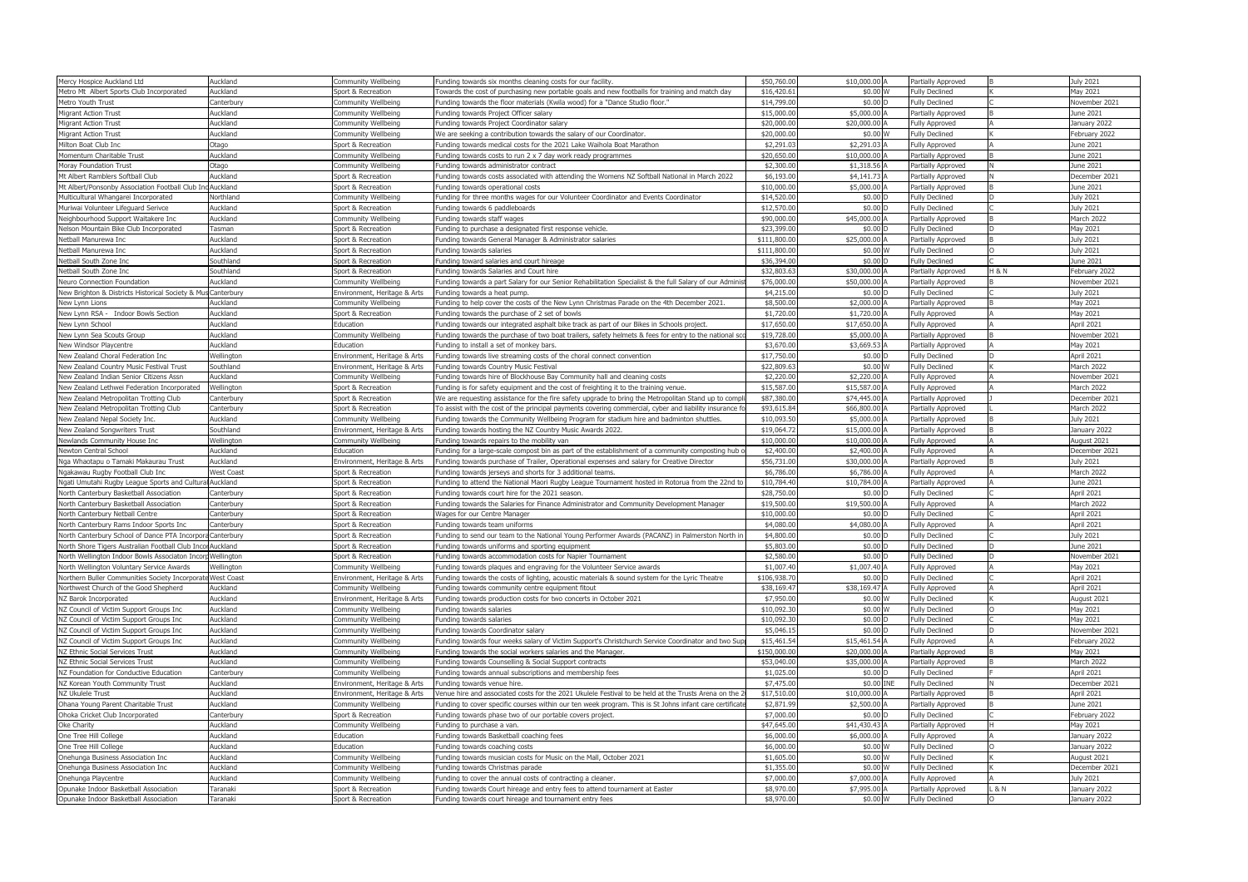| Mercy Hospice Auckland Ltd                                 | Auckland               | Community Wellbeing          | Funding towards six months cleaning costs for our facility.                                                                        | \$50,760.00  | \$10,000.00 A     | Partially Approved    |                  | July 2021        |
|------------------------------------------------------------|------------------------|------------------------------|------------------------------------------------------------------------------------------------------------------------------------|--------------|-------------------|-----------------------|------------------|------------------|
| Metro Mt Albert Sports Club Incorporated                   | Auckland               | Sport & Recreation           | Towards the cost of purchasing new portable goals and new footballs for training and match day                                     | \$16,420.6   | \$0.00 W          | <b>Fully Declined</b> |                  | May 2021         |
| Metro Youth Trust                                          | Canterbury             | Community Wellbeing          | Funding towards the floor materials (Kwila wood) for a "Dance Studio floor."                                                       | \$14,799.00  | \$0.00 D          | <b>Fully Declined</b> |                  | Vovember 2021    |
| <b>Migrant Action Trust</b>                                | Auckland               | Community Wellbeing          | Funding towards Project Officer salary                                                                                             | \$15,000.00  | \$5,000.00 A      | Partially Approved    |                  | lune 2021        |
| <b>Migrant Action Trust</b>                                | Auckland               | Community Wellbeing          | Funding towards Project Coordinator salary                                                                                         | \$20,000.0   | \$20,000.00 A     | <b>Fully Approved</b> |                  | lanuary 2022     |
| <b>Migrant Action Trust</b>                                | Auckland               | Community Wellbeing          | We are seeking a contribution towards the salary of our Coordinator                                                                | \$20,000.00  | \$0.00 W          | <b>Fully Declined</b> |                  | February 2022    |
| Milton Boat Club Inc                                       | Otago                  | Sport & Recreation           | Funding towards medical costs for the 2021 Lake Waihola Boat Marathon                                                              | \$2,291.0    | \$2,291.03        | <b>Fully Approved</b> |                  | lune 2021        |
| Momentum Charitable Trust                                  | Auckland               | Community Wellbeing          | Funding towards costs to run 2 x 7 day work ready programmes                                                                       | \$20,650.0   | \$10,000.00 A     | Partially Approved    |                  | lune 2021        |
| Moray Foundation Trust                                     | Otago                  | Community Wellbeing          | Funding towards administrator contract                                                                                             | \$2,300.0    | \$1,318.56        | Partially Approved    |                  | June 2021        |
| Mt Albert Ramblers Softball Club                           | Auckland               | Sport & Recreation           | Funding towards costs associated with attending the Womens NZ Softball National in March 2022                                      | \$6,193.00   | \$4,141.73 A      | Partially Approved    |                  | December 2021    |
| Mt Albert/Ponsonby Association Football Club Ind           | <b>Auckland</b>        | Sport & Recreation           | Funding towards operational costs                                                                                                  | \$10,000.0   | \$5,000.00        | Partially Approved    |                  | lune 2021        |
| Multicultural Whangarei Incorporated                       | Northland              | Community Wellbeing          | Funding for three months wages for our Volunteer Coordinator and Events Coordinator                                                | \$14,520.00  | \$0.00 D          | <b>Fully Declined</b> |                  | July 2021        |
| Muriwai Volunteer Lifeguard Serivce                        | Auckland               | Sport & Recreation           | Funding towards 6 paddleboards                                                                                                     | \$12,570.00  | \$0.00 D          | <b>Fully Declined</b> |                  | July 2021        |
| Neighbourhood Support Waitakere Inc                        | Auckland               | Community Wellbeing          | Funding towards staff wages                                                                                                        | \$90,000.0   | \$45,000.00       | Partially Approved    |                  | March 2022       |
| Nelson Mountain Bike Club Incorporated                     | Tasman                 | Sport & Recreation           | Funding to purchase a designated first response vehicle.                                                                           | \$23,399.00  | \$0.00 D          | <b>Fully Declined</b> |                  | May 2021         |
| Netball Manurewa Inc                                       | Auckland               | Sport & Recreation           | Funding towards General Manager & Administrator salaries                                                                           | \$111,800.0  | \$25,000.00       | Partially Approved    |                  | July 2021        |
| Netball Manurewa Inc                                       | Auckland               | Sport & Recreation           | Funding towards salaries                                                                                                           | \$111,800.00 | \$0.00 W          | <b>Fully Declined</b> |                  | July 2021        |
| Netball South Zone Inc                                     | Southland              | Sport & Recreation           | Funding toward salaries and court hireage                                                                                          | \$36,394.00  | \$0.00 D          | <b>Fully Declined</b> |                  | June 2021        |
| Netball South Zone Inc                                     | Southland              | Sport & Recreation           | Funding towards Salaries and Court hire                                                                                            | \$32,803.63  | \$30,000.00 A     | Partially Approved    | <b>H &amp; N</b> | February 2022    |
| Neuro Connection Foundation                                | Auckland               | Community Wellbeing          | Funding towards a part Salary for our Senior Rehabilitation Specialist & the full Salary of our Admin                              | \$76,000.00  | \$50,000.00       | Partially Approved    |                  | November 2021    |
| New Brighton & Districts Historical Society & Mu           | s Canterbury           | Environment, Heritage & Arts | Funding towards a heat pump.                                                                                                       | \$4,215.00   | \$0.00 D          | <b>Fully Declined</b> |                  | <b>July 2021</b> |
| New Lynn Lions                                             | Auckland               | Community Wellbeing          | Funding to help cover the costs of the New Lynn Christmas Parade on the 4th December 2021.                                         | \$8,500.00   | \$2,000.00 A      | Partially Approved    |                  | May 2021         |
| New Lynn RSA - Indoor Bowls Section                        | Auckland               | Sport & Recreation           | Funding towards the purchase of 2 set of bowls                                                                                     | \$1,720.00   | \$1,720.00 /      | <b>Fully Approved</b> |                  | May 2021         |
| New Lynn School                                            | Auckland               | Education                    | Funding towards our integrated asphalt bike track as part of our Bikes in Schools project.                                         | \$17,650.0   | \$17,650.00 A     | <b>Fully Approved</b> |                  | April 2021       |
| New Lynn Sea Scouts Group                                  | Auckland               | Community Wellbeing          | Funding towards the purchase of two boat trailers, safety helmets & fees for entry to the national so                              | \$19,728.0   | \$5,000.00        | Partially Approved    |                  | November 2021    |
| New Windsor Playcentre                                     | Auckland               | Education                    | Funding to install a set of monkey bars.                                                                                           | \$3,670.00   | \$3,669.53        | Partially Approved    |                  | May 2021         |
| New Zealand Choral Federation Inc                          | Wellington             | Environment, Heritage & Arts | Funding towards live streaming costs of the choral connect convention                                                              | \$17,750.0   | \$0.00 D          | <b>Fully Declined</b> |                  | April 2021       |
| New Zealand Country Music Festival Trust                   | Southland              | Environment, Heritage & Arts | Funding towards Country Music Festival                                                                                             | \$22,809.63  | \$0.00 W          | <b>Fully Declined</b> |                  | March 2022       |
| New Zealand Indian Senior Citizens Assn                    | Auckland               | Community Wellbeing          | Funding towards hire of Blockhouse Bay Community hall and cleaning costs                                                           | \$2,220.00   | \$2,220.00 A      | <b>Fully Approved</b> |                  | November 2021    |
| New Zealand Lethwei Federation Incorporated                | Wellington             | Sport & Recreation           | Funding is for safety equipment and the cost of freighting it to the training venue.                                               | \$15,587.0   | \$15,587.00 A     | <b>Fully Approved</b> |                  | March 2022       |
| New Zealand Metropolitan Trotting Club                     | Canterbury             | Sport & Recreation           | We are requesting assistance for the fire safety upgrade to bring the Metropolitan Stand up to comp                                | \$87,380.00  | \$74,445.00 /     | Partially Approved    |                  | December 2021    |
| New Zealand Metropolitan Trotting Club                     | Canterbury             | Sport & Recreation           | To assist with the cost of the principal payments covering commercial, cyber and liability insurance f                             | \$93,615.84  | \$66,800.00 A     | Partially Approved    |                  | March 2022       |
| New Zealand Nepal Society Inc.                             | Auckland               | Community Wellbeing          | Funding towards the Community Wellbeing Program for stadium hire and badminton shuttles.                                           | \$10,093.5   | \$5,000.00        | Partially Approved    |                  | July 2021        |
| New Zealand Songwriters Trust                              | Southland              | Environment, Heritage & Arts | Funding towards hosting the NZ Country Music Awards 2022.                                                                          | \$19,064.7   | \$15,000.00       | Partially Approved    |                  | January 2022     |
| Newlands Community House Inc                               | Nellington             | Community Wellbeing          | Funding towards repairs to the mobility van                                                                                        | \$10,000.00  | \$10,000.00 A     | <b>Fully Approved</b> |                  | August 2021      |
| Newton Central School                                      | Auckland               | Education                    | Funding for a large-scale compost bin as part of the establishment of a community composting hub                                   | \$2,400.0    | \$2,400.00        | <b>Fully Approved</b> |                  | December 2021    |
| Nga Whaotapu o Tamaki Makaurau Trust                       | Auckland               | Environment, Heritage & Arts | Funding towards purchase of Trailer, Operational expenses and salary for Creative Director                                         | \$56,731.00  | \$30,000.00       | Partially Approved    |                  | July 2021        |
| Ngakawau Rugby Football Club Inc                           | West Coast             | Sport & Recreation           | Funding towards jerseys and shorts for 3 additional teams.                                                                         | \$6,786.00   | \$6,786.00 A      | <b>Fully Approved</b> |                  | March 2022       |
| Ngati Umutahi Rugby League Sports and Cultura              | Auckland               | Sport & Recreation           | Funding to attend the National Maori Rugby League Tournament hosted in Rotorua from the 22nd to                                    | \$10,784.40  | \$10,784.00       | Partially Approved    |                  | lune 2021        |
| North Canterbury Basketball Association                    | Canterbury             | Sport & Recreation           | Funding towards court hire for the 2021 season.                                                                                    | \$28,750.00  | \$0.00 D          | <b>Fully Declined</b> |                  | April 2021       |
| North Canterbury Basketball Association                    | Canterbury             | Sport & Recreation           | Funding towards the Salaries for Finance Administrator and Community Development Manager                                           | \$19,500.00  | \$19,500.00 A     | <b>Fully Approved</b> |                  | March 2022       |
| North Canterbury Netball Centre                            | Canterbury             | Sport & Recreation           | Nages for our Centre Manager                                                                                                       | \$10,000.00  | $$0.00$ $\square$ | <b>Fully Declined</b> |                  | April 2021       |
| North Canterbury Rams Indoor Sports Inc                    | Canterbury             | Sport & Recreation           | Funding towards team uniforms                                                                                                      | \$4,080.0    | \$4,080.00 A      | <b>Fully Approved</b> |                  | April 2021       |
| North Canterbury School of Dance PTA Incorpora Canterbury  |                        | Sport & Recreation           | Funding to send our team to the National Young Performer Awards (PACANZ) in Palmerston North in                                    | \$4,800.00   | \$0.00 D          | <b>Fully Declined</b> |                  | July 2021        |
| North Shore Tigers Australian Football Club Incol Auckland |                        | Sport & Recreation           | Funding towards uniforms and sporting equipment                                                                                    | \$5,803.00   | \$0.00 D          | <b>Fully Declined</b> |                  | June 2021        |
| North Wellington Indoor Bowls Associaton Incorp Wellington |                        | Sport & Recreation           | Funding towards accommodation costs for Napier Tournament                                                                          | \$2,580.00   | $$0.00$ D         | <b>Fully Declined</b> |                  | November 2021    |
| North Wellington Voluntary Service Awards                  | Wellington             | Community Wellbeing          | Funding towards plaques and engraving for the Volunteer Service awards                                                             | \$1,007.40   | \$1,007.40 A      | <b>Fully Approved</b> |                  | May 2021         |
| Northern Buller Communities Society Incorporat             | <b>West Coast</b>      | Environment, Heritage & Arts | Funding towards the costs of lighting, acoustic materials & sound system for the Lyric Theatre                                     | \$106,938.7  | \$0.00 D          | <b>Fully Declined</b> |                  | April 2021       |
| Northwest Church of the Good Shepherd                      | Auckland               | Community Wellbeing          | Funding towards community centre equipment fitout                                                                                  | \$38,169.4   | \$38,169.47 A     | <b>Fully Approved</b> |                  | April 2021       |
| NZ Barok Incorporated                                      | Auckland               | Environment, Heritage & Arts | Funding towards production costs for two concerts in October 2021                                                                  | \$7,950.00   | \$0.00 W          | <b>Fully Declined</b> |                  | August 2021      |
| NZ Council of Victim Support Groups Inc                    | Auckland               | Community Wellbeing          | Funding towards salaries                                                                                                           | \$10,092.30  | \$0.00 W          | <b>Fully Declined</b> |                  | May 2021         |
| NZ Council of Victim Support Groups Inc                    | Auckland               | Community Wellbeing          | Funding towards salaries                                                                                                           | \$10,092.3   | \$0.00 D          | <b>Fully Declined</b> |                  | May 2021         |
| NZ Council of Victim Support Groups Inc                    | Auckland               | Community Wellbeing          | Funding towards Coordinator salary                                                                                                 | \$5,046.1    | \$0.00 D          | <b>Fully Declined</b> |                  | Vovember 2021    |
| NZ Council of Victim Support Groups Inc                    | Auckland               | Community Wellbeing          | Funding towards four weeks salary of Victim Support's Christchurch Service Coordinator and two Su                                  | \$15,461.54  | \$15,461.54 A     | <b>Fully Approved</b> |                  | Eebruary 2022    |
| NZ Ethnic Social Services Trust                            | Auckland               | Community Wellbeing          | Funding towards the social workers salaries and the Manager.                                                                       | \$150,000.0  | \$20,000.00 A     | Partially Approved    |                  | May 2021         |
| NZ Ethnic Social Services Trust                            | Auckland               | Community Wellbeing          | Funding towards Counselling & Social Support contracts                                                                             | \$53,040.00  | \$35,000.00 A     | Partially Approved    |                  | March 2022       |
| NZ Foundation for Conductive Education                     |                        | Community Wellbeing          |                                                                                                                                    | \$1,025.00   | \$0.00 D          | <b>Fully Declined</b> |                  | April 2021       |
| NZ Korean Youth Community Trust                            | Canterbury<br>Auckland |                              | Funding towards annual subscriptions and membership fees                                                                           | \$7,475.00   | \$0.00 INE        | <b>Fully Declined</b> |                  | December 2021    |
| NZ Ukulele Trust                                           | Auckland               | Environment, Heritage & Arts | Funding towards venue hire.<br>Venue hire and associated costs for the 2021 Ukulele Festival to be held at the Trusts Arena on the | \$17,510.00  | \$10,000.00 A     | Partially Approved    |                  | April 2021       |
| Ohana Young Parent Charitable Trust                        |                        | Environment, Heritage & Arts |                                                                                                                                    | \$2,871.99   | \$2,500.00 A      |                       |                  | June 2021        |
|                                                            | Auckland               | Community Wellbeing          | Funding to cover specific courses within our ten week program. This is St Johns infant care certificat                             |              |                   | Partially Approved    |                  |                  |
| Ohoka Cricket Club Incorporated                            | Canterbury             | Sport & Recreation           | Funding towards phase two of our portable covers project.                                                                          | \$7,000.00   | $$0.00$ $\square$ | <b>Fully Declined</b> |                  | Eebruary 2022    |
| Oke Charity                                                | Auckland               | Community Wellbeing          | Funding to purchase a van.                                                                                                         | \$47,645.00  | \$41,430.43 A     | Partially Approved    |                  | May 2021         |
| One Tree Hill College                                      | Auckland               | Education                    | Funding towards Basketball coaching fees                                                                                           | \$6,000.00   | \$6,000.00 A      | <b>Fully Approved</b> |                  | January 2022     |
| One Tree Hill College                                      | Auckland               | Education                    | unding towards coaching costs                                                                                                      | \$6,000.00   | \$0.00 W          | <b>Fully Declined</b> |                  | lanuary 2022     |
| Onehunga Business Association Inc                          | Auckland               | Community Wellbeing          | Funding towards musician costs for Music on the Mall, October 2021                                                                 | \$1,605.00   | \$0.00 W          | <b>Fully Declined</b> |                  | August 2021      |
| Onehunga Business Association Inc                          | Auckland               | Community Wellbeing          | Funding towards Christmas parade                                                                                                   | \$1,355.00   | \$0.00 W          | <b>Fully Declined</b> |                  | December 2021    |
| Onehunga Playcentre                                        | Auckland               | Community Wellbeing          | Funding to cover the annual costs of contracting a cleaner.                                                                        | \$7,000.00   | \$7,000.00 A      | <b>Fully Approved</b> |                  | July 2021        |
| Opunake Indoor Basketball Association                      | Taranaki               | Sport & Recreation           | Funding towards Court hireage and entry fees to attend tournament at Easter                                                        | \$8,970.00   | \$7,995.00 A      | Partially Approved    | L & N            | lanuary 2022     |
| Opunake Indoor Basketball Association                      | Taranaki               | Sport & Recreation           | Funding towards court hireage and tournament entry fees                                                                            | \$8,970.00   | \$0.00 W          | <b>Fully Declined</b> |                  | January 2022     |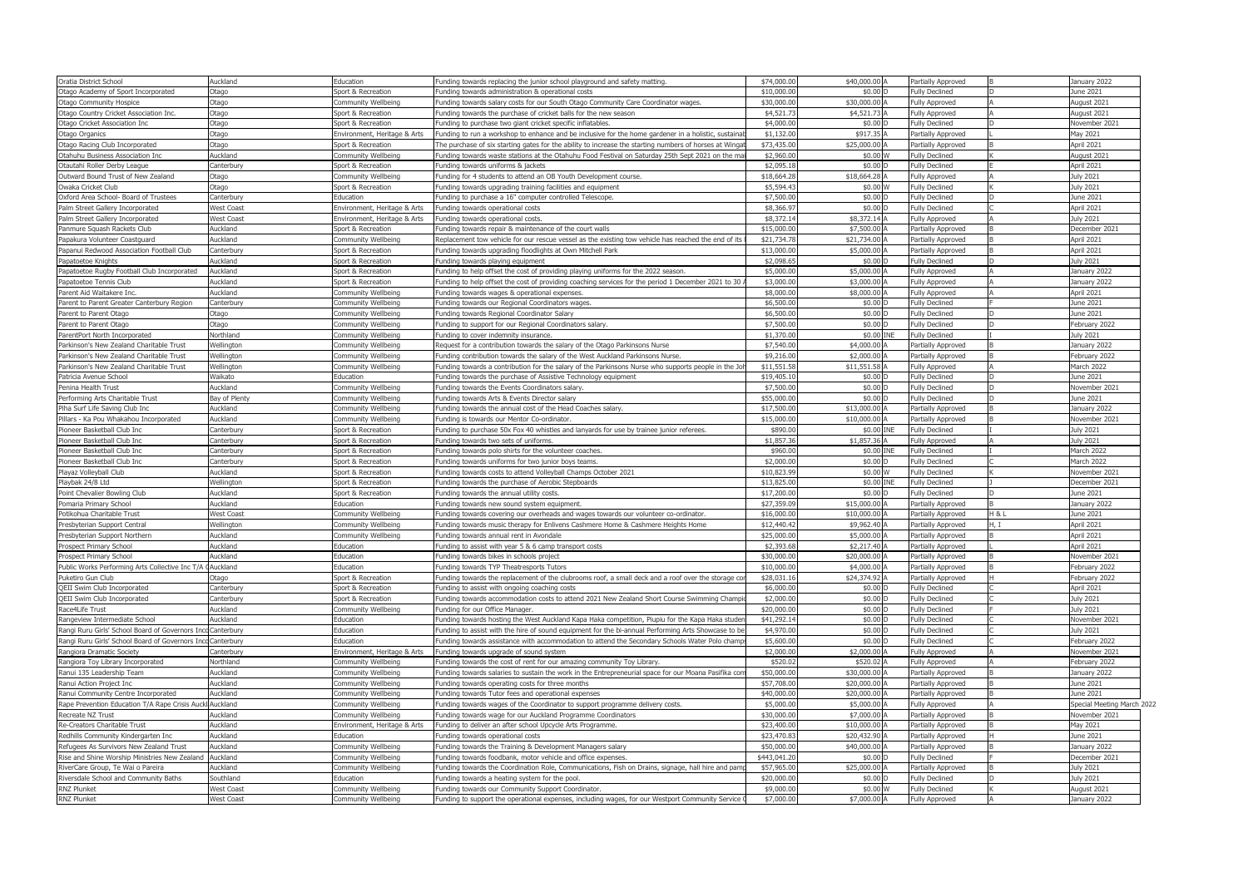| Oratia District School                                      | Auckland                               | Education                                  | Funding towards replacing the junior school playground and safety matting.                                                                             | \$74,000.0              | \$40,000.00 A            | Partially Approved                             |       | January 2022                    |
|-------------------------------------------------------------|----------------------------------------|--------------------------------------------|--------------------------------------------------------------------------------------------------------------------------------------------------------|-------------------------|--------------------------|------------------------------------------------|-------|---------------------------------|
| Otago Academy of Sport Incorporated                         | Otago                                  | Sport & Recreation                         | Funding towards administration & operational costs                                                                                                     | \$10,000.0              | $$0.00$ D                | <b>Fully Declined</b>                          |       | June 2021                       |
| <b>Otago Community Hospice</b>                              | Otago                                  | Community Wellbeing                        | Funding towards salary costs for our South Otago Community Care Coordinator wages.                                                                     | \$30,000.0              | \$30,000.00              | <b>Fully Approved</b>                          |       | August 2021                     |
| Otago Country Cricket Association Inc.                      | Otago                                  | Sport & Recreation                         | Funding towards the purchase of cricket balls for the new season                                                                                       | \$4,521.7               | \$4,521.73 A             | Fully Approved                                 |       | August 2021                     |
| Otago Cricket Association Inc                               | Otago                                  | Sport & Recreation                         | Funding to purchase two giant cricket specific inflatables.                                                                                            | \$4,000.0               | \$0.00 D                 | <b>Fully Declined</b>                          |       | November 2021                   |
| Otago Organics                                              | Otago                                  | Environment, Heritage & Arts               | Funding to run a workshop to enhance and be inclusive for the home gardener in a holistic, sustainal                                                   | \$1,132.00              | \$917.35                 | Partially Approved                             |       | May 2021                        |
| Otago Racing Club Incorporated                              | Otago                                  | Sport & Recreation                         | The purchase of six starting gates for the ability to increase the starting numbers of horses at Wingai                                                | \$73,435.0              | \$25,000.00 A            | Partially Approved                             |       | April 2021                      |
| Otahuhu Business Association Inc                            | Auckland                               | Community Wellbeing                        | Funding towards waste stations at the Otahuhu Food Festival on Saturday 25th Sept 2021 on the ma                                                       | \$2,960.0               | \$0.00 W                 | <b>Fully Declined</b>                          |       | August 2021                     |
| Otautahi Roller Derby League                                | Canterbury                             | Sport & Recreation                         | Funding towards uniforms & jackets                                                                                                                     | \$2,095.1               | \$0.00 D                 | <b>Fully Declined</b>                          |       | April 2021                      |
| Outward Bound Trust of New Zealand                          | Otago                                  | Community Wellbeing                        | Funding for 4 students to attend an OB Youth Development course.                                                                                       | \$18,664.28             | \$18,664.28 A            | <b>Fully Approved</b>                          |       | <b>July 2021</b>                |
| Owaka Cricket Club                                          | Otago                                  | Sport & Recreation                         | Funding towards upgrading training facilities and equipment                                                                                            | \$5,594.4               | \$0.00 W                 | <b>Fully Declined</b>                          |       | <b>July 2021</b>                |
| Oxford Area School- Board of Trustees                       | Canterbury                             | Education                                  | Funding to purchase a 16" computer controlled Telescope                                                                                                | \$7,500.0               | \$0.00                   | <b>Fully Declined</b>                          |       | June 2021                       |
| Palm Street Gallery Incorporated                            | West Coast                             | Environment, Heritage & Arts               | Funding towards operational costs                                                                                                                      | \$8,366.97              | $$0.00$ D                | <b>Fully Declined</b>                          |       | April 2021                      |
| Palm Street Gallery Incorporated                            | <b>Nest Coast</b>                      | Environment, Heritage & Arts               | Funding towards operational costs.                                                                                                                     | \$8,372.14              | \$8,372.14               | <b>Fully Approved</b>                          |       | <b>July 2021</b>                |
| Panmure Squash Rackets Club                                 | Auckland                               | Sport & Recreation                         | Funding towards repair & maintenance of the court walls                                                                                                | \$15,000.0              | \$7,500.00 A             | Partially Approved                             |       | December 2021                   |
| Papakura Volunteer Coastguard                               | Auckland                               | Community Wellbeing                        | Replacement tow vehicle for our rescue vessel as the existing tow vehicle has reached the end of its                                                   | \$21,734.78             | \$21,734.00 A            | Partially Approved                             |       | April 2021                      |
| Papanui Redwood Association Football Club                   | Canterbury                             | Sport & Recreation                         | Funding towards upgrading floodlights at Own Mitchell Park                                                                                             | \$13,000.0              | \$5,000.00               | Partially Approved                             |       | April 2021                      |
| Papatoetoe Knights                                          | Auckland                               | Sport & Recreation                         | Funding towards playing equipment                                                                                                                      | \$2,098.65              | \$0.00 D                 | <b>Fully Declined</b>                          |       | <b>July 2021</b>                |
| Papatoetoe Rugby Football Club Incorporated                 | Auckland                               | Sport & Recreation                         | Funding to help offset the cost of providing playing uniforms for the 2022 season.                                                                     | \$5,000.0               | \$5,000.00 A             | Fully Approved                                 |       | January 2022                    |
| Papatoetoe Tennis Club                                      | Auckland                               | Sport & Recreation                         | Funding to help offset the cost of providing coaching services for the period 1 December 2021 to 30                                                    | \$3,000.0               | \$3,000.00               | <b>Fully Approved</b>                          |       | January 2022                    |
| Parent Aid Waitakere Inc.                                   | Auckland                               | Community Wellbeing                        | Funding towards wages & operational expenses.                                                                                                          | \$8,000.0               | \$8,000.00 A             | <b>Fully Approved</b>                          |       | April 2021                      |
| Parent to Parent Greater Canterbury Region                  | Canterbury                             | Community Wellbeing                        | Funding towards our Regional Coordinators wages                                                                                                        | \$6,500.0               | \$0.00 D                 | <b>Fully Declined</b>                          |       | June 2021                       |
| Parent to Parent Otago                                      | )tago                                  | Community Wellbeing                        | Funding towards Regional Coordinator Salary                                                                                                            | \$6,500.0               | \$0.00 D                 | <b>Fully Declined</b>                          |       | June 2021                       |
| Parent to Parent Otago                                      | Otago                                  | Community Wellbeing                        | Funding to support for our Regional Coordinators salary.                                                                                               | \$7,500.0               | \$0.00 D                 | <b>Fully Declined</b>                          |       | February 2022                   |
| ParentPort North Incorporated                               | Northland                              | Community Wellbeing                        | Funding to cover indemnity insurance.                                                                                                                  | \$1,370.0               | \$0.00 INE               | <b>Fully Declined</b>                          |       | July 2021                       |
| Parkinson's New Zealand Charitable Trust                    | Vellington                             | Community Wellbeing                        | Request for a contribution towards the salary of the Otago Parkinsons Nurse                                                                            | \$7,540.0               | \$4,000.00               | Partially Approved                             |       | January 2022                    |
| Parkinson's New Zealand Charitable Trust                    | Wellington                             | Community Wellbeing                        | Funding contribution towards the salary of the West Auckland Parkinsons Nurse.                                                                         | \$9,216.0               | \$2,000.00 A             | Partially Approved                             |       | February 2022                   |
| Parkinson's New Zealand Charitable Trust                    | Wellington                             |                                            | Funding towards a contribution for the salary of the Parkinsons Nurse who supports people in the Joh                                                   | \$11,551.58             | \$11,551.58 A            |                                                |       | March 2022                      |
|                                                             | Naikato                                | Community Wellbeing<br>Education           |                                                                                                                                                        | \$19,405.1              | \$0.00 D                 | Fully Approved<br><b>Fully Declined</b>        |       | June 2021                       |
| Patricia Avenue School                                      | Auckland                               |                                            | Funding towards the purchase of Assistive Technology equipment                                                                                         |                         |                          |                                                |       |                                 |
| Penina Health Trust                                         |                                        | Community Wellbeing                        | Funding towards the Events Coordinators salary.                                                                                                        | \$7,500.0<br>\$55,000.0 | \$0.00 D                 | <b>Fully Declined</b>                          |       | November 2021                   |
| Performing Arts Charitable Trust                            | Bay of Plenty                          | Community Wellbeing                        | Funding towards Arts & Events Director salary                                                                                                          |                         | \$0.00                   | <b>Fully Declined</b>                          |       | June 2021                       |
| Piha Surf Life Saving Club Inc                              | Auckland                               | Community Wellbeing                        | Funding towards the annual cost of the Head Coaches salary.                                                                                            | \$17,500.0              | \$13,000.00 A            | Partially Approved                             |       | January 2022                    |
| Pillars - Ka Pou Whakahou Incorporated                      | Auckland                               | Community Wellbeing                        | Funding is towards our Mentor Co-ordinator.                                                                                                            | \$15,000.0              | \$10,000.00              | Partially Approved                             |       | November 2021                   |
| Pioneer Basketball Club Inc                                 | Canterbury                             | Sport & Recreation                         | Funding to purchase 50x Fox 40 whistles and lanyards for use by trainee junior referees                                                                | \$890.0                 | \$0.00 INE               | <b>Fully Declined</b>                          |       | July 2021                       |
| Pioneer Basketball Club Inc                                 | Canterbury                             | Sport & Recreation                         | Funding towards two sets of uniforms.                                                                                                                  | \$1,857.3               | \$1,857.36 A             | <b>Fully Approved</b>                          |       | July 2021                       |
| Pioneer Basketball Club Inc                                 | Canterbury                             | Sport & Recreation                         | Funding towards polo shirts for the volunteer coaches.                                                                                                 | \$960.0<br>\$2,000.0    | \$0.00 INE<br>\$0.00     | <b>Fully Declined</b>                          |       | <b>March 2022</b><br>March 2022 |
| Pioneer Basketball Club Inc                                 | Canterbury                             | Sport & Recreation                         | Funding towards uniforms for two junior boys teams.                                                                                                    |                         |                          | <b>Fully Declined</b>                          |       |                                 |
| Playaz Volleyball Club                                      | Auckland                               | Sport & Recreation                         | Funding towards costs to attend Volleyball Champs October 2021                                                                                         | \$10,823.9              | \$0.00 W                 | <b>Fully Declined</b>                          |       | November 2021                   |
| Playbak 24/8 Ltd                                            | Nellington                             | Sport & Recreation                         | Funding towards the purchase of Aerobic Stepboards                                                                                                     | \$13,825.0              | \$0.00 INE               | <b>Fully Declined</b>                          |       | December 2021                   |
| Point Chevalier Bowling Club                                | Auckland                               | Sport & Recreation                         | Funding towards the annual utility costs.                                                                                                              | \$17,200.0              | \$0.00 D                 | <b>Fully Declined</b>                          |       | June 2021                       |
| Pomaria Primary School                                      | Auckland                               | Education                                  | Funding towards new sound system equipment.                                                                                                            | \$27,359.0              | \$15,000.00 A            | Partially Approved                             |       | January 2022                    |
| Potikohua Charitable Trust                                  | <b>Vest Coast</b>                      | Community Wellbeing                        | Funding towards covering our overheads and wages towards our volunteer co-ordinator                                                                    | \$16,000.0              | \$10,000.00              | Partially Approved                             | H & L | June 2021                       |
| Presbyterian Support Central                                | Vellington                             | Community Wellbeing                        | Funding towards music therapy for Enlivens Cashmere Home & Cashmere Heights Home                                                                       | \$12,440.4              | \$9,962.40 A             | Partially Approved                             | l. I  | April 2021                      |
| Presbyterian Support Northern                               | Auckland                               | Community Wellbeing                        | Funding towards annual rent in Avondale                                                                                                                | \$25,000.0              | \$5,000.00 A             | Partially Approved                             |       | April 2021                      |
| Prospect Primary School                                     | Auckland                               | Education                                  | Funding to assist with year 5 & 6 camp transport costs                                                                                                 | \$2,393.68              | \$2,217.40 A             | Partially Approved                             |       | April 2021                      |
| Prospect Primary School                                     | Auckland                               | Education                                  | Funding towards bikes in schools project                                                                                                               | \$30,000.00             | \$20,000.00 A            | Partially Approved                             |       | November 2021                   |
| Public Works Performing Arts Collective Inc T/A             | <b>Auckland</b>                        | Education                                  | Funding towards TYP Theatresports Tutors                                                                                                               | \$10,000.0              | \$4,000.00 A             | Partially Approved                             |       | February 2022                   |
| Puketiro Gun Club                                           | Otago                                  | Sport & Recreation                         | Funding towards the replacement of the clubrooms roof, a small deck and a roof over the storage cor                                                    | \$28,031.1              | \$24,374.92 A            | Partially Approved                             |       | February 2022                   |
| QEII Swim Club Incorporated                                 | Canterbury                             | Sport & Recreation                         | Funding to assist with ongoing coaching costs                                                                                                          | \$6,000.0               | \$0.00 D                 | <b>Fully Declined</b>                          |       | April 2021                      |
| QEII Swim Club Incorporated                                 | Canterbury                             | Sport & Recreation                         | Funding towards accommodation costs to attend 2021 New Zealand Short Course Swimming Champi                                                            | \$2,000.0               | \$0.00 D                 | <b>Fully Declined</b>                          |       | July 2021                       |
| Race4Life Trust                                             | Auckland                               | Community Wellbeing                        | Funding for our Office Manager.                                                                                                                        | \$20,000.0              | $$0.00$ D                | <b>Fully Declined</b>                          |       | July 2021                       |
| Rangeview Intermediate School                               | Auckland                               | Education                                  | Funding towards hosting the West Auckland Kapa Haka competition, Piupiu for the Kapa Haka studen                                                       | \$41,292.14             | \$0.00 D                 | <b>Fully Declined</b>                          |       | November 2021                   |
| Rangi Ruru Girls' School Board of Governors Inco Canterbury |                                        | Education                                  | Funding to assist with the hire of sound equipment for the bi-annual Performing Arts Showcase to be                                                    | \$4,970.00              | \$0.00 D                 | <b>Fully Declined</b>                          |       | July 2021                       |
| Rangi Ruru Girls' School Board of Governors Inc             | cCanterbury                            | Education                                  | Funding towards assistance with accommodation to attend the Secondary Schools Water Polo champ                                                         | \$5,600.00              | \$0.00 D                 | <b>Fully Declined</b>                          |       | February 2022                   |
| Rangiora Dramatic Society                                   | Canterbury                             | Environment, Heritage & Arts               | Funding towards upgrade of sound system                                                                                                                | \$2,000.0               | \$2,000.00 A             | <b>Fully Approved</b>                          |       | November 2021                   |
| Rangiora Toy Library Incorporated                           | Northland                              | Community Wellbeing                        | Funding towards the cost of rent for our amazing community Toy Library.                                                                                | \$520.0                 | \$520.02 A               | Fully Approved                                 |       | February 2022                   |
| Ranui 135 Leadership Team                                   | Auckland                               | Community Wellbeing                        | Funding towards salaries to sustain the work in the Entrepreneurial space for our Moana Pasifika con                                                   | \$50,000.0              | \$30,000.00 A            | Partially Approved                             |       | January 2022                    |
| Ranui Action Project Inc                                    | Auckland                               | Community Wellbeing                        | Funding towards operating costs for three months                                                                                                       | \$57,708.0              | \$20,000.00              | Partially Approved                             |       | June 2021                       |
| Ranui Community Centre Incorporated                         |                                        |                                            |                                                                                                                                                        |                         |                          |                                                |       | June 2021                       |
|                                                             | Auckland                               | Community Wellbeing                        | Funding towards Tutor fees and operational expenses                                                                                                    | \$40,000.0              | \$20,000.00              | Partially Approved                             |       |                                 |
| Rape Prevention Education T/A Rape Crisis Auckl Auckland    |                                        | Community Wellbeing                        | Funding towards wages of the Coordinator to support programme delivery costs.                                                                          | \$5,000.0               | \$5,000.00 A             | Fully Approved                                 |       | Special Meeting March 2022      |
| Recreate NZ Trust                                           | Auckland                               | Community Wellbeing                        | Funding towards wage for our Auckland Programme Coordinators                                                                                           | \$30,000.0              | \$7,000.00               | Partially Approved                             |       | November 2021                   |
| Re-Creators Charitable Trust                                | Auckland                               | Environment, Heritage & Arts               | Funding to deliver an after school Upcycle Arts Programme.                                                                                             | \$23,400.00             | \$10,000.00 A            | Partially Approved                             |       | May 2021                        |
| Redhills Community Kindergarten Inc                         | Auckland                               | Education                                  | Funding towards operational costs                                                                                                                      | \$23,470.8              | \$20,432.90 A            | Partially Approved                             |       | June 2021                       |
| Refugees As Survivors New Zealand Trust                     | Auckland                               | Community Wellbeing                        | Funding towards the Training & Development Managers salary                                                                                             | \$50,000.0              | \$40,000.00              | Partially Approved                             |       | January 2022                    |
| Rise and Shine Worship Ministries New Zealand               | Auckland                               | Community Wellbeing                        | Funding towards foodbank, motor vehicle and office expenses.                                                                                           | \$443,041.2             | $$0.00$ D                | <b>Fully Declined</b>                          |       | December 2021                   |
| RiverCare Group, Te Wai o Pareira                           | Auckland                               | Community Wellbeing                        | Funding towards the Coordination Role, Communications, Fish on Drains, signage, hall hire and pam                                                      | \$57,965.00             | \$25,000.00 A            | Partially Approved                             |       | July 2021                       |
| Riversdale School and Community Baths                       | Southland                              | Education                                  | Funding towards a heating system for the pool.                                                                                                         | \$20,000.0              | \$0.00 D                 | <b>Fully Declined</b>                          |       | July 2021                       |
| <b>RNZ Plunket</b><br>RNZ Plunket                           | <b>West Coast</b><br><b>West Coast</b> | Community Wellbeing<br>Community Wellbeing | Funding towards our Community Support Coordinator.<br>Funding to support the operational expenses, including wages, for our Westport Community Service | \$9,000.0<br>\$7,000.00 | \$0.00 W<br>\$7,000.00 A | <b>Fully Declined</b><br><b>Fully Approved</b> |       | August 2021<br>January 2022     |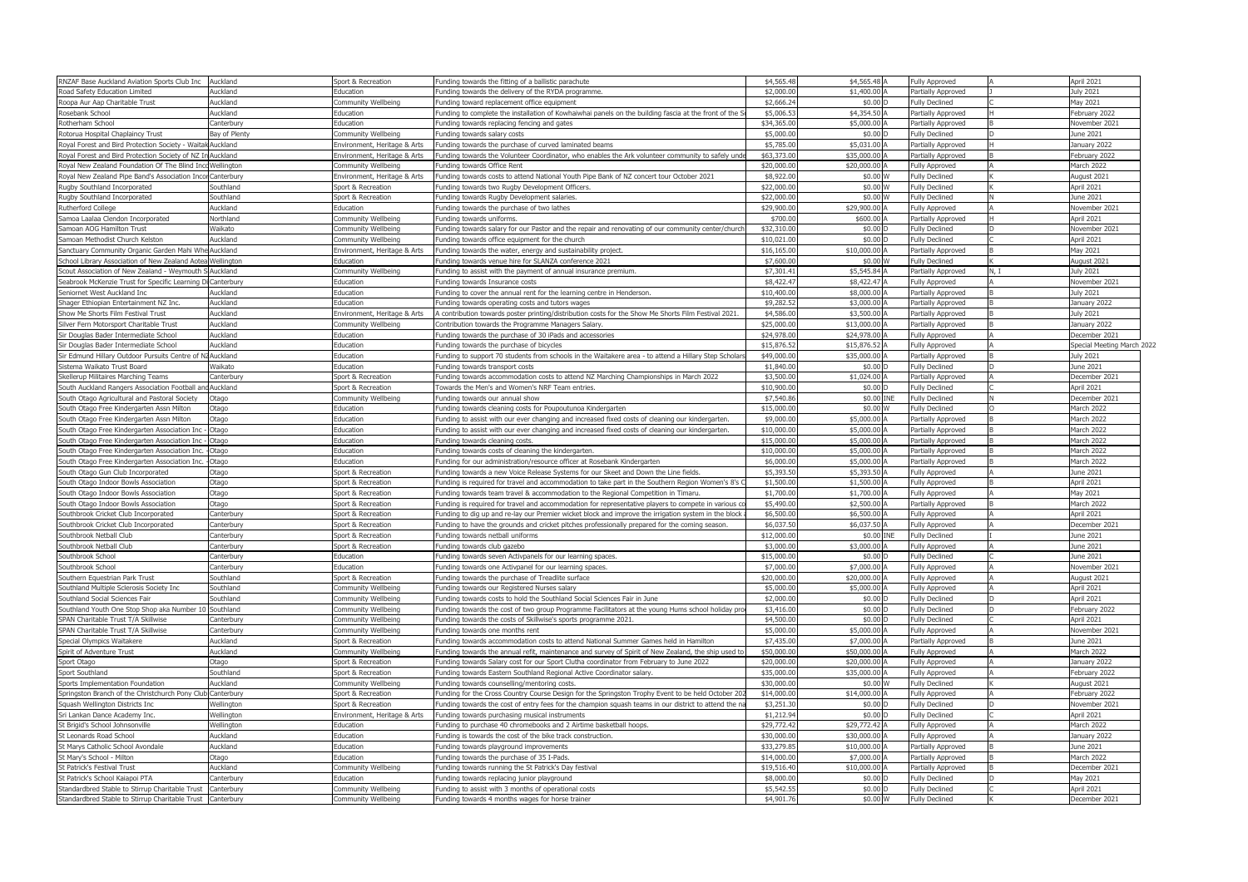| RNZAF Base Auckland Aviation Sports Club Inc Auckland                                              |                          | Sport & Recreation                         | Funding towards the fitting of a ballistic parachute                                                     | \$4,565.48               | \$4,565.48 A          | <b>Fully Approved</b>                          |      | April 2021                  |  |
|----------------------------------------------------------------------------------------------------|--------------------------|--------------------------------------------|----------------------------------------------------------------------------------------------------------|--------------------------|-----------------------|------------------------------------------------|------|-----------------------------|--|
| Road Safety Education Limited                                                                      | Auckland                 | Education                                  | Funding towards the delivery of the RYDA programme                                                       | \$2,000.0                | \$1,400.00            | Partially Approved                             |      | July 2021                   |  |
| Roopa Aur Aap Charitable Trust                                                                     | Auckland                 | Community Wellbeing                        | Funding toward replacement office equipment                                                              | \$2,666.24               | $$0.00$ D             | <b>Fully Declined</b>                          |      | May 2021                    |  |
| Rosebank School                                                                                    | Auckland                 | Education                                  | Funding to complete the installation of Kowhaiwhai panels on the building fascia at the front of the S   | \$5,006.5                | \$4,354.50            | Partially Approved                             |      | ebruary 2022                |  |
| Rotherham School                                                                                   | Canterbury               | Education                                  | Funding towards replacing fencing and gates                                                              | \$34,365.0               | \$5,000.00 A          | Partially Approved                             |      | November 2021               |  |
| Rotorua Hospital Chaplaincy Trust                                                                  | Bay of Plenty            | Community Wellbeing                        | Funding towards salary costs                                                                             | \$5,000.0                | \$0.00 D              | <b>Fully Declined</b>                          |      | June 2021                   |  |
| Royal Forest and Bird Protection Society - Waitak Auckland                                         |                          | Environment, Heritage & Arts               | Funding towards the purchase of curved laminated beams                                                   | \$5,785.                 | \$5,031.00            | Partially Approved                             |      | January 2022                |  |
| Royal Forest and Bird Protection Society of NZ In                                                  | Auckland                 | Environment, Heritage & Arts               | Funding towards the Volunteer Coordinator, who enables the Ark volunteer community to safely under       | \$63,373.0               | \$35,000.00           | Partially Approved                             |      | February 2022               |  |
| Royal New Zealand Foundation Of The Blind Inc                                                      | Wellington               | Community Wellbeing                        | Funding towards Office Rent                                                                              | \$20,000.0               | \$20,000.00           | Fully Approved                                 |      | March 2022                  |  |
| Royal New Zealand Pipe Band's Association Incor                                                    | Canterbury               | Environment, Heritage & Arts               | Funding towards costs to attend National Youth Pipe Bank of NZ concert tour October 2021                 | \$8,922.0                | \$0.00 W              | <b>Fully Declined</b>                          |      | August 2021                 |  |
| Rugby Southland Incorporated                                                                       | Southland                | Sport & Recreation                         | Funding towards two Rugby Development Officers.                                                          | \$22,000.0               | \$0.00 W              | <b>Fully Declined</b>                          |      | April 2021                  |  |
| Rugby Southland Incorporated                                                                       | Southland                | Sport & Recreation                         | Funding towards Rugby Development salaries.                                                              | \$22,000.0               | \$0.00 W              | <b>Fully Declined</b>                          |      | June 2021                   |  |
| Rutherford College                                                                                 | Auckland                 | Education                                  | Funding towards the purchase of two lathes                                                               | \$29,900.0               | \$29,900.00           | <b>Fully Approved</b>                          |      | November 2021               |  |
| Samoa Laalaa Clendon Incorporated                                                                  | Northland                | Community Wellbeing                        | Funding towards uniforms.                                                                                | \$700.0                  | \$600.00              | Partially Approved                             |      | April 2021                  |  |
| Samoan AOG Hamilton Trust                                                                          | Waikato                  | Community Wellbeing                        | Funding towards salary for our Pastor and the repair and renovating of our community center/church       | \$32,310.0               | \$0.00 D              | <b>Fully Declined</b>                          |      | November 2021               |  |
| Samoan Methodist Church Kelston                                                                    | Auckland                 | Community Wellbeing                        | Funding towards office equipment for the church                                                          | \$10,021.0               | $$0.00$ D             | <b>Fully Declined</b>                          |      | April 2021                  |  |
| Sanctuary Community Organic Garden Mahi Whe Auckland                                               |                          | Environment, Heritage & Arts               | Funding towards the water, energy and sustainability project.                                            | \$16,165.0               | \$10,000.00 A         | Partially Approved                             |      | May 2021                    |  |
| School Library Association of New Zealand Aotea Wellington                                         |                          | Education                                  | Funding towards venue hire for SLANZA conference 2021                                                    | \$7,600.0                | \$0.00 W              | <b>Fully Declined</b>                          |      | August 2021                 |  |
| Scout Association of New Zealand - Weymouth S Auckland                                             |                          | Community Wellbeing                        | Funding to assist with the payment of annual insurance premium.                                          | \$7,301.4                | \$5,545.84 A          | Partially Approved                             | N, I | July 2021                   |  |
| Seabrook McKenzie Trust for Specific Learning D                                                    | Canterbury               | Education                                  | Funding towards Insurance costs                                                                          | \$8,422.4                | \$8,422.47            | <b>Fully Approved</b>                          |      | November 2021               |  |
| Seniornet West Auckland Inc                                                                        | Auckland                 | Education                                  | Funding to cover the annual rent for the learning centre in Henderson.                                   | \$10,400.0               | \$8,000.00            | Partially Approved                             |      | July 2021                   |  |
| Shager Ethiopian Entertainment NZ Inc.                                                             | Auckland                 | Education                                  | Funding towards operating costs and tutors wages                                                         | \$9,282.5                | \$3,000.00 A          | Partially Approved                             |      | January 2022                |  |
| Show Me Shorts Film Festival Trust                                                                 | Auckland                 | Environment, Heritage & Arts               | A contribution towards poster printing/distribution costs for the Show Me Shorts Film Festival 2021      | \$4,586.0                | \$3,500.00            | Partially Approved                             |      | <b>July 2021</b>            |  |
| Silver Fern Motorsport Charitable Trust                                                            | Auckland                 | Community Wellbeing                        | Contribution towards the Programme Managers Salary.                                                      | \$25,000.0               | \$13,000.00           | Partially Approved                             |      | January 2022                |  |
| Sir Douglas Bader Intermediate School                                                              | Auckland                 | Education                                  | Funding towards the purchase of 30 iPads and accessories                                                 | \$24,978.0               | \$24,978.00 A         | <b>Fully Approved</b>                          |      | December 2021               |  |
| Sir Douglas Bader Intermediate School                                                              | Auckland                 | Education                                  | Funding towards the purchase of bicycles                                                                 | \$15,876.5               | \$15,876.52           | <b>Fully Approved</b>                          |      | Special Meeting March 2022  |  |
| Sir Edmund Hillary Outdoor Pursuits Centre of I                                                    | Auckland                 | Education                                  | Funding to support 70 students from schools in the Waitakere area - to attend a Hillary Step Scholars    | \$49,000.0               | \$35,000.00 A         | Partially Approved                             |      | July 2021                   |  |
| Sistema Waikato Trust Board                                                                        | Naikato                  | Education                                  | Funding towards transport costs                                                                          | \$1,840.0                | \$0.00 D              | <b>Fully Declined</b>                          |      | June 2021                   |  |
| Skellerup Militaires Marching Teams                                                                | Canterbury               | Sport & Recreation                         | Funding towards accommodation costs to attend NZ Marching Championships in March 2022                    | \$3,500.                 | \$1,024.00            | Partially Approved                             |      | December 2021               |  |
| South Auckland Rangers Association Football an                                                     | d Auckland               | Sport & Recreation                         | Towards the Men's and Women's NRF Team entries.                                                          | \$10,900.0               | $$0.00$ D             | <b>Fully Declined</b>                          |      | April 2021                  |  |
| South Otago Agricultural and Pastoral Society                                                      | Otago                    | Community Wellbeing                        | Funding towards our annual show                                                                          | \$7,540.8                | \$0.00 INE            | <b>Fully Declined</b>                          |      | December 2021               |  |
| South Otago Free Kindergarten Assn Miltor                                                          | Otago                    | Education                                  | Funding towards cleaning costs for Poupoutunoa Kindergarten                                              | \$15,000.0               | \$0.00                | <b>Fully Declined</b>                          |      | March 2022                  |  |
| South Otago Free Kindergarten Assn Milton                                                          | Otago                    | Education                                  | Funding to assist with our ever changing and increased fixed costs of cleaning our kindergarten.         | \$9,000.0                | \$5,000.00 A          | Partially Approved                             |      | March 2022                  |  |
| South Otago Free Kindergarten Association Inc                                                      | Otago                    | Education                                  | Funding to assist with our ever changing and increased fixed costs of cleaning our kindergarten.         | $$10,000$ .              | \$5,000.00            | Partially Approved                             |      | March 2022                  |  |
| South Otago Free Kindergarten Association Inc                                                      | Otago                    | Education                                  | Funding towards cleaning costs.                                                                          | \$15,000.0               | \$5,000.00 A          | Partially Approved                             |      | March 2022                  |  |
| South Otago Free Kindergarten Association Inc.                                                     | Otago                    | Education                                  | Funding towards costs of cleaning the kindergarten.                                                      | \$10,000.0               | \$5,000.00 A          | Partially Approved                             |      | March 2022                  |  |
| South Otago Free Kindergarten Association Inc.                                                     | Otago                    | Education                                  | Funding for our administration/resource officer at Rosebank Kindergarten                                 | \$6,000.0                | \$5,000.00            | Partially Approved                             |      | March 2022                  |  |
| South Otago Gun Club Incorporated                                                                  | Otago                    | Sport & Recreation                         | Funding towards a new Voice Release Systems for our Skeet and Down the Line fields.                      | \$5,393.5                | \$5,393.50 A          | <b>Fully Approved</b>                          |      | June 2021                   |  |
| South Otago Indoor Bowls Association                                                               | Otago                    | Sport & Recreation                         | Funding is required for travel and accommodation to take part in the Southern Region Women's 8's C       | \$1,500.0                | \$1,500.00 A          | <b>Fully Approved</b>                          |      | April 2021                  |  |
| South Otago Indoor Bowls Association                                                               | Otago                    | Sport & Recreation                         | Funding towards team travel & accommodation to the Regional Competition in Timaru.                       | \$1,700.0                | \$1,700.00            | <b>Fully Approved</b>                          |      | May 2021                    |  |
| South Otago Indoor Bowls Association                                                               | Otago                    | Sport & Recreation                         | Funding is required for travel and accommodation for representative players to compete in various co     | \$5,490.0                | \$2,500.00 A          | Partially Approved                             |      | March 2022                  |  |
| Southbrook Cricket Club Incorporated                                                               | Canterbury               | Sport & Recreation                         | Funding to dig up and re-lay our Premier wicket block and improve the irrigation system in the block     | \$6,500.0                | \$6,500.00            | Fully Approved                                 |      | April 2021                  |  |
| Southbrook Cricket Club Incorporated                                                               | Canterbury               | Sport & Recreation                         | Funding to have the grounds and cricket pitches professionally prepared for the coming season.           | \$6,037.                 | \$6,037.50            | <b>Fully Approved</b>                          |      | December 2021               |  |
| Southbrook Netball Club                                                                            | Canterbury               | Sport & Recreation                         | Funding towards netball uniforms                                                                         | \$12,000.0               | \$0.00 INE            | <b>Fully Declined</b>                          |      | June 2021                   |  |
| Southbrook Netball Club                                                                            | Canterbury               | Sport & Recreation                         | Funding towards club gazebo                                                                              | \$3,000.00               | \$3,000.00 A          | Fully Approved                                 |      | June 2021                   |  |
| Southbrook School                                                                                  | Canterbury               | Education                                  | Funding towards seven Activpanels for our learning spaces.                                               | \$15,000.0               | $$0.00$ D             | <b>Fully Declined</b>                          |      | June 2021                   |  |
| Southbrook School                                                                                  | Canterbury               | Education                                  | Funding towards one Activpanel for our learning spaces.                                                  | \$7,000.0                | \$7,000.00 A          | <b>Fully Approved</b>                          |      | November 2021               |  |
| Southern Equestrian Park Trust                                                                     | Southland                | Sport & Recreation                         | Funding towards the purchase of Treadlite surface                                                        | \$20,000.0               | \$20,000.00           | <b>Fully Approved</b>                          |      | August 2021                 |  |
| Southland Multiple Sclerosis Society Inc                                                           | Southland                | Community Wellbeing                        | Funding towards our Registered Nurses salary                                                             | \$5,000.00               | \$5,000.00 A          | <b>Fully Approved</b>                          |      | April 2021                  |  |
| Southland Social Sciences Fair                                                                     | Southland                | Community Wellbeing                        | Funding towards costs to hold the Southland Social Sciences Fair in June                                 | \$2,000.00               | $$0.00$ D             | <b>Fully Declined</b>                          |      | April 2021                  |  |
| Southland Youth One Stop Shop aka Number 1                                                         | Southland                | Community Wellbeing                        | Funding towards the cost of two group Programme Facilitators at the young Hums school holiday pro        | \$3,416.0                | \$0.00 D              | <b>Fully Declined</b>                          |      | February 2022               |  |
| SPAN Charitable Trust T/A Skillwise                                                                | Canterbury               | Community Wellbeing                        | Funding towards the costs of Skillwise's sports programme 2021.                                          | \$4,500.00               | $$0.00$ D             | <b>Fully Declined</b>                          |      | April 2021                  |  |
| SPAN Charitable Trust T/A Skillwise                                                                | Canterbury               | Community Wellbeing                        | Funding towards one months rent                                                                          | \$5,000.00               | \$5,000.00 A          | <b>Fully Approved</b>                          |      | November 2021               |  |
| Special Olympics Waitakere                                                                         | Auckland                 | Sport & Recreation                         | Funding towards accommodation costs to attend National Summer Games held in Hamilton                     | \$7,435.0                | \$7,000.00 A          | Partially Approved                             |      | June 2021                   |  |
| Spirit of Adventure Trust                                                                          | Auckland                 | Community Wellbeing                        | Funding towards the annual refit, maintenance and survey of Spirit of New Zealand, the ship used to      | \$50,000.0               | \$50,000.00 A         | <b>Fully Approved</b>                          |      | March 2022                  |  |
| Sport Otago                                                                                        |                          |                                            |                                                                                                          |                          |                       |                                                |      |                             |  |
|                                                                                                    | Otago                    | Sport & Recreation                         | Funding towards Salary cost for our Sport Clutha coordinator from February to June 2022                  | \$20,000.0               | \$20,000.00 A         | Fully Approved                                 |      | January 2022                |  |
| Sport Southland                                                                                    | Southland                | Sport & Recreation                         | Funding towards Eastern Southland Regional Active Coordinator salary.                                    | \$35,000.0               | \$35,000.00 A         | Fully Approved                                 |      | February 2022               |  |
| Sports Implementation Foundation                                                                   | Auckland                 | Community Wellbeing                        | Funding towards counselling/mentoring costs.                                                             | \$30,000.0               | \$0.00 W              | <b>Fully Declined</b>                          |      | August 2021                 |  |
| Springston Branch of the Christchurch Pony Club                                                    | Canterbury               | Sport & Recreation                         | Funding for the Cross Country Course Design for the Springston Trophy Event to be held October 202       | \$14,000.0               | \$14,000.00 A         | <b>Fully Approved</b>                          |      | February 2022               |  |
| Squash Wellington Districts Inc                                                                    | Wellington               | Sport & Recreation                         | Funding towards the cost of entry fees for the champion squash teams in our district to attend the na    | \$3,251.30               | $$0.00$ D             | <b>Fully Declined</b>                          |      | November 2021               |  |
| Sri Lankan Dance Academy Inc.                                                                      | Wellington               | Environment, Heritage & Arts               | Funding towards purchasing musical instruments                                                           | \$1,212.94               | \$0.00 D              | <b>Fully Declined</b>                          |      | April 2021                  |  |
| St Brigid's School Johnsonville                                                                    | Wellington               | Education                                  | Funding to purchase 40 chromebooks and 2 Airtime basketball hoops.                                       | \$29,772.42              | \$29,772.42 A         | Fully Approved                                 |      | <b>March 2022</b>           |  |
| St Leonards Road School                                                                            | Auckland                 | Education                                  | Funding is towards the cost of the bike track construction.                                              | \$30,000.0               | \$30,000.00 A         | <b>Fully Approved</b>                          |      | January 2022                |  |
| St Marys Catholic School Avondale                                                                  | Auckland                 | Education                                  | Funding towards playground improvements                                                                  | \$33,279.85              | \$10,000.00 A         | Partially Approved                             |      | June 2021                   |  |
| St Mary's School - Milton                                                                          | Otago                    | Education                                  | Funding towards the purchase of 35 I-Pads.                                                               | \$14,000.0               | \$7,000.00            | Partially Approved                             |      | March 2022                  |  |
| St Patrick's Festival Trust                                                                        | Auckland                 | Community Wellbeing                        | Funding towards running the St Patrick's Day festival                                                    | \$19,516.40              | \$10,000.00 A         | Partially Approved                             |      | December 2021               |  |
| St Patrick's School Kaiapoi PTA                                                                    | Canterbury               | Education                                  | Funding towards replacing junior playground                                                              | \$8,000.0                | \$0.00 D              | <b>Fully Declined</b>                          |      | May 2021                    |  |
| Standardbred Stable to Stirrup Charitable Trust<br>Standardbred Stable to Stirrup Charitable Trust | Canterbury<br>Canterbury | Community Wellbeing<br>Community Wellbeing | Funding to assist with 3 months of operational costs<br>Funding towards 4 months wages for horse trainer | \$5,542.55<br>\$4,901.76 | $$0.00$ D<br>\$0.00 W | <b>Fully Declined</b><br><b>Fully Declined</b> |      | April 2021<br>December 2021 |  |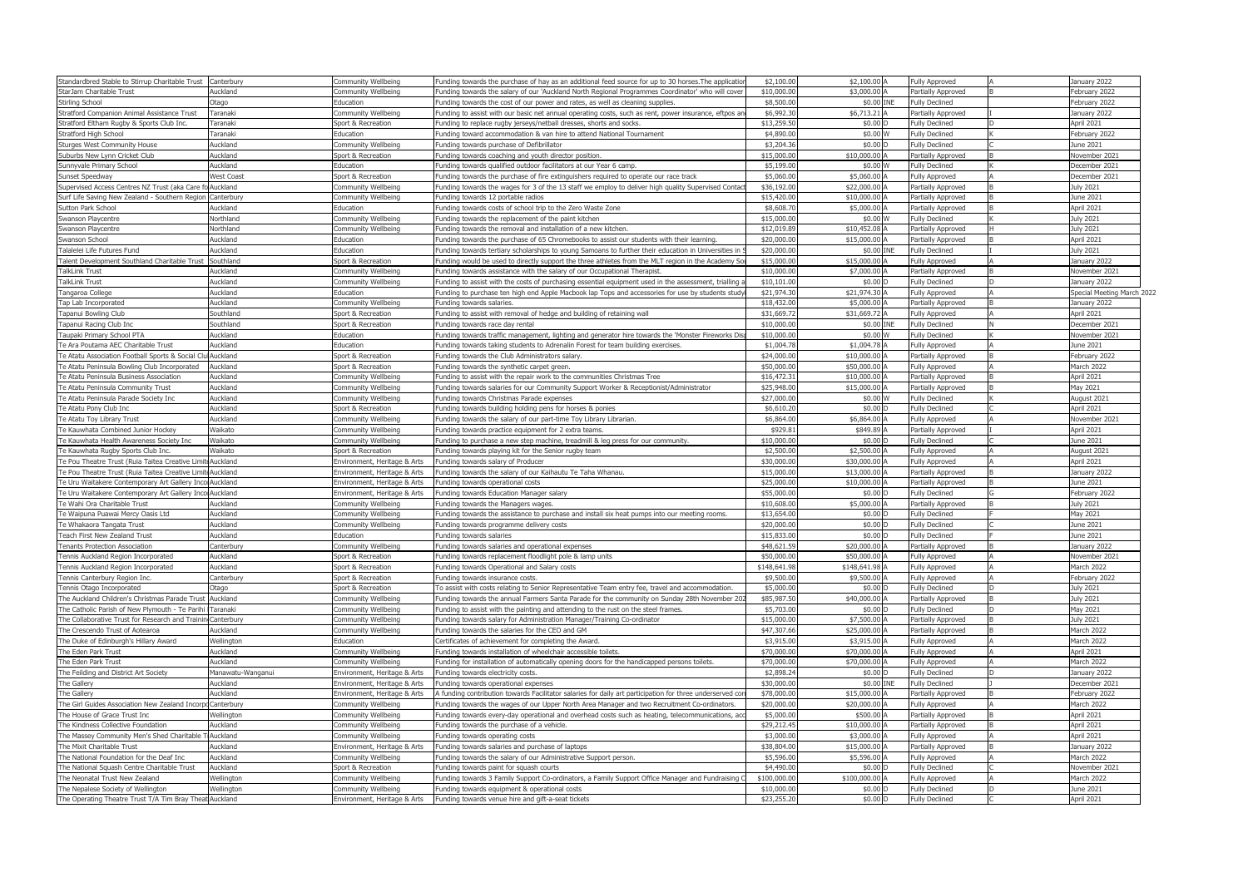| Standardbred Stable to Stirrup Charitable Trust Canterbury  |                  | Communitv Wellbeino          | Funding towards the purchase of hay as an additional feed source for up to 30 horses.The applicatior     | \$2,100.00   | \$2,100,00 A   | <b>Fully Approved</b> | January 2022               |
|-------------------------------------------------------------|------------------|------------------------------|----------------------------------------------------------------------------------------------------------|--------------|----------------|-----------------------|----------------------------|
| StarJam Charitable Trust                                    | Auckland         | ommunity Wellbeing           | Funding towards the salary of our 'Auckland North Regional Programmes Coordinator' who will co           | \$10,000.00  | \$3,000.00     | Partially Approved    | February 2022              |
| Stirling School                                             | Otago            | Education                    | unding towards the cost of our power and rates, as well as cleaning supplies.                            | \$8,500.00   | \$0.00 INE     | <b>Fully Declined</b> | Eebruary 2022              |
| Stratford Companion Animal Assistance Trust                 | Taranaki         | Community Wellbeino          | unding to assist with our basic net annual operating costs, such as rent, power insurance, eftpos an-    | \$6,992.30   | \$6,713.21 A   | Partially Approved    | January 2022               |
| Stratford Eltham Rugby & Sports Club Inc.                   | Taranaki         | port & Recreation            | unding to replace rugby jerseys/netball dresses, shorts and socks.                                       | \$13,259.50  | \$0.00         | <b>Fully Declined</b> | April 2021                 |
| Stratford High School                                       | Taranaki         | Education                    | Funding toward accommodation & van hire to attend National Tournament                                    | \$4,890,00   | \$0.00 W       | <b>Fully Declined</b> | February 2022              |
| Sturaes West Community House                                | Auckland         | Community Wellbeino          | unding towards purchase of Defibrillator-                                                                | \$3,204.36   | $$0.00$ D      | <b>Fully Declined</b> | June 2021                  |
| Suburbs New Lvnn Cricket Club                               | Auckland         | Sport & Recreation           | unding towards coaching and vouth director position.                                                     | \$15,000.0   | \$10,000,00    | Partially Approved    | lovember 2021              |
| Sunnyvale Primary School                                    | Auckland         | Education                    | unding towards qualified outdoor facilitators at our Year 6 camp.                                        | \$5,199.00   | \$0.00 W       | <b>Fully Declined</b> | December 2021              |
| Sunset Speedway                                             | West Coast       | Sport & Recreation           | Funding towards the purchase of fire extinguishers reguired to operate our race track                    | \$5,060,00   | \$5.060.00     | <b>Fully Approved</b> | December 2021              |
| Supervised Access Centres NZ Trust (aka Care fo Auckland    |                  | Community Wellbeino          | Funding towards the wages for 3 of the 13 staff we emplov to deliver high quality Supervised Conta       | \$36,192.00  | \$22,000,00    | Partially Approved    | July 2021                  |
| Surf Life Saving New Zealand - Southern Region Canterbury   |                  | Communitv Wellbeina          | Funding towards 12 portable radios                                                                       | \$15,420,00  | \$10,000,00    | Partially Approved    | June 2021                  |
| Sutton Park School                                          | Auckland         | Education                    | Funding towards costs of school trip to the Zero Waste Zone                                              | \$8,608,70   | \$5,000,00     | Partially Approved    | April 2021                 |
| Swanson Playcentre                                          | Northland        | ommunity Wellbeing           | Funding towards the replacement of the paint kitchen                                                     | \$15,000.0   | \$0.00 W       | <b>Fully Declined</b> | July 2021                  |
| wanson Plavcentre                                           | Northland        | ommunitv Wellbeina           | unding towards the removal and installation of a new kitchen                                             | \$12,019.89  | \$10,452.08 A  | Partially Approved    | July 2021                  |
| vanson School                                               | Auckland         | Education                    | unding towards the purchase of 65 Chromebooks to assist our students with their learning                 | \$20,000,00  | \$15,000.00    | Partially Approved    | April 2021                 |
|                                                             |                  | Education                    |                                                                                                          |              | \$0.00 INE     |                       |                            |
| -alalelei Life Futures Fund                                 | Auckland         |                              | unding towards tertiary scholarships to young Samoans to further their education in Universities in      | \$20,000.00  |                | <b>Fully Declined</b> | July 2021                  |
| Talent Development Southland Charitable Trust Southland     |                  | Sport & Recreation           | unding would be used to directly support the three athletes from the MLT region in the Academy Sou       | \$15,000.00  | \$15.000.00    | <b>Fully Approved</b> | Januarv 2022               |
| TalkLink Trust                                              | Auckland         | Community Wellbeino          | unding towards assistance with the salary of our Occupational Therapist.                                 | \$10,000.00  | \$7,000,00     | Partially Approved    | lovember 2021              |
| TalkLink Trust                                              | Auckland         | `ommunitv Wellbeina          | unding to assist with the costs of purchasing essential equipment used in the assessment, trialling-     | \$10,101,00  | \$0.00 D       | <b>Fully Declined</b> | Januarv 2022               |
| Tangaroa College                                            | Auckland         | Education                    | unding to purchase ten high end Apple Macbook lap Tops and accessories for use by students stu           | \$21,974.30  | \$21,974.30    | <b>Fully Approved</b> | Special Meeting March 2022 |
| Tap Lab Incorporated                                        | Auckland         | ommunitv Wellbeino           | unding towards salaries.                                                                                 | \$18,432.00  | \$5,000,00     | Partially Approved    | Januarv 2022               |
| Tapanui Bowling Club                                        | Southland        | Sport & Recreation           | unding to assist with removal of hedge and building of retaining wall                                    | \$31,669.7   | \$31.669.72    | <b>Fully Approved</b> | April 2021                 |
| Tapanui Racing Club Ino                                     | Southland        | Sport & Recreation           | unding towards race day rental                                                                           | \$10,000,00  | \$0.00 INE     | <b>Fully Declined</b> | December 2021              |
| Taupaki Primary School PTA                                  | Auckland         | Education                    | unding towards traffic management, lighting and generator hire towards the 'Monster Fireworks Dis        | \$10,000,00  | \$0.00 W       | <b>Fully Declined</b> | lovember 2021              |
| Te Ara Poutama AEC Charitable Trust                         | Auckland         | Education                    | unding towards taking students to Adrenalin Forest for team building exercises.                          | \$1,004.78   | \$1,004.78 A   | <b>Fully Approved</b> | June 2021                  |
| Te Atatu Association Football Sports & Social Clu Auckland  |                  | Sport & Recreation           | Funding towards the Club Administrators salary                                                           | \$24,000.0   | \$10,000.00    | Partially Approved    | February 2022              |
| Te Atatu Peninsula Bowling Club Incorporated                | Auckland         | Sport & Recreation           | unding towards the synthetic carpet green.                                                               | \$50,000.0   | \$50,000.00    | <b>Fully Approved</b> | March 2022                 |
| Te Atatu Peninsula Business Association                     | Auckland         | Community Wellbein           | unding to assist with the repair work to the communities Christmas Tree                                  | \$16,472.3   | \$10,000,00 A  | Partially Approved    | April 2021                 |
| Te Atatu Peninsula Community Trust                          | Auckland         | ommunitv Wellbeino           | unding towards salaries for our Community Support Worker & Receptionist/Administrator                    | \$25,948,0   | \$15,000,00    | Partially Approved    | May 2021                   |
| Te Atatu Peninsula Parade Society Inc                       | Auckland         | `ommunitv Wellbeina          | unding towards Christmas Parade expenses                                                                 | \$27,000.00  | \$0.00 W       | <b>Fully Declined</b> | Auaust 2021                |
|                                                             | Auckland         |                              |                                                                                                          |              |                |                       |                            |
| Te Atatu Pony Club Inc                                      |                  | Sport & Recreation           | unding towards building holding pens for horses & ponies                                                 | \$6,610.20   | \$0.00 D       | <b>Fully Declined</b> | April 2021                 |
| Te Atatu Tov Library Trust                                  | Auckland         | ommunitv Wellbeina           | unding towards the salary of our part-time Toy Library Librarian.                                        | \$6.864.00   | \$6,864,00     | ully Approved         | lovember 2021              |
| Te Kauwhata Combined Junior Hockey                          | Waikato          | Community Wellbeino          | Funding towards practice equipment for 2 extra teams                                                     | \$929.81     | \$849.89 A     | Partially Approved    | April 2021                 |
| Te Kauwhata Health Awareness Society In                     | Naikato          | community Wellbein           | unding to purchase a new step machine, treadmill & leg press for our community.                          | \$10,000,00  | $$0.00$ D      | <b>Fully Declined</b> | June 2021                  |
| Te Kauwhata Rugby Sports Club Inc                           | Vaikato          | Sport & Recreation           | unding towards playing kit for the Senior rugby team                                                     | \$2,500.00   | \$2,500.00     | Fully Approved        | Auaust 2021                |
| Te Pou Theatre Trust (Ruia Taitea Creative Limit Auckland   |                  | invironment, Heritage & Arts | Funding towards salary of Producer                                                                       | \$30,000,00  | \$30,000,00    | <b>Fully Approved</b> | April 2021                 |
| Te Pou Theatre Trust (Ruia Taitea Creative Limit Auckland   |                  | nvironment, Heritage & Arts  | unding towards the salary of our Kaihautu Te Taha Whanau                                                 | \$15,000,00  | \$13,000,00    | Partially Approved    | January 2022               |
| Te Uru Waitakere Contemporary Art Gallery Inco Auckland     |                  | ivironment, Heritage & Arts  | Funding towards operational costs                                                                        | \$25,000,00  | \$10,000,00    | Partially Approved    | June 2021                  |
| Te Uru Waitakere Contemporary Art Gallery Inco Auckland     |                  | invironment, Heritage & Arts | Funding towards Education Manager salary                                                                 | \$55,000,00  | \$0.00 D       | <b>Fully Declined</b> | February 2022              |
| Te Wahi Ora Charitable Trust                                | Auckland         | Community Wellbeino          | Funding towards the Managers wages.                                                                      | \$10,608,00  | \$5,000.00     | Partially Approved    | July 2021                  |
| Te Waipuna Puawai Mercy Oasis Ltd                           | Auckland         | community Wellbeing          | Funding towards the assistance to purchase and install six heat pumps into our meeting rooms.            | \$13,654.0   | $$0.00$ I      | Fully Declined        | May 2021                   |
|                                                             | Auckland         |                              |                                                                                                          | \$20.000.0   | \$0.00         | Fully Declined        |                            |
| Te Whakaora Tangata Trust                                   |                  | ommunitv Wellbeino           | unding towards programme delivery costs                                                                  |              |                |                       | lune 2021                  |
| <b>Teach First New Zealand Trust</b>                        | Auckland         | -ducation                    | unding towards salaries                                                                                  | \$15,833.0   | $$0.00$ I      | <b>Fully Declined</b> | une 2021                   |
| Tenants Protection Association                              | anterhurv        | ommunitv Wellbeino           | unding towards salaries and operational expenses                                                         | \$48,621.5   | \$20,000,00 A  | artially Approved     | January 2022               |
| Tennis Auckland Region Incorporated                         | Auckland         | Sport & Recreation           | unding towards replacement floodlight pole & lamp units                                                  | \$50,000.00  | \$50,000,00    | <b>Fully Approved</b> | November 2021              |
| Tennis Auckland Region Incorporated                         | Auckland         | Sport & Recreation           | unding towards Operational and Salary costs                                                              | \$148.641.98 | \$148,641,98   | <b>Fully Approved</b> | March 2022                 |
| Tennis Canterbury Region Inc.                               | Canterbury       | Sport & Recreation           | Funding towards insurance costs.                                                                         | \$9,500.00   | \$9,500,00 A   | <b>Fully Approved</b> | February 2022              |
| Tennis Otago Incorporated                                   | Otago            | Sport & Recreation           | o assist with costs relating to Senior Representative Team entry fee, travel and accommodation.          | \$5,000.00   | \$0.00 D       | <b>Fully Declined</b> | July 2021                  |
| The Auckland Children's Christmas Parade Trust Auckland     |                  | `ommunitv Wellbeina          | Funding towards the annual Farmers Santa Parade for the community on Sunday 28th November 2(             | \$85,987.50  | \$40,000,00 A  | Partially Approved    | July 2021                  |
| The Catholic Parish of New Plymouth - Te Parihi Taranaki    |                  | Communitv Wellbeino          | Funding to assist with the painting and attending to the rust on the steel frames.                       | \$5,703.00   | $$0.00$ D      | <b>Fully Declined</b> | May 2021                   |
| The Collaborative Trust for Research and Trainin Canterbury |                  | Communitv Wellbeino          | Funding towards salary for Administration Manager/Training Co-ordinator                                  | \$15,000,00  | \$7,500,00     | Partially Approved    | July 2021                  |
|                                                             |                  |                              |                                                                                                          |              |                |                       |                            |
| The Crescendo Trust of Aotearoa                             | Auckland         | ommunity Wellbeing           | unding towards the salaries for the CEO and GM                                                           | \$47,307.66  | \$25,000.00    | Partially Approved    | March 2022                 |
| The Duke of Edinburgh's Hillary Award                       | Wellington       | Education                    | Certificates of achievement for completing the Award.                                                    | \$3,915.00   | \$3,915.00 A   | <b>Fully Approved</b> | March 2022                 |
| The Eden Park Trust                                         | Auckland         | ommunity Wellbeing           | Funding towards installation of wheelchair accessible toilets.                                           | \$70,000,00  | \$70,000.00    | Fully Approved        | April 2021                 |
| The Eden Park Trust                                         | Auckland         | Community Wellbeing          | unding for installation of automatically opening doors for the handicapped persons toilets               | \$70,000,00  | \$70,000.00 A  | <b>Fully Approved</b> | March 2022                 |
| The Feilding and District Art Society                       | Manawatu-Wanganu | vironment, Heritage & Arts   | Funding towards electricity costs                                                                        | \$2,898.24   | $$0.00$ D      | <b>Fully Declined</b> | January 2022               |
| The Gallery                                                 | Auckland         | ironment, Heritage & Arts    | unding towards operational expenses                                                                      | \$30,000,00  | \$0.00 INE     | <b>Fully Declined</b> | December 2021              |
|                                                             |                  | ivironment, Heritage & Arts  | A funding contribution towards Facilitator salaries for daily art participation for three underserved co | \$78,000.00  | \$15,000,00 A  | Partially Approved    | February 2022              |
| The Gallery                                                 | Auckland         |                              |                                                                                                          | \$20,000,00  | \$20,000,00 A  | <b>Fully Approved</b> | March 2022                 |
| The Girl Guides Association New Zealand Incorpo Canterbury  |                  | `ommunitv Wellbeina          | unding towards the wages of our Upper North Area Manager and two Recruitment Co-ordinators.              |              |                |                       |                            |
|                                                             | 'ellinaton       | `ommunitv Wellbeina          |                                                                                                          | \$5,000.00   |                |                       |                            |
| The House of Grace Trust Inc                                |                  |                              | unding towards every-day operational and overhead costs such as heating, telecommunications, ac-         |              | \$500.00 A     | Partially Approved    | April 2021                 |
| The Kindness Collective Foundation                          | Auckland         | Community Wellbeino          | Funding towards the purchase of a vehicle.                                                               | \$29,212.45  | \$10,000.00 A  | Partially Approved    | April 2021                 |
| The Massey Community Men's Shed Charitable T Auckland       |                  | ommunitv Wellbeina           | unding towards operating costs                                                                           | \$3,000.00   | \$3,000,00     | <b>Fully Approved</b> | April 2021                 |
| The Mixit Charitable Trust                                  | Auckland         | vironment, Heritage & Arts   | Funding towards salaries and purchase of laptops                                                         | \$38,804.00  | \$15,000,00 A  | Partially Approved    | January 2022               |
| The National Foundation for the Deaf Inc                    | Auckland         | Community Wellbeino          | Funding towards the salary of our Administrative Support person.                                         | \$5,596.00   | \$5,596.00 A   | <b>Fully Approved</b> | March 2022                 |
| The National Squash Centre Charitable Trust                 | Auckland         | Sport & Recreation           | Funding towards paint for squash courts                                                                  | \$4,490.00   | $$0.00$ I      | <b>Fully Declined</b> | November 2021              |
| The Neonatal Trust New Zealand                              | Vellington       | Community Wellbeing          | Funding towards 3 Family Support Co-ordinators, a Family Support Office Manager and Fundraising          | \$100,000.00 | \$100,000.00 A | <b>Fully Approved</b> | March 2022                 |
| The Nepalese Society of Wellington                          | Wellington       | Community Wellbeing          | Funding towards equipment & operational costs                                                            | \$10,000.00  | \$0.00 D       | <b>Fully Declined</b> | June 2021                  |
| The Operating Theatre Trust T/A Tim Bray Theat Auckland     |                  |                              | nvironment, Heritage & Arts Funding towards venue hire and gift-a-seat tickets                           | \$23,255.20  | $$0.00$ D      | <b>Fully Declined</b> | April 2021                 |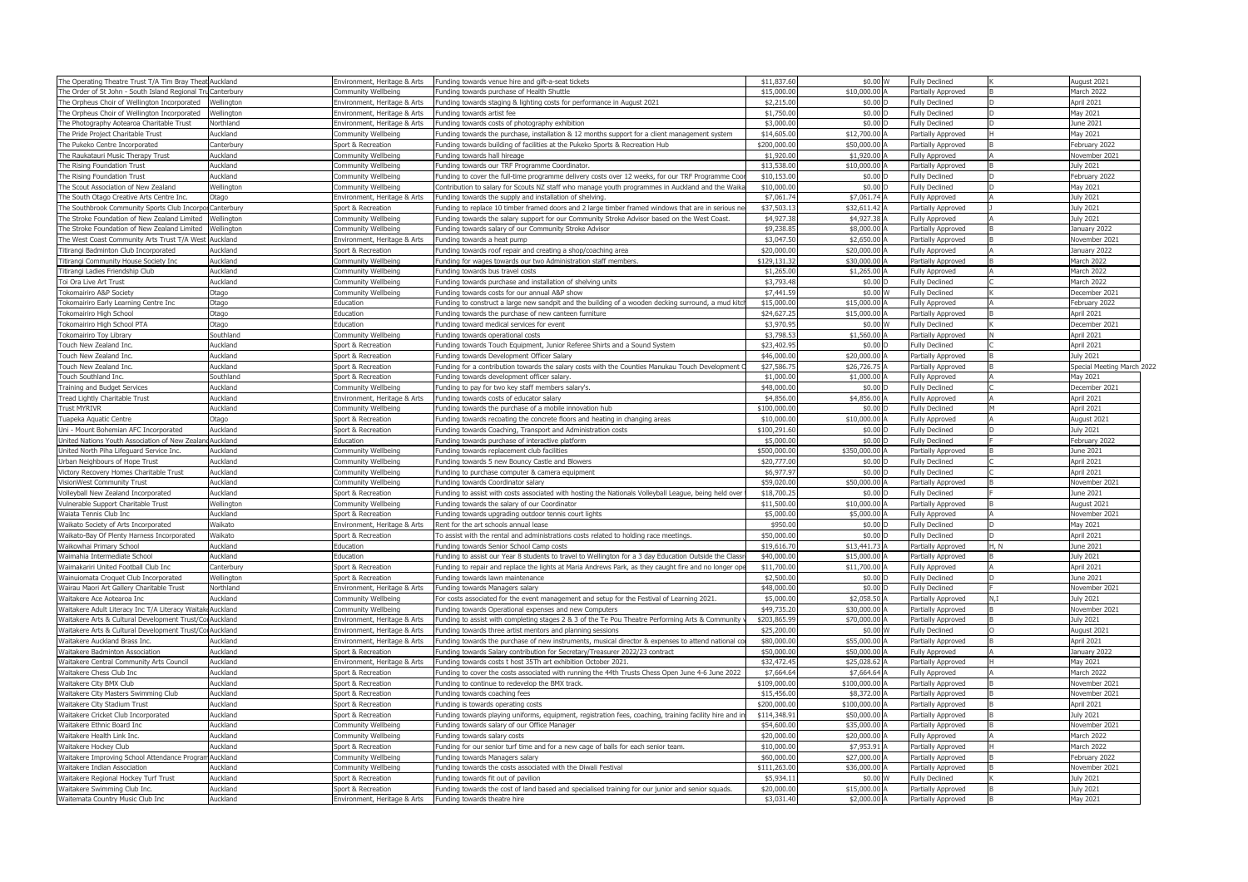| The Operating Theatre Trust T/A Tim Bray Theat Auckland     |            | Environment, Heritage & Arts | Funding towards venue hire and gift-a-seat tickets                                                      | \$11,837.6  | \$0.00 W       | <b>Fully Declined</b>     |       | August 2021                |
|-------------------------------------------------------------|------------|------------------------------|---------------------------------------------------------------------------------------------------------|-------------|----------------|---------------------------|-------|----------------------------|
| The Order of St John - South Island Regional Tru Canterbury |            | Community Wellbeing          | Funding towards purchase of Health Shuttle                                                              | \$15,000.0  | \$10,000.00 A  | Partially Approved        |       | March 2022                 |
| The Orpheus Choir of Wellington Incorporated                | Wellington | Environment, Heritage & Arts | Funding towards staging & lighting costs for performance in August 2021                                 | \$2,215.0   | $$0.00$ D      | <b>Fully Declined</b>     |       | April 2021                 |
| The Orpheus Choir of Wellington Incorporated                | Wellington | Environment, Heritage & Arts | Funding towards artist fee                                                                              | \$1,750.0   | \$0.00 D       | <b>Fully Declined</b>     |       | May 2021                   |
| The Photography Aotearoa Charitable Trust                   | Northland  | Environment, Heritage & Arts | Funding towards costs of photography exhibition                                                         | \$3,000.0   | \$0.00 D       | <b>Fully Declined</b>     |       | June 2021                  |
| The Pride Project Charitable Trust                          | Auckland   | <b>Community Wellbeing</b>   | Funding towards the purchase, installation & 12 months support for a client management system           | \$14,605.0  | \$12,700.00 A  | Partially Approved        |       | May 2021                   |
| The Pukeko Centre Incorporated                              | Canterbury | Sport & Recreation           | Funding towards building of facilities at the Pukeko Sports & Recreation Hub                            | \$200,000.0 | \$50,000.00 A  | Partially Approved        |       | ebruary 2022               |
| The Raukatauri Music Therapy Trust                          | Auckland   | Community Wellbeing          | Funding towards hall hireage                                                                            | \$1,920.0   | \$1,920.00 A   | Fully Approved            |       | November 2021              |
| The Rising Foundation Trust                                 | Auckland   | <b>Community Wellbeing</b>   | Funding towards our TRF Programme Coordinator.                                                          | \$13,538.0  | \$10,000.00 A  | Partially Approved        |       | <b>July 2021</b>           |
| The Rising Foundation Trust                                 | Auckland   | Community Wellbeing          | Funding to cover the full-time programme delivery costs over 12 weeks, for our TRF Programme Coo        | \$10,153.0  | $$0.00$ D      | <b>Fully Declined</b>     |       | February 2022              |
| The Scout Association of New Zealand                        | Wellington | Community Wellbeing          | Contribution to salary for Scouts NZ staff who manage youth programmes in Auckland and the Waika        | \$10,000.0  | \$0.00 D       | <b>Fully Declined</b>     |       | May 2021                   |
| The South Otago Creative Arts Centre Inc.                   | Otago      | Environment, Heritage & Arts | Funding towards the supply and installation of shelving.                                                | \$7,061.    | \$7,061.74 A   | Fully Approved            |       | <b>July 2021</b>           |
| The Southbrook Community Sports Club Incorpol Canterbury    |            | Sport & Recreation           | Funding to replace 10 timber framed doors and 2 large timber framed windows that are in serious n       | \$37,503.   | \$32,611.42 A  | Partially Approved        |       | July 2021                  |
| The Stroke Foundation of New Zealand Limited                | Wellington | Community Wellbeing          | Funding towards the salary support for our Community Stroke Advisor based on the West Coast.            | \$4,927.3   | \$4,927.38 A   | <b>Fully Approved</b>     |       | <b>July 2021</b>           |
| The Stroke Foundation of New Zealand Limited                | Wellington | Community Wellbeing          | Funding towards salary of our Community Stroke Advisor                                                  | \$9,238.8   | \$8,000.00     | Partially Approved        |       | January 2022               |
| The West Coast Community Arts Trust T/A West                | Auckland   | Environment, Heritage & Arts | Funding towards a heat pump                                                                             | \$3,047.5   | \$2,650.00 A   | Partially Approved        |       | November 2021              |
| Titirangi Badminton Club Incorporated                       | Auckland   | Sport & Recreation           | Funding towards roof repair and creating a shop/coaching area                                           | \$20,000.0  | \$20,000.00 A  | Fully Approved            |       | January 2022               |
| Titirangi Community House Society Inc                       | Auckland   | Community Wellbeing          | Funding for wages towards our two Administration staff members.                                         | \$129,131.3 | \$30,000.00    | Partially Approved        |       | March 2022                 |
| Titirangi Ladies Friendship Club                            | Auckland   | Community Wellbeing          | Funding towards bus travel costs                                                                        | \$1,265.0   | \$1,265.00 A   | <b>Fully Approved</b>     |       | March 2022                 |
| Toi Ora Live Art Trust                                      | Auckland   | Community Wellbeing          | Funding towards purchase and installation of shelving units                                             | \$3,793.4   | \$0.00 D       | <b>Fully Declined</b>     |       | March 2022                 |
| Tokomairiro A&P Society                                     | Otago      | Community Wellbeing          | Funding towards costs for our annual A&P show                                                           | \$7,441.5   | \$0.00 W       | <b>Fully Declined</b>     |       | December 2021              |
| Tokomairiro Early Learning Centre Inc                       | Otago      | Education                    | Funding to construct a large new sandpit and the building of a wooden decking surround, a mud kitcl     | \$15,000.0  | \$15,000.00 A  | <b>Fully Approved</b>     |       | February 2022              |
| Tokomairiro High School                                     | Otago      | Education                    | Funding towards the purchase of new canteen furniture                                                   | \$24,627.2  | \$15,000.00    | Partially Approved        |       | April 2021                 |
| Tokomairiro High School PTA                                 | Otago      | Education                    | Funding toward medical services for event                                                               | \$3,970.9   | \$0.00 W       | <b>Fully Declined</b>     |       | December 2021              |
| <b>Tokomairiro Toy Library</b>                              | Southland  | <b>Community Wellbeing</b>   | Funding towards operational costs                                                                       | \$3,798.5   | \$1,560.00 A   | Partially Approved        |       | April 2021                 |
| Touch New Zealand Inc.                                      | Auckland   | Sport & Recreation           | Funding towards Touch Equipment, Junior Referee Shirts and a Sound System                               | \$23,402.9  | \$0.00 D       | <b>Fully Declined</b>     |       | April 2021                 |
| Touch New Zealand Inc.                                      | Auckland   | Sport & Recreation           | Funding towards Development Officer Salary                                                              | \$46,000.0  | \$20,000.00 A  | <b>Partially Approved</b> |       | <b>July 2021</b>           |
| Touch New Zealand Inc.                                      | Auckland   | Sport & Recreation           | Funding for a contribution towards the salary costs with the Counties Manukau Touch Development (       | \$27,586.7  | \$26,726.75 A  | Partially Approved        |       | Special Meeting March 2022 |
| Touch Southland Inc.                                        | Southland  | Sport & Recreation           | Funding towards development officer salary.                                                             | \$1,000.0   | \$1,000.00     | Fully Approved            |       | May 2021                   |
| Training and Budget Services                                | Auckland   | Community Wellbeing          | Funding to pay for two key staff members salary's.                                                      | \$48,000.0  | \$0.00 D       | <b>Fully Declined</b>     |       | December 2021              |
| Tread Lightly Charitable Trust                              | Auckland   | Environment, Heritage & Arts | Funding towards costs of educator salary                                                                | \$4,856.0   | \$4,856.00 A   | <b>Fully Approved</b>     |       | April 2021                 |
| Frust MYRIVR                                                | Auckland   | Community Wellbeing          | Funding towards the purchase of a mobile innovation hub                                                 | \$100,000.0 | \$0.00 D       | <b>Fully Declined</b>     |       | April 2021                 |
| Tuapeka Aquatic Centre                                      | Otago      | Sport & Recreation           | Funding towards recoating the concrete floors and heating in changing areas                             | \$10,000.0  | \$10,000.00 A  | <b>Fully Approved</b>     |       | August 2021                |
| Uni - Mount Bohemian AFC Incorporated                       | Auckland   | Sport & Recreation           | Funding towards Coaching, Transport and Administration costs                                            | \$100,291.6 | \$0.00 D       | <b>Fully Declined</b>     |       | July 2021                  |
| United Nations Youth Association of New Zealar              | Auckland   | Education                    | Funding towards purchase of interactive platform                                                        | \$5,000.0   | $$0.00$ D      | <b>Fully Declined</b>     |       | February 2022              |
| United North Piha Lifeguard Service Inc.                    | Auckland   | Community Wellbeing          | Funding towards replacement club facilities                                                             | \$500,000.0 | \$350,000.00 A | Partially Approved        |       | June 2021                  |
| Urban Neighbours of Hope Trust                              | Auckland   | Community Wellbeing          | Funding towards 5 new Bouncy Castle and Blowers                                                         | \$20,777.0  | \$0.00 D       | <b>Fully Declined</b>     |       | April 2021                 |
| Victory Recovery Homes Charitable Trust                     | Auckland   | Community Wellbeing          | Funding to purchase computer & camera equipment                                                         | \$6,977.9   | $$0.00$ D      | <b>Fully Declined</b>     |       | April 2021                 |
| VisionWest Community Trust                                  | Auckland   | <b>Community Wellbeing</b>   | Funding towards Coordinator salary                                                                      | \$59,020.0  | \$50,000.00 A  | Partially Approved        |       | November 2021              |
| Volleyball New Zealand Incorporated                         | Auckland   | Sport & Recreation           | Funding to assist with costs associated with hosting the Nationals Volleyball League, being held over   | \$18,700.2  | \$0.00 D       | <b>Fully Declined</b>     |       | June 2021                  |
| Vulnerable Support Charitable Trust                         | Wellington | Community Wellbeing          | Funding towards the salary of our Coordinator                                                           | \$11,500.0  | \$10,000.00 A  | Partially Approved        |       | August 2021                |
| Waiata Tennis Club Inc                                      | Auckland   | Sport & Recreation           | Funding towards upgrading outdoor tennis court lights                                                   | \$5,000.0   | \$5,000.00 A   | <b>Fully Approved</b>     |       | November 2021              |
| Waikato Society of Arts Incorporated                        | Waikato    | Environment, Heritage & Arts | Rent for the art schools annual lease                                                                   | \$950.0     | \$0.00 D       | <b>Fully Declined</b>     |       | May 2021                   |
| Waikato-Bay Of Plenty Harness Incorporated                  | Waikato    | Sport & Recreation           | To assist with the rental and administrations costs related to holding race meetings                    | \$50,000.0  | \$0.00 D       | <b>Fully Declined</b>     |       | April 2021                 |
| Waikowhai Primary School                                    | Auckland   | Education                    | Funding towards Senior School Camp costs                                                                | \$19,616.70 | \$13,441.73 A  | Partially Approved        | 1, IV | June 2021                  |
| Waimahia Intermediate School                                | Auckland   | Education                    | Funding to assist our Year 8 students to travel to Wellington for a 3 day Education Outside the Classr  | \$40,000.00 | \$15,000.00 A  | Partially Approved        |       | July 2021                  |
| Waimakariri United Football Club Inc                        | Canterbury | Sport & Recreation           | Funding to repair and replace the lights at Maria Andrews Park, as they caught fire and no longer ope   | \$11,700.0  | \$11,700.00 A  | <b>Fully Approved</b>     |       | April 2021                 |
| Wainuiomata Croquet Club Incorporated                       | Wellington | Sport & Recreation           | Funding towards lawn maintenance                                                                        | \$2,500.0   | \$0.00 D       | <b>Fully Declined</b>     |       | June 2021                  |
| Wairau Maori Art Gallery Charitable Trust                   | Northland  | Environment, Heritage & Arts | Funding towards Managers salary                                                                         | \$48,000.0  | \$0.00 D       | <b>Fully Declined</b>     |       | November 2021              |
| Waitakere Ace Aotearoa Inc                                  | Auckland   | <b>Community Wellbeing</b>   | For costs associated for the event management and setup for the Festival of Learning 2021.              | \$5,000.0   | \$2,058.50 A   | Partially Approved        | J.T   | July 2021                  |
| Waitakere Adult Literacy Inc T/A Literacy Waitak Auckland   |            | Community Wellbeing          | Funding towards Operational expenses and new Computers                                                  | \$49,735.2  | \$30,000.00 A  | Partially Approved        |       | November 2021              |
| Waitakere Arts & Cultural Development Trust/Co Auckland     |            | Environment, Heritage & Arts | Funding to assist with completing stages 2 & 3 of the Te Pou Theatre Performing Arts & Community        | \$203,865.9 | \$70,000.00 A  | Partially Approved        |       | <b>July 2021</b>           |
| Waitakere Arts & Cultural Development Trust/CorAuckland     |            | Environment, Heritage & Arts | Funding towards three artist mentors and planning sessions                                              | \$25,200.0  | \$0.00 W       | <b>Fully Declined</b>     |       | August 2021                |
| Waitakere Auckland Brass Inc.                               | Auckland   | Environment, Heritage & Arts | Funding towards the purchase of new instruments, musical director & expenses to attend national co      | \$80,000.0  | \$55,000.00    | Partially Approved        |       | April 2021                 |
| Waitakere Badminton Association                             | Auckland   | Sport & Recreation           | Funding towards Salary contribution for Secretary/Treasurer 2022/23 contract                            | \$50,000.0  | \$50,000.00 A  | <b>Fully Approved</b>     |       | January 2022               |
| Waitakere Central Community Arts Council                    | Auckland   | Environment, Heritage & Arts | Funding towards costs t host 35Th art exhibition October 2021.                                          | \$32,472.4  | \$25,028.62 A  | Partially Approved        |       | May 2021                   |
| Waitakere Chess Club Inc                                    | Auckland   | Sport & Recreation           | Funding to cover the costs associated with running the 44th Trusts Chess Open June 4-6 June 2022        | \$7,664.6   | \$7,664.64 A   | <b>Fully Approved</b>     |       | March 2022                 |
| Waitakere City BMX Club                                     | Auckland   | Sport & Recreation           | Funding to continue to redevelop the BMX track.                                                         | \$109,000.0 | \$100,000.00 A | Partially Approved        |       | November 2021              |
| Waitakere City Masters Swimming Club                        | Auckland   | Sport & Recreation           | Funding towards coaching fees                                                                           | \$15,456.0  | \$8,372.00 /   | Partially Approved        |       | November 2021              |
| Waitakere City Stadium Trust                                | Auckland   | Sport & Recreation           | Funding is towards operating costs                                                                      | \$200,000.0 | \$100,000.00 A | Partially Approved        |       | April 2021                 |
| Waitakere Cricket Club Incorporated                         | Auckland   | Sport & Recreation           | Funding towards playing uniforms, equipment, registration fees, coaching, training facility hire and in | \$114,348.9 | \$50,000.00 A  | Partially Approved        |       | July 2021                  |
| Waitakere Ethnic Board Inc                                  | Auckland   | Community Wellbeing          | Funding towards salary of our Office Manager                                                            | \$54,600.0  | \$35,000.00    | Partially Approved        |       | November 2021              |
| Waitakere Health Link Inc.                                  | Auckland   | Community Wellbeing          | Funding towards salary costs                                                                            | \$20,000.0  | \$20,000.00 A  | Fully Approved            |       | March 2022                 |
| Waitakere Hockey Club                                       | Auckland   | Sport & Recreation           | Funding for our senior turf time and for a new cage of balls for each senior team.                      | \$10,000.0  | \$7,953.91 A   | Partially Approved        |       | March 2022                 |
| Waitakere Improving School Attendance Program Auckland      |            | Community Wellbeing          | Funding towards Managers salary                                                                         | \$60,000.0  | \$27,000.00 A  | Partially Approved        |       | February 2022              |
| Waitakere Indian Association                                | Auckland   | Community Wellbeing          | Funding towards the costs associated with the Diwali Festival                                           | \$111,263.0 | \$36,000.00 A  | Partially Approved        |       | November 2021              |
| Waitakere Regional Hockey Turf Trust                        | Auckland   | Sport & Recreation           | Funding towards fit out of pavilion                                                                     | \$5,934.1   | \$0.00 W       | <b>Fully Declined</b>     |       | July 2021                  |
| Waitakere Swimming Club Inc.                                | Auckland   | Sport & Recreation           | Funding towards the cost of land based and specialised training for our junior and senior squads.       | \$20,000.0  | \$15,000.00 A  | Partially Approved        |       | July 2021                  |
| Waitemata Country Music Club Inc                            | Auckland   | Environment, Heritage & Arts | Funding towards theatre hire                                                                            | \$3,031.40  | \$2,000.00 A   | Partially Approved        |       | May 2021                   |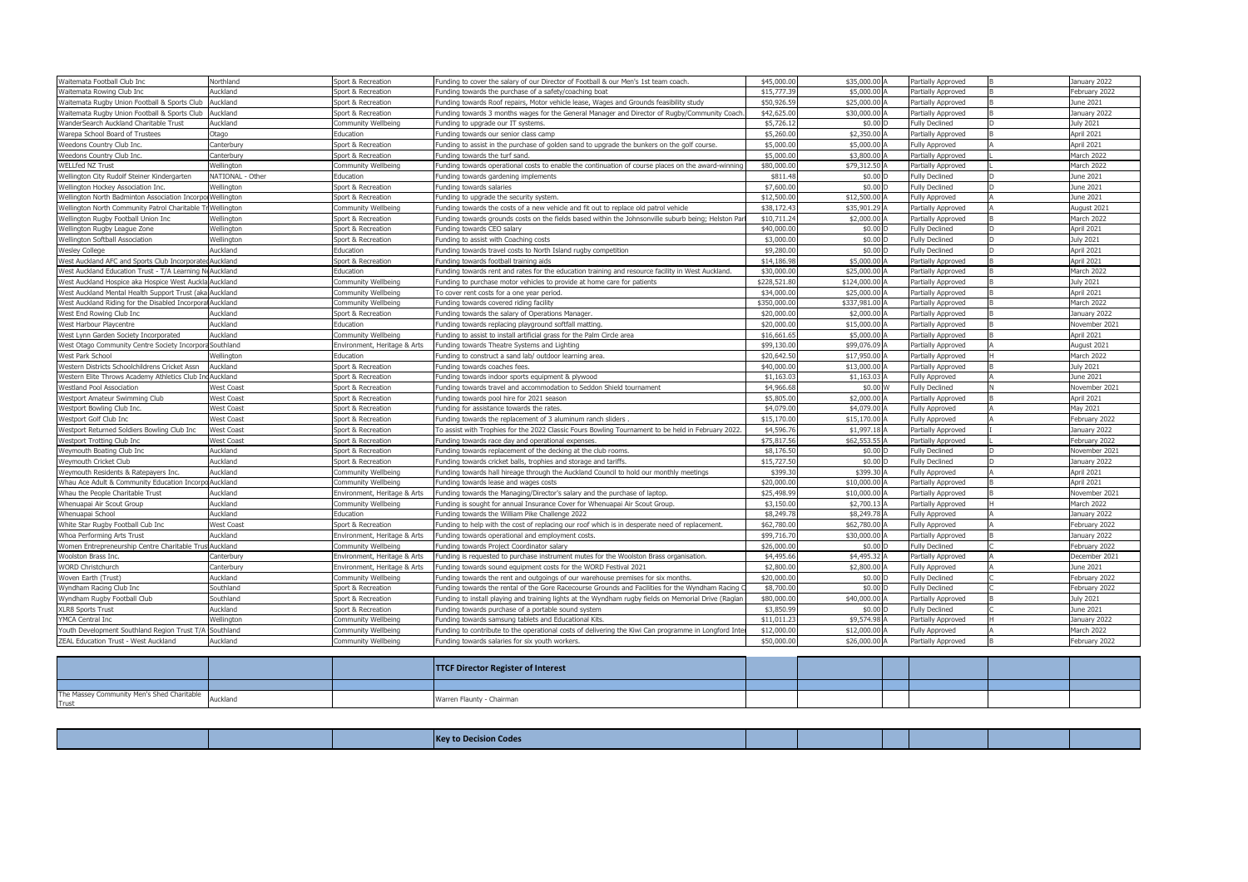| Waitemata Football Club Inc                                | Northland         | Sport & Recreation           | Funding to cover the salary of our Director of Football & our Men's 1st team coach.                  | \$45,000.0  | \$35,000.00 A              | Partially Approved    | January 2022  |
|------------------------------------------------------------|-------------------|------------------------------|------------------------------------------------------------------------------------------------------|-------------|----------------------------|-----------------------|---------------|
| Waitemata Rowing Club Inc                                  | Auckland          | Sport & Recreation           | Funding towards the purchase of a safety/coaching boat                                               | \$15,777.39 | \$5,000.00 A               | Partially Approved    | Eebruary 2022 |
| Waitemata Rugby Union Football & Sports Club               | Auckland          | Sport & Recreation           | Funding towards Roof repairs, Motor vehicle lease, Wages and Grounds feasibility study               | \$50,926.59 | \$25,000.00 A              | Partially Approved    | June 2021     |
| Waitemata Rugby Union Football & Sports Club               | Auckland          | Sport & Recreation           | Funding towards 3 months wages for the General Manager and Director of Rugby/Community Coach         | \$42,625.0  | \$30,000.00 A              | Partially Approved    | January 2022  |
| WanderSearch Auckland Charitable Trust                     | Auckland          | Community Wellbeing          | Funding to upgrade our IT systems.                                                                   | \$5,726.1   | \$0.00 D                   | <b>Fully Declined</b> | July 2021     |
| Warepa School Board of Trustees                            | Otago             | Education                    | Funding towards our senior class camp                                                                | \$5,260.0   | \$2,350.00 A               | Partially Approved    | April 2021    |
| Weedons Country Club Inc.                                  | Canterbury        | Sport & Recreation           | Funding to assist in the purchase of golden sand to upgrade the bunkers on the golf course.          | \$5,000.0   | \$5,000.00                 | <b>Fully Approved</b> | April 2021    |
| Weedons Country Club Inc.                                  | Canterbury        | Sport & Recreation           | Funding towards the turf sand.                                                                       | \$5,000.0   | \$3,800.00 A               | Partially Approved    | March 2022    |
| <b>WELLfed NZ Trust</b>                                    | Wellington        | Community Wellbeing          | Funding towards operational costs to enable the continuation of course places on the award-winning   | \$80,000.0  | \$79,312.50 /              | Partially Approved    | March 2022    |
| Wellington City Rudolf Steiner Kindergarten                | NATIONAL - Other  | Education                    | Funding towards gardening implements                                                                 | \$811.48    | \$0.00 D                   | <b>Fully Declined</b> | lune 2021     |
| Wellington Hockey Association Inc.                         | Wellington        | Sport & Recreation           | Funding towards salaries                                                                             | \$7,600.0   | \$0.00 D                   | <b>Fully Declined</b> | June 2021     |
| Wellington North Badminton Association Incorpo Wellington  |                   | Sport & Recreation           | Funding to upgrade the security system.                                                              | \$12,500.0  | \$12,500.00                | <b>Fully Approved</b> | June 2021     |
| Wellington North Community Patrol Charitable Tr Wellington |                   | Community Wellbeing          | Funding towards the costs of a new vehicle and fit out to replace old patrol vehicle                 | \$38,172.43 | \$35,901.29 A              | Partially Approved    | August 2021   |
| Wellington Rugby Football Union Inc                        | Wellington        | Sport & Recreation           | Funding towards grounds costs on the fields based within the Johnsonville suburb being; Helston Pa   | \$10,711.2  | \$2,000.00 A               | Partially Approved    | March 2022    |
| Wellington Rugby League Zone                               | Wellington        | Sport & Recreation           | Funding towards CEO salary                                                                           | \$40,000.0  | \$0.00 D                   | <b>Fully Declined</b> | April 2021    |
| Wellington Softball Association                            | Wellington        | Sport & Recreation           | Funding to assist with Coaching costs                                                                | \$3,000.0   | \$0.00 D                   | <b>Fully Declined</b> | July 2021     |
| Wesley College                                             | Auckland          | Education                    | Funding towards travel costs to North Island rugby competition                                       | \$9,280.0   | \$0.00 D                   | <b>Fully Declined</b> | April 2021    |
| West Auckland AFC and Sports Club Incorporate              | Auckland          | Sport & Recreation           | Funding towards football training aids                                                               | \$14,186.98 | \$5,000.00 A               | Partially Approved    | April 2021    |
| West Auckland Education Trust - T/A Learning N             | <b>Auckland</b>   | Education                    | Funding towards rent and rates for the education training and resource facility in West Auckland.    | \$30,000.0  | \$25,000.00 A              | Partially Approved    | March 2022    |
| West Auckland Hospice aka Hospice West Auckla Auckland     |                   | Community Wellbeing          | Funding to purchase motor vehicles to provide at home care for patients                              | \$228,521.8 | \$124,000.00               | Partially Approved    | July 2021     |
| West Auckland Mental Health Support Trust (aka Auckland    |                   | Community Wellbeing          | To cover rent costs for a one year period                                                            | \$34,000.0  | \$25,000.00 A              | Partially Approved    | April 2021    |
| West Auckland Riding for the Disabled Incorpor             | Auckland          | Community Wellbeing          | Funding towards covered riding facility                                                              | \$350,000.0 | \$337,981.00 A             | Partially Approved    | March 2022    |
| West End Rowing Club Inc                                   | Auckland          | Sport & Recreation           | Funding towards the salary of Operations Manager.                                                    | \$20,000.0  | \$2,000.00                 | Partially Approved    | January 2022  |
| West Harbour Playcentre                                    | Auckland          | Education                    | Funding towards replacing playground softfall matting                                                | \$20,000.0  | \$15,000.00 A              | Partially Approved    | November 2021 |
| West Lynn Garden Society Incorporated                      | Auckland          | Community Wellbeing          | Funding to assist to install artificial grass for the Palm Circle area                               | \$16,661.6  | \$5,000.00 A               | Partially Approved    | April 2021    |
| Vest Otago Community Centre Society Incorpor               | Southland         | invironment, Heritage & Arts | Funding towards Theatre Systems and Lighting                                                         | \$99,130.0  | \$99,076.09                | Partially Approved    | August 2021   |
| West Park School                                           | Wellington        | Education                    | Funding to construct a sand lab/ outdoor learning area.                                              | \$20,642.5  | \$17,950.00 A              | Partially Approved    | March 2022    |
| Western Districts Schoolchildrens Cricket Assn             | Auckland          | Sport & Recreation           | Funding towards coaches fees.                                                                        | \$40,000.0  | \$13,000.00 A              | Partially Approved    | July 2021     |
| Vestern Elite Throws Academy Athletics Club In             | Auckland          | Sport & Recreation           | Funding towards indoor sports equipment & plywood                                                    | \$1,163.0   | $$1,163.03$ $\overline{4}$ | <b>Fully Approved</b> | lune 2021     |
| Westland Pool Association                                  | <b>West Coast</b> | Sport & Recreation           | Funding towards travel and accommodation to Seddon Shield tournament                                 | \$4,966.68  | \$0.00 W                   | <b>Fully Declined</b> | November 2021 |
| Westport Amateur Swimming Club                             | <b>West Coast</b> | Sport & Recreation           | Funding towards pool hire for 2021 season                                                            | \$5,805.0   | \$2,000.00 A               | Partially Approved    | April 2021    |
| Nestport Bowling Club Inc.                                 | <b>West Coast</b> | Sport & Recreation           | Funding for assistance towards the rates.                                                            | \$4,079.0   | \$4,079.00 A               | <b>Fully Approved</b> | May 2021      |
| Westport Golf Club Inc                                     | <b>West Coast</b> | Sport & Recreation           | Funding towards the replacement of 3 aluminum ranch sliders                                          | \$15,170.0  | \$15,170.00 A              | <b>Fully Approved</b> | February 2022 |
| Westport Returned Soldiers Bowling Club Inc                | <b>West Coast</b> | Sport & Recreation           | To assist with Trophies for the 2022 Classic Fours Bowling Tournament to be held in February 2022    | \$4,596.7   | \$1,997.18                 | Partially Approved    | anuary 2022   |
| Westport Trotting Club Inc                                 | <b>West Coast</b> | Sport & Recreation           | Funding towards race day and operational expenses.                                                   | \$75,817.56 | \$62,553.55 /              | Partially Approved    | ebruary 2022  |
| Weymouth Boating Club Inc                                  | Auckland          | Sport & Recreation           | Funding towards replacement of the decking at the club rooms.                                        | \$8,176.5   | $$0.00$ $\square$          | <b>Fully Declined</b> | Vovember 2021 |
| Weymouth Cricket Club                                      | Auckland          | Sport & Recreation           | Funding towards cricket balls, trophies and storage and tariffs.                                     | \$15,727.5  | \$0.00 D                   | <b>Fully Declined</b> | January 2022  |
| Weymouth Residents & Ratepayers Inc.                       | Auckland          | Community Wellbeing          | Funding towards hall hireage through the Auckland Council to hold our monthly meetings               | \$399.30    | \$399.30 A                 | <b>Fully Approved</b> | April 2021    |
| Whau Ace Adult & Community Education Incorp                | Auckland          | Community Wellbeing          | Funding towards lease and wages costs                                                                | \$20,000.0  | \$10,000.00 A              | Partially Approved    | April 2021    |
| Whau the People Charitable Trust                           | Auckland          | Environment, Heritage & Arts | Funding towards the Managing/Director's salary and the purchase of laptop.                           | \$25,498.99 | \$10,000.00 A              | Partially Approved    | November 2021 |
| Whenuapai Air Scout Group                                  | Auckland          | Community Wellbeing          | Funding is sought for annual Insurance Cover for Whenuapai Air Scout Group.                          | \$3,150.0   | \$2,700.13 A               | Partially Approved    | March 2022    |
| Whenuapai School                                           | Auckland          | Education                    | Funding towards the William Pike Challenge 2022                                                      | \$8,249.78  | \$8,249.78 A               | <b>Fully Approved</b> | January 2022  |
| White Star Rugby Football Cub Inc                          | <b>West Coast</b> | Sport & Recreation           | Funding to help with the cost of replacing our roof which is in desperate need of replacement.       | \$62,780.0  | \$62,780.00 A              | <b>Fully Approved</b> | ebruary 2022  |
| Whoa Performing Arts Trust                                 | Auckland          | Environment, Heritage & Arts | Funding towards operational and employment costs.                                                    | \$99,716.7  | \$30,000.00 A              | Partially Approved    | January 2022  |
| Women Entrepreneurship Centre Charitable Trus Auckland     |                   | <b>Community Wellbeing</b>   | Funding towards Project Coordinator salary                                                           | \$26,000.00 | \$0.00 D                   | <b>Fully Declined</b> | February 2022 |
| Woolston Brass Inc.                                        | Canterbury        | Environment, Heritage & Arts | Funding is requested to purchase instrument mutes for the Woolston Brass organisation.               | \$4,495.66  | \$4,495.32                 | Partially Approved    | December 2021 |
| <b>WORD Christchurch</b>                                   | Canterbury        | Environment, Heritage & Arts | Funding towards sound equipment costs for the WORD Festival 2021                                     | \$2,800.00  | \$2,800.00 A               | <b>Fully Approved</b> | June 2021     |
| Woven Earth (Trust)                                        | Auckland          | Community Wellbeing          | Funding towards the rent and outgoings of our warehouse premises for six months.                     | \$20,000.0  | \$0.00 D                   | <b>Fully Declined</b> | February 2022 |
| Wyndham Racing Club Inc                                    | Southland         | Sport & Recreation           | Funding towards the rental of the Gore Racecourse Grounds and Facilities for the Wyndham Racing (    | \$8,700.00  | \$0.00 D                   | <b>Fully Declined</b> | February 2022 |
| Wyndham Rugby Football Club                                | Southland         | Sport & Recreation           | Funding to install playing and training lights at the Wyndham rugby fields on Memorial Drive (Raglar | \$80,000.00 | \$40,000.00 A              | Partially Approved    | July 2021     |
| <b>XLR8 Sports Trust</b>                                   | Auckland          | Sport & Recreation           | Funding towards purchase of a portable sound system                                                  | \$3,850.99  | \$0.00 D                   | <b>Fully Declined</b> | lune 2021     |
| YMCA Central Inc                                           | Wellington        | Community Wellbeing          | Funding towards samsung tablets and Educational Kits.                                                | \$11,011.23 | \$9,574.98 A               | Partially Approved    | January 2022  |
| Youth Development Southland Region Trust T/A Southland     |                   | Community Wellbeing          | Funding to contribute to the operational costs of delivering the Kiwi Can programme in Longford Int  | \$12,000.00 | \$12,000.00 A              | <b>Fully Approved</b> | March 2022    |
| ZEAL Education Trust - West Auckland                       | Auckland          | Community Wellbeing          | Funding towards salaries for six youth workers.                                                      | \$50,000.00 | \$26,000.00 A              | Partially Approved    | February 2022 |
|                                                            |                   |                              |                                                                                                      |             |                            |                       |               |
|                                                            |                   |                              |                                                                                                      |             |                            |                       |               |
|                                                            |                   |                              | <b>TTCE Director Pogistor of Interact</b>                                                            |             |                            |                       |               |

|                                                                     |          | <b>TTCF Director Register of Interest</b> |  |  |  |
|---------------------------------------------------------------------|----------|-------------------------------------------|--|--|--|
|                                                                     |          |                                           |  |  |  |
| The Massey Community Men's Shed Charitable<br>$T_{F11C}$<br>11 U.S. | Auckland | Warren Flaunty - Chairman                 |  |  |  |

|  | מו ה <del>ז</del> שם א<br>.oae |  |  |
|--|--------------------------------|--|--|
|  |                                |  |  |